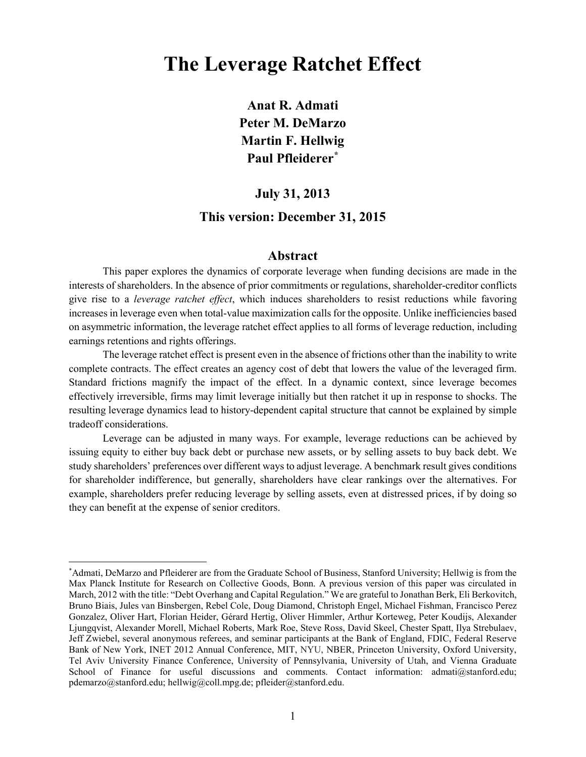# **The Leverage Ratchet Effect**

**Anat R. Admati Peter M. DeMarzo Martin F. Hellwig Paul Pfleiderer[\\*](#page-0-0)**

# **July 31, 2013**

## **This version: December 31, 2015**

### **Abstract**

This paper explores the dynamics of corporate leverage when funding decisions are made in the interests of shareholders. In the absence of prior commitments or regulations, shareholder-creditor conflicts give rise to a *leverage ratchet effect*, which induces shareholders to resist reductions while favoring increases in leverage even when total-value maximization calls for the opposite. Unlike inefficiencies based on asymmetric information, the leverage ratchet effect applies to all forms of leverage reduction, including earnings retentions and rights offerings.

The leverage ratchet effect is present even in the absence of frictions other than the inability to write complete contracts. The effect creates an agency cost of debt that lowers the value of the leveraged firm. Standard frictions magnify the impact of the effect. In a dynamic context, since leverage becomes effectively irreversible, firms may limit leverage initially but then ratchet it up in response to shocks. The resulting leverage dynamics lead to history-dependent capital structure that cannot be explained by simple tradeoff considerations.

Leverage can be adjusted in many ways. For example, leverage reductions can be achieved by issuing equity to either buy back debt or purchase new assets, or by selling assets to buy back debt. We study shareholders' preferences over different ways to adjust leverage. A benchmark result gives conditions for shareholder indifference, but generally, shareholders have clear rankings over the alternatives. For example, shareholders prefer reducing leverage by selling assets, even at distressed prices, if by doing so they can benefit at the expense of senior creditors.

<span id="page-0-0"></span> <sup>\*</sup> Admati, DeMarzo and Pfleiderer are from the Graduate School of Business, Stanford University; Hellwig is from the Max Planck Institute for Research on Collective Goods, Bonn. A previous version of this paper was circulated in March, 2012 with the title: "Debt Overhang and Capital Regulation." We are grateful to Jonathan Berk, Eli Berkovitch, Bruno Biais, Jules van Binsbergen, Rebel Cole, Doug Diamond, Christoph Engel, Michael Fishman, Francisco Perez Gonzalez, Oliver Hart, Florian Heider, Gérard Hertig, Oliver Himmler, Arthur Korteweg, Peter Koudijs, Alexander Ljungqvist, Alexander Morell, Michael Roberts, Mark Roe, Steve Ross, David Skeel, Chester Spatt, Ilya Strebulaev, Jeff Zwiebel, several anonymous referees, and seminar participants at the Bank of England, FDIC, Federal Reserve Bank of New York, INET 2012 Annual Conference, MIT, NYU, NBER, Princeton University, Oxford University, Tel Aviv University Finance Conference, University of Pennsylvania, University of Utah, and Vienna Graduate School of Finance for useful discussions and comments. Contact information: [admati@stanford.edu;](mailto:admati@stanford.edu) [pdemarzo@stanford.edu;](mailto:demarzo_peter@gsb.stanford.edu) [hellwig@coll.mpg.de;](mailto:hellwig@coll.mpg.de) [pfleider@stanford.edu.](mailto:pfleider@stanford.edu)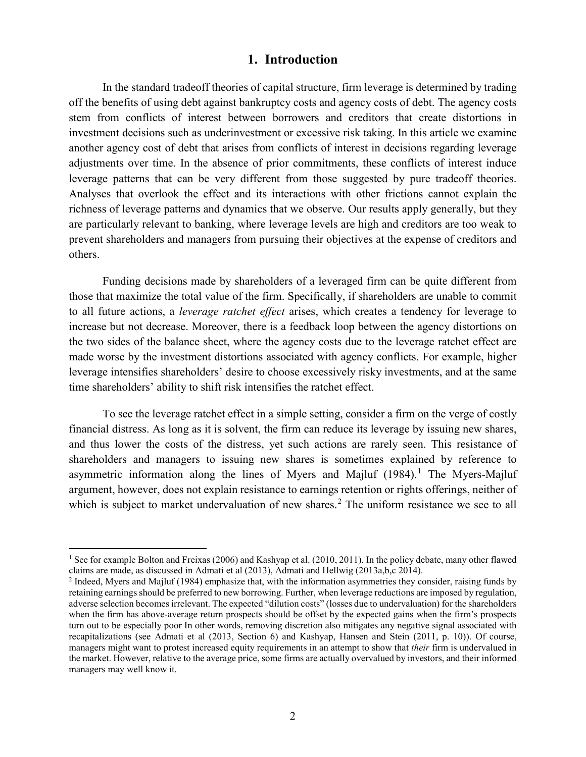### **1. Introduction**

In the standard tradeoff theories of capital structure, firm leverage is determined by trading off the benefits of using debt against bankruptcy costs and agency costs of debt. The agency costs stem from conflicts of interest between borrowers and creditors that create distortions in investment decisions such as underinvestment or excessive risk taking. In this article we examine another agency cost of debt that arises from conflicts of interest in decisions regarding leverage adjustments over time. In the absence of prior commitments, these conflicts of interest induce leverage patterns that can be very different from those suggested by pure tradeoff theories. Analyses that overlook the effect and its interactions with other frictions cannot explain the richness of leverage patterns and dynamics that we observe. Our results apply generally, but they are particularly relevant to banking, where leverage levels are high and creditors are too weak to prevent shareholders and managers from pursuing their objectives at the expense of creditors and others.

Funding decisions made by shareholders of a leveraged firm can be quite different from those that maximize the total value of the firm. Specifically, if shareholders are unable to commit to all future actions, a *leverage ratchet effect* arises, which creates a tendency for leverage to increase but not decrease. Moreover, there is a feedback loop between the agency distortions on the two sides of the balance sheet, where the agency costs due to the leverage ratchet effect are made worse by the investment distortions associated with agency conflicts. For example, higher leverage intensifies shareholders' desire to choose excessively risky investments, and at the same time shareholders' ability to shift risk intensifies the ratchet effect.

To see the leverage ratchet effect in a simple setting, consider a firm on the verge of costly financial distress. As long as it is solvent, the firm can reduce its leverage by issuing new shares, and thus lower the costs of the distress, yet such actions are rarely seen. This resistance of shareholders and managers to issuing new shares is sometimes explained by reference to asymmetric information along the lines of Myers and Majluf  $(1984)$  $(1984)$  $(1984)$ .<sup>1</sup> The Myers-Majluf argument, however, does not explain resistance to earnings retention or rights offerings, neither of which is subject to market undervaluation of new shares.<sup>[2](#page-1-1)</sup> The uniform resistance we see to all

<span id="page-1-0"></span><sup>&</sup>lt;sup>1</sup> See for example Bolton and Freixas (2006) and Kashyap et al. (2010, 2011). In the policy debate, many other flawed claims are made, as discussed in Admati et al (2013), Admati and Hellwig (2013a,b,c 2014).

<span id="page-1-1"></span><sup>&</sup>lt;sup>2</sup> Indeed, Myers and Majluf (1984) emphasize that, with the information asymmetries they consider, raising funds by retaining earnings should be preferred to new borrowing. Further, when leverage reductions are imposed by regulation, adverse selection becomes irrelevant. The expected "dilution costs" (losses due to undervaluation) for the shareholders when the firm has above-average return prospects should be offset by the expected gains when the firm's prospects turn out to be especially poor In other words, removing discretion also mitigates any negative signal associated with recapitalizations (see Admati et al (2013, Section 6) and Kashyap, Hansen and Stein (2011, p. 10)). Of course, managers might want to protest increased equity requirements in an attempt to show that *their* firm is undervalued in the market. However, relative to the average price, some firms are actually overvalued by investors, and their informed managers may well know it.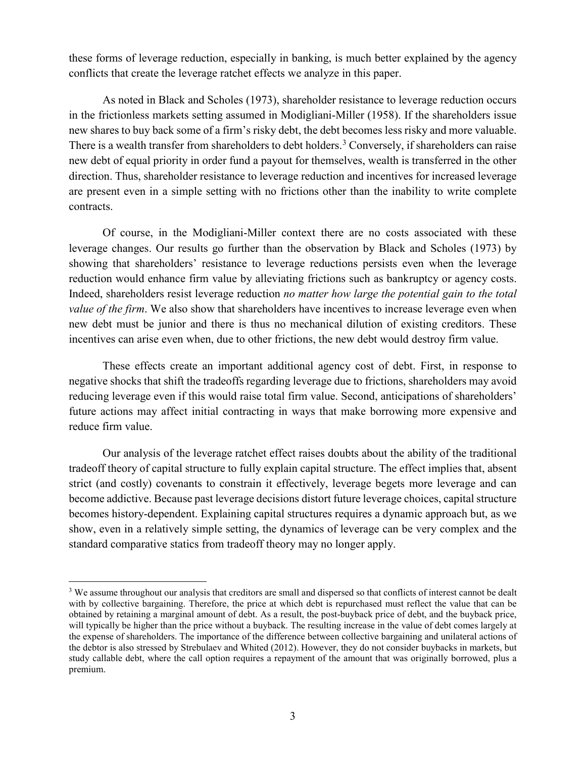these forms of leverage reduction, especially in banking, is much better explained by the agency conflicts that create the leverage ratchet effects we analyze in this paper.

As noted in Black and Scholes (1973), shareholder resistance to leverage reduction occurs in the frictionless markets setting assumed in Modigliani-Miller (1958). If the shareholders issue new shares to buy back some of a firm's risky debt, the debt becomes less risky and more valuable. There is a wealth transfer from shareholders to debt holders.<sup>[3](#page-2-0)</sup> Conversely, if shareholders can raise new debt of equal priority in order fund a payout for themselves, wealth is transferred in the other direction. Thus, shareholder resistance to leverage reduction and incentives for increased leverage are present even in a simple setting with no frictions other than the inability to write complete contracts.

Of course, in the Modigliani-Miller context there are no costs associated with these leverage changes. Our results go further than the observation by Black and Scholes (1973) by showing that shareholders' resistance to leverage reductions persists even when the leverage reduction would enhance firm value by alleviating frictions such as bankruptcy or agency costs. Indeed, shareholders resist leverage reduction *no matter how large the potential gain to the total value of the firm.* We also show that shareholders have incentives to increase leverage even when new debt must be junior and there is thus no mechanical dilution of existing creditors. These incentives can arise even when, due to other frictions, the new debt would destroy firm value.

These effects create an important additional agency cost of debt. First, in response to negative shocks that shift the tradeoffs regarding leverage due to frictions, shareholders may avoid reducing leverage even if this would raise total firm value. Second, anticipations of shareholders' future actions may affect initial contracting in ways that make borrowing more expensive and reduce firm value.

Our analysis of the leverage ratchet effect raises doubts about the ability of the traditional tradeoff theory of capital structure to fully explain capital structure. The effect implies that, absent strict (and costly) covenants to constrain it effectively, leverage begets more leverage and can become addictive. Because past leverage decisions distort future leverage choices, capital structure becomes history-dependent. Explaining capital structures requires a dynamic approach but, as we show, even in a relatively simple setting, the dynamics of leverage can be very complex and the standard comparative statics from tradeoff theory may no longer apply.

<span id="page-2-0"></span><sup>&</sup>lt;sup>3</sup> We assume throughout our analysis that creditors are small and dispersed so that conflicts of interest cannot be dealt with by collective bargaining. Therefore, the price at which debt is repurchased must reflect the value that can be obtained by retaining a marginal amount of debt. As a result, the post-buyback price of debt, and the buyback price, will typically be higher than the price without a buyback. The resulting increase in the value of debt comes largely at the expense of shareholders. The importance of the difference between collective bargaining and unilateral actions of the debtor is also stressed by Strebulaev and Whited (2012). However, they do not consider buybacks in markets, but study callable debt, where the call option requires a repayment of the amount that was originally borrowed, plus a premium.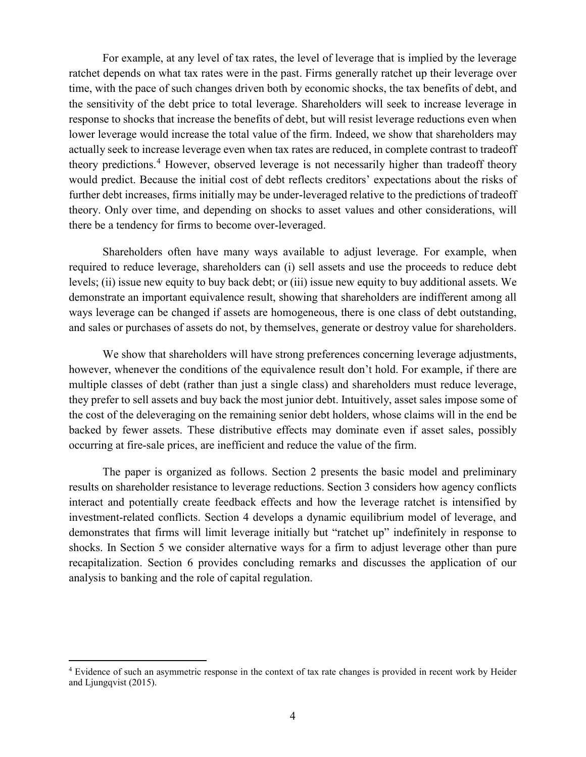For example, at any level of tax rates, the level of leverage that is implied by the leverage ratchet depends on what tax rates were in the past. Firms generally ratchet up their leverage over time, with the pace of such changes driven both by economic shocks, the tax benefits of debt, and the sensitivity of the debt price to total leverage. Shareholders will seek to increase leverage in response to shocks that increase the benefits of debt, but will resist leverage reductions even when lower leverage would increase the total value of the firm. Indeed, we show that shareholders may actually seek to increase leverage even when tax rates are reduced, in complete contrast to tradeoff theory predictions.<sup>[4](#page-3-0)</sup> However, observed leverage is not necessarily higher than tradeoff theory would predict. Because the initial cost of debt reflects creditors' expectations about the risks of further debt increases, firms initially may be under-leveraged relative to the predictions of tradeoff theory. Only over time, and depending on shocks to asset values and other considerations, will there be a tendency for firms to become over-leveraged.

Shareholders often have many ways available to adjust leverage. For example, when required to reduce leverage, shareholders can (i) sell assets and use the proceeds to reduce debt levels; (ii) issue new equity to buy back debt; or (iii) issue new equity to buy additional assets. We demonstrate an important equivalence result, showing that shareholders are indifferent among all ways leverage can be changed if assets are homogeneous, there is one class of debt outstanding, and sales or purchases of assets do not, by themselves, generate or destroy value for shareholders.

We show that shareholders will have strong preferences concerning leverage adjustments, however, whenever the conditions of the equivalence result don't hold. For example, if there are multiple classes of debt (rather than just a single class) and shareholders must reduce leverage, they prefer to sell assets and buy back the most junior debt. Intuitively, asset sales impose some of the cost of the deleveraging on the remaining senior debt holders, whose claims will in the end be backed by fewer assets. These distributive effects may dominate even if asset sales, possibly occurring at fire-sale prices, are inefficient and reduce the value of the firm.

The paper is organized as follows. Section [2](#page-6-0) presents the basic model and preliminary results on shareholder resistance to leverage reductions. Section [3](#page-12-0) considers how agency conflicts interact and potentially create feedback effects and how the leverage ratchet is intensified by investment-related conflicts. Section [4](#page-18-0) develops a dynamic equilibrium model of leverage, and demonstrates that firms will limit leverage initially but "ratchet up" indefinitely in response to shocks. In Section [5](#page-29-0) we consider alternative ways for a firm to adjust leverage other than pure recapitalization. Section [6](#page-44-0) provides concluding remarks and discusses the application of our analysis to banking and the role of capital regulation.

<span id="page-3-0"></span> <sup>4</sup> Evidence of such an asymmetric response in the context of tax rate changes is provided in recent work by Heider and Ljungqvist (2015).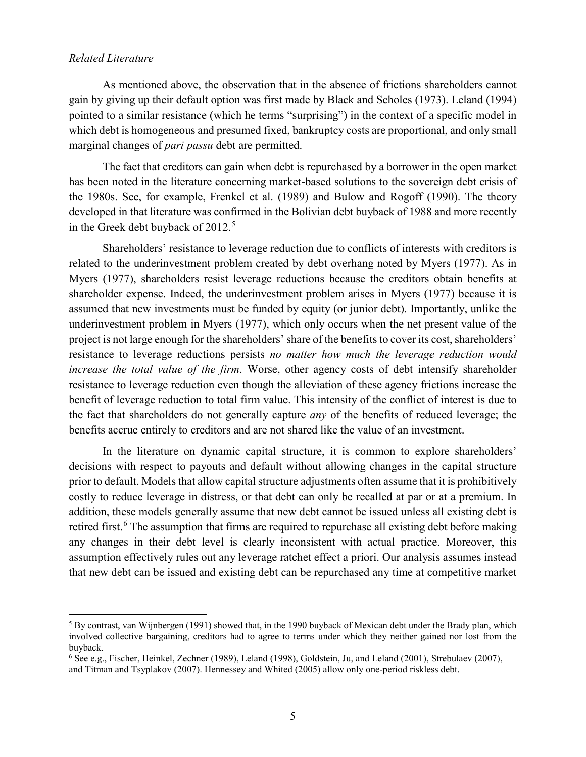### *Related Literature*

As mentioned above, the observation that in the absence of frictions shareholders cannot gain by giving up their default option was first made by Black and Scholes (1973). Leland (1994) pointed to a similar resistance (which he terms "surprising") in the context of a specific model in which debt is homogeneous and presumed fixed, bankruptcy costs are proportional, and only small marginal changes of *pari passu* debt are permitted.

The fact that creditors can gain when debt is repurchased by a borrower in the open market has been noted in the literature concerning market-based solutions to the sovereign debt crisis of the 1980s. See, for example, Frenkel et al. (1989) and Bulow and Rogoff (1990). The theory developed in that literature was confirmed in the Bolivian debt buyback of 1988 and more recently in the Greek debt buyback of 2012.<sup>[5](#page-4-0)</sup>

Shareholders' resistance to leverage reduction due to conflicts of interests with creditors is related to the underinvestment problem created by debt overhang noted by Myers (1977). As in Myers (1977), shareholders resist leverage reductions because the creditors obtain benefits at shareholder expense. Indeed, the underinvestment problem arises in Myers (1977) because it is assumed that new investments must be funded by equity (or junior debt). Importantly, unlike the underinvestment problem in Myers (1977), which only occurs when the net present value of the project is not large enough for the shareholders' share of the benefits to cover its cost, shareholders' resistance to leverage reductions persists *no matter how much the leverage reduction would increase the total value of the firm*. Worse, other agency costs of debt intensify shareholder resistance to leverage reduction even though the alleviation of these agency frictions increase the benefit of leverage reduction to total firm value. This intensity of the conflict of interest is due to the fact that shareholders do not generally capture *any* of the benefits of reduced leverage; the benefits accrue entirely to creditors and are not shared like the value of an investment.

In the literature on dynamic capital structure, it is common to explore shareholders' decisions with respect to payouts and default without allowing changes in the capital structure prior to default. Models that allow capital structure adjustments often assume that it is prohibitively costly to reduce leverage in distress, or that debt can only be recalled at par or at a premium. In addition, these models generally assume that new debt cannot be issued unless all existing debt is retired first.<sup>[6](#page-4-1)</sup> The assumption that firms are required to repurchase all existing debt before making any changes in their debt level is clearly inconsistent with actual practice. Moreover, this assumption effectively rules out any leverage ratchet effect a priori. Our analysis assumes instead that new debt can be issued and existing debt can be repurchased any time at competitive market

<span id="page-4-0"></span> $5$  By contrast, van Wijnbergen (1991) showed that, in the 1990 buyback of Mexican debt under the Brady plan, which involved collective bargaining, creditors had to agree to terms under which they neither gained nor lost from the buyback.

<span id="page-4-1"></span><sup>6</sup> See e.g., Fischer, Heinkel, Zechner (1989), Leland (1998), Goldstein, Ju, and Leland (2001), Strebulaev (2007), and Titman and Tsyplakov (2007). Hennessey and Whited (2005) allow only one-period riskless debt.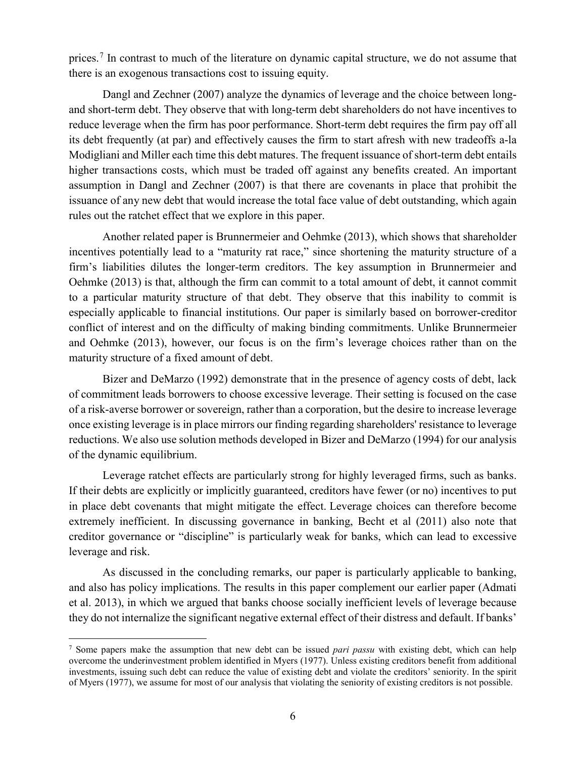prices.<sup>[7](#page-5-0)</sup> In contrast to much of the literature on dynamic capital structure, we do not assume that there is an exogenous transactions cost to issuing equity.

Dangl and Zechner (2007) analyze the dynamics of leverage and the choice between longand short-term debt. They observe that with long-term debt shareholders do not have incentives to reduce leverage when the firm has poor performance. Short-term debt requires the firm pay off all its debt frequently (at par) and effectively causes the firm to start afresh with new tradeoffs a-la Modigliani and Miller each time this debt matures. The frequent issuance of short-term debt entails higher transactions costs, which must be traded off against any benefits created. An important assumption in Dangl and Zechner (2007) is that there are covenants in place that prohibit the issuance of any new debt that would increase the total face value of debt outstanding, which again rules out the ratchet effect that we explore in this paper.

Another related paper is Brunnermeier and Oehmke (2013), which shows that shareholder incentives potentially lead to a "maturity rat race," since shortening the maturity structure of a firm's liabilities dilutes the longer-term creditors. The key assumption in Brunnermeier and Oehmke (2013) is that, although the firm can commit to a total amount of debt, it cannot commit to a particular maturity structure of that debt. They observe that this inability to commit is especially applicable to financial institutions. Our paper is similarly based on borrower-creditor conflict of interest and on the difficulty of making binding commitments. Unlike Brunnermeier and Oehmke (2013), however, our focus is on the firm's leverage choices rather than on the maturity structure of a fixed amount of debt.

Bizer and DeMarzo (1992) demonstrate that in the presence of agency costs of debt, lack of commitment leads borrowers to choose excessive leverage. Their setting is focused on the case of a risk-averse borrower or sovereign, rather than a corporation, but the desire to increase leverage once existing leverage is in place mirrors our finding regarding shareholders' resistance to leverage reductions. We also use solution methods developed in Bizer and DeMarzo (1994) for our analysis of the dynamic equilibrium.

Leverage ratchet effects are particularly strong for highly leveraged firms, such as banks. If their debts are explicitly or implicitly guaranteed, creditors have fewer (or no) incentives to put in place debt covenants that might mitigate the effect. Leverage choices can therefore become extremely inefficient. In discussing governance in banking, Becht et al (2011) also note that creditor governance or "discipline" is particularly weak for banks, which can lead to excessive leverage and risk.

As discussed in the concluding remarks, our paper is particularly applicable to banking, and also has policy implications. The results in this paper complement our earlier paper (Admati et al. 2013), in which we argued that banks choose socially inefficient levels of leverage because they do not internalize the significant negative external effect of their distress and default. If banks'

<span id="page-5-0"></span> <sup>7</sup> Some papers make the assumption that new debt can be issued *pari passu* with existing debt, which can help overcome the underinvestment problem identified in Myers (1977). Unless existing creditors benefit from additional investments, issuing such debt can reduce the value of existing debt and violate the creditors' seniority. In the spirit of Myers (1977), we assume for most of our analysis that violating the seniority of existing creditors is not possible.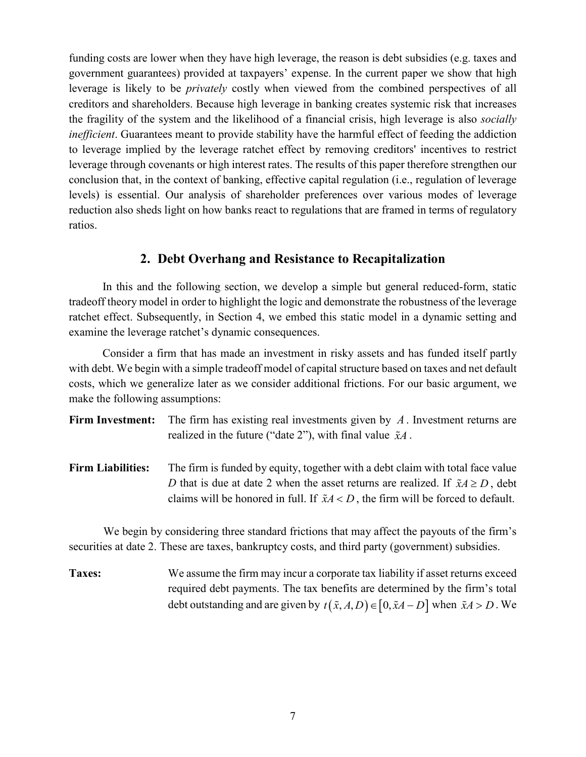funding costs are lower when they have high leverage, the reason is debt subsidies (e.g. taxes and government guarantees) provided at taxpayers' expense. In the current paper we show that high leverage is likely to be *privately* costly when viewed from the combined perspectives of all creditors and shareholders. Because high leverage in banking creates systemic risk that increases the fragility of the system and the likelihood of a financial crisis, high leverage is also *socially inefficient*. Guarantees meant to provide stability have the harmful effect of feeding the addiction to leverage implied by the leverage ratchet effect by removing creditors' incentives to restrict leverage through covenants or high interest rates. The results of this paper therefore strengthen our conclusion that, in the context of banking, effective capital regulation (i.e., regulation of leverage levels) is essential. Our analysis of shareholder preferences over various modes of leverage reduction also sheds light on how banks react to regulations that are framed in terms of regulatory ratios.

# **2. Debt Overhang and Resistance to Recapitalization**

<span id="page-6-0"></span>In this and the following section, we develop a simple but general reduced-form, static tradeoff theory model in order to highlight the logic and demonstrate the robustness of the leverage ratchet effect. Subsequently, in Section [4,](#page-18-0) we embed this static model in a dynamic setting and examine the leverage ratchet's dynamic consequences.

Consider a firm that has made an investment in risky assets and has funded itself partly with debt. We begin with a simple tradeoff model of capital structure based on taxes and net default costs, which we generalize later as we consider additional frictions. For our basic argument, we make the following assumptions:

- **Firm Investment:** The firm has existing real investments given by *A* . Investment returns are realized in the future ("date 2"), with final value *xA* .
- Firm Liabilities: The firm is funded by equity, together with a debt claim with total face value *D* that is due at date 2 when the asset returns are realized. If  $\tilde{x}A \ge D$ , debt claims will be honored in full. If  $\tilde{x}A < D$ , the firm will be forced to default.

We begin by considering three standard frictions that may affect the payouts of the firm's securities at date 2. These are taxes, bankruptcy costs, and third party (government) subsidies.

**Taxes:** We assume the firm may incur a corporate tax liability if asset returns exceed required debt payments. The tax benefits are determined by the firm's total debt outstanding and are given by  $t(\tilde{x}, A, D) \in [0, \tilde{x}A - D]$  when  $\tilde{x}A > D$ . We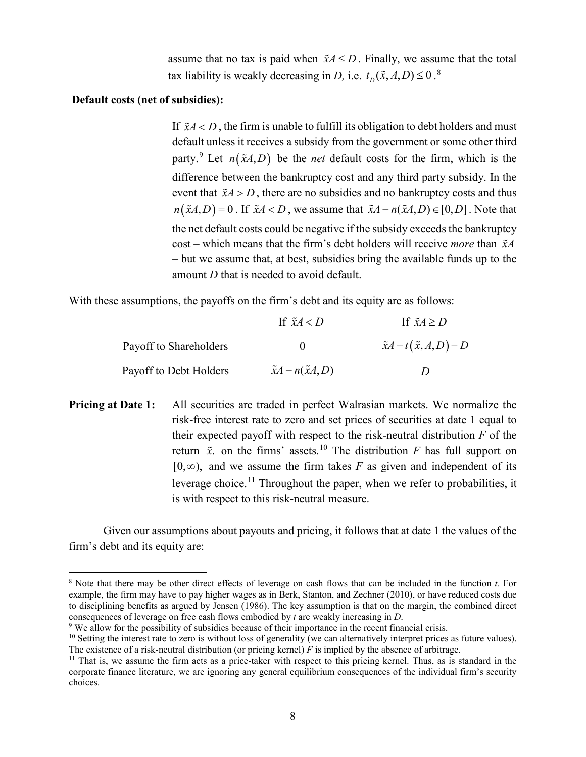assume that no tax is paid when  $\tilde{x}A \le D$ . Finally, we assume that the total tax liability is weakly decreasing in *D*, i.e.  $t_D(\tilde{x}, A, D) \le 0$ .<sup>[8](#page-7-0)</sup>

### **Default costs (net of subsidies):**

If  $\tilde{x}A < D$ , the firm is unable to fulfill its obligation to debt holders and must default unless it receives a subsidy from the government or some other third party.<sup>[9](#page-7-1)</sup> Let  $n(\tilde{x}A, D)$  be the *net* default costs for the firm, which is the difference between the bankruptcy cost and any third party subsidy. In the event that  $\tilde{x}A > D$ , there are no subsidies and no bankruptcy costs and thus  $n(\tilde{x}A, D) = 0$ . If  $\tilde{x}A < D$ , we assume that  $\tilde{x}A - n(\tilde{x}A, D) \in [0, D]$ . Note that the net default costs could be negative if the subsidy exceeds the bankruptcy cost – which means that the firm's debt holders will receive *more* than *xA* – but we assume that, at best, subsidies bring the available funds up to the amount *D* that is needed to avoid default.

With these assumptions, the payoffs on the firm's debt and its equity are as follows:

|                        | If $\tilde{x}A < D$          | If $\tilde{x}A > D$             |
|------------------------|------------------------------|---------------------------------|
| Payoff to Shareholders |                              | $\tilde{x}A-t(\tilde{x},A,D)-D$ |
| Payoff to Debt Holders | $\tilde{x}A-n(\tilde{x}A,D)$ | , ו                             |

**Pricing at Date 1:** All securities are traded in perfect Walrasian markets. We normalize the risk-free interest rate to zero and set prices of securities at date 1 equal to their expected payoff with respect to the risk-neutral distribution *F* of the return  $\tilde{x}$ , on the firms' assets.<sup>[10](#page-7-2)</sup> The distribution *F* has full support on  $[0, \infty)$ , and we assume the firm takes *F* as given and independent of its leverage choice.<sup>[11](#page-7-3)</sup> Throughout the paper, when we refer to probabilities, it is with respect to this risk-neutral measure.

Given our assumptions about payouts and pricing, it follows that at date 1 the values of the firm's debt and its equity are:

<span id="page-7-0"></span> <sup>8</sup> Note that there may be other direct effects of leverage on cash flows that can be included in the function *t*. For example, the firm may have to pay higher wages as in Berk, Stanton, and Zechner (2010), or have reduced costs due to disciplining benefits as argued by Jensen (1986). The key assumption is that on the margin, the combined direct consequences of leverage on free cash flows embodied by *t* are weakly increasing in *D*.

<span id="page-7-1"></span><sup>&</sup>lt;sup>9</sup> We allow for the possibility of subsidies because of their importance in the recent financial crisis.

<span id="page-7-2"></span> $10$  Setting the interest rate to zero is without loss of generality (we can alternatively interpret prices as future values). The existence of a risk-neutral distribution (or pricing kernel) *F* is implied by the absence of arbitrage.

<span id="page-7-3"></span> $11$  That is, we assume the firm acts as a price-taker with respect to this pricing kernel. Thus, as is standard in the corporate finance literature, we are ignoring any general equilibrium consequences of the individual firm's security choices.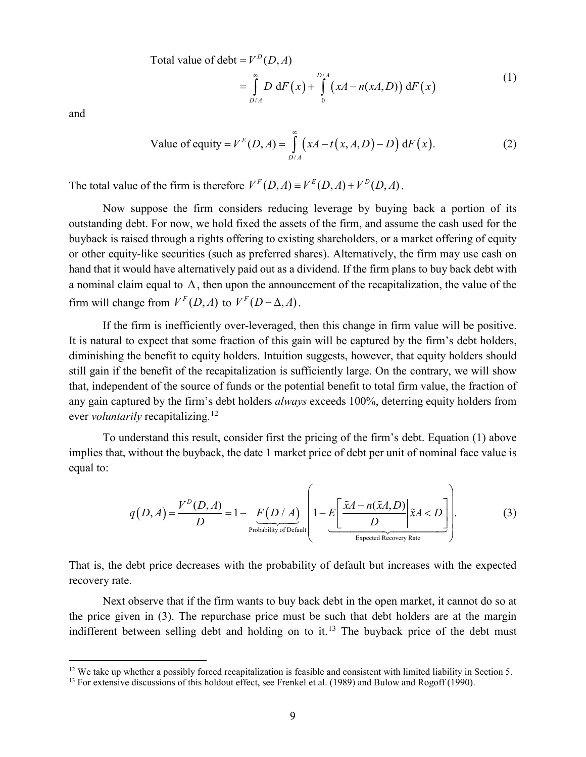Total value of debt =  $V^D(D, A)$ 

$$
= \int_{D/A}^{\infty} D \, dF(x) + \int_{0}^{D/A} (xA - n(xA, D)) \, dF(x) \tag{1}
$$

and

Value of equity = 
$$
V^{E}(D, A) = \int_{D/A}^{\infty} (xA - t(x, A, D) - D) dF(x)
$$
. (2)

The total value of the firm is therefore  $V^F(D, A) = V^E(D, A) + V^D(D, A)$ .

Now suppose the firm considers reducing leverage by buying back a portion of its outstanding debt. For now, we hold fixed the assets of the firm, and assume the cash used for the buyback is raised through a rights offering to existing shareholders, or a market offering of equity or other equity-like securities (such as preferred shares). Alternatively, the firm may use cash on hand that it would have alternatively paid out as a dividend. If the firm plans to buy back debt with a nominal claim equal to ∆, then upon the announcement of the recapitalization, the value of the firm will change from  $V^F(D, A)$  to  $V^F(D - \Delta, A)$ .

If the firm is inefficiently over-leveraged, then this change in firm value will be positive. It is natural to expect that some fraction of this gain will be captured by the firm's debt holders, diminishing the benefit to equity holders. Intuition suggests, however, that equity holders should still gain if the benefit of the recapitalization is sufficiently large. On the contrary, we will show that, independent of the source of funds or the potential benefit to total firm value, the fraction of any gain captured by the firm's debt holders *always* exceeds 100%, deterring equity holders from ever *voluntarily* recapitalizing.<sup>[12](#page-8-0)</sup>

To understand this result, consider first the pricing of the firm's debt. Equation (1) above implies that, without the buyback, the date 1 market price of debt per unit of nominal face value is equal to:

$$
q(D,A) = \frac{V^D(D,A)}{D} = 1 - \underbrace{F(D/A)}_{\text{Probability of Default}} \left( 1 - E \left[ \frac{\tilde{x}A - n(\tilde{x}A,D)}{D} \middle| \tilde{x}A < D \right] \right). \tag{3}
$$

That is, the debt price decreases with the probability of default but increases with the expected recovery rate.

Next observe that if the firm wants to buy back debt in the open market, it cannot do so at the price given in (3). The repurchase price must be such that debt holders are at the margin indifferent between selling debt and holding on to it.<sup>[13](#page-8-1)</sup> The buyback price of the debt must

<span id="page-8-1"></span><span id="page-8-0"></span><sup>&</sup>lt;sup>12</sup> We take up whether a possibly forced recapitalization is feasible and consistent with limited liability in Section 5.<br><sup>13</sup> For extensive discussions of this holdout effect, see Frenkel et al. (1989) and Bulow and Rog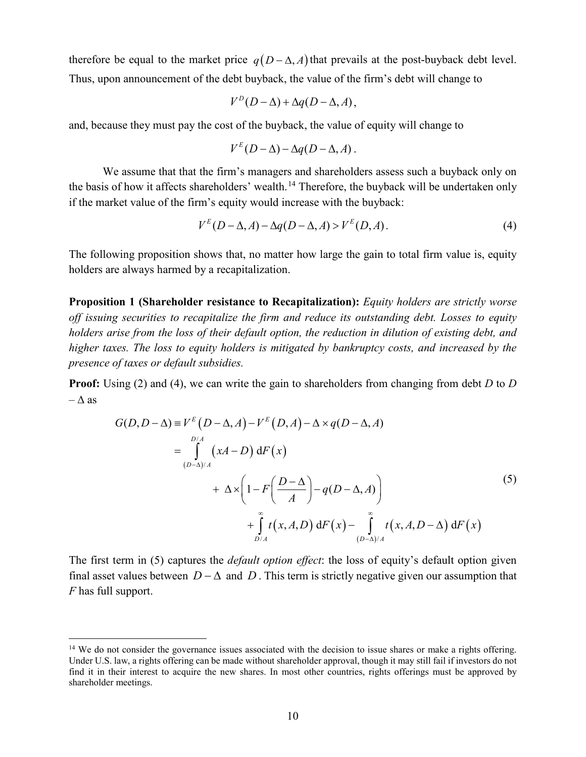therefore be equal to the market price  $q(D - \Delta, A)$  that prevails at the post-buyback debt level. Thus, upon announcement of the debt buyback, the value of the firm's debt will change to

$$
V^D(D-\Delta)+\Delta q(D-\Delta,A),
$$

and, because they must pay the cost of the buyback, the value of equity will change to

$$
V^{E}(D-\Delta)-\Delta q(D-\Delta,A).
$$

We assume that that the firm's managers and shareholders assess such a buyback only on the basis of how it affects shareholders' wealth.<sup>[14](#page-9-0)</sup> Therefore, the buyback will be undertaken only if the market value of the firm's equity would increase with the buyback:

$$
V^{E}(D-\Delta,A) - \Delta q(D-\Delta,A) > V^{E}(D,A). \tag{4}
$$

The following proposition shows that, no matter how large the gain to total firm value is, equity holders are always harmed by a recapitalization.

<span id="page-9-1"></span>**Proposition 1 (Shareholder resistance to Recapitalization):** *Equity holders are strictly worse off issuing securities to recapitalize the firm and reduce its outstanding debt. Losses to equity holders arise from the loss of their default option, the reduction in dilution of existing debt, and higher taxes. The loss to equity holders is mitigated by bankruptcy costs, and increased by the presence of taxes or default subsidies.*

**Proof:** Using (2) and (4), we can write the gain to shareholders from changing from debt *D* to *D –* ∆ as

$$
G(D, D - \Delta) \equiv V^{E} (D - \Delta, A) - V^{E} (D, A) - \Delta \times q(D - \Delta, A)
$$
  
\n
$$
= \int_{(D-\Delta)/A}^{D/A} (xA - D) dF(x)
$$
  
\n
$$
+ \Delta \times \left(1 - F\left(\frac{D-\Delta}{A}\right) - q(D - \Delta, A)\right)
$$
  
\n
$$
+ \int_{D/A}^{\infty} t(x, A, D) dF(x) - \int_{(D-\Delta)/A}^{\infty} t(x, A, D - \Delta) dF(x)
$$
\n(5)

The first term in (5) captures the *default option effect*: the loss of equity's default option given final asset values between  $D - \Delta$  and  $D$ . This term is strictly negative given our assumption that *F* has full support.

<span id="page-9-0"></span><sup>&</sup>lt;sup>14</sup> We do not consider the governance issues associated with the decision to issue shares or make a rights offering. Under U.S. law, a rights offering can be made without shareholder approval, though it may still fail if investors do not find it in their interest to acquire the new shares. In most other countries, rights offerings must be approved by shareholder meetings.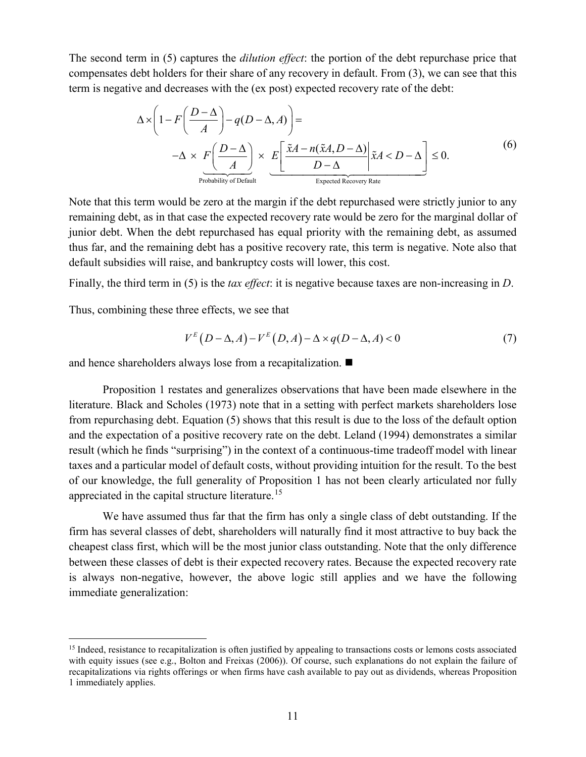The second term in (5) captures the *dilution effect*: the portion of the debt repurchase price that compensates debt holders for their share of any recovery in default. From (3), we can see that this term is negative and decreases with the (ex post) expected recovery rate of the debt:

$$
\Delta \times \left(1 - F\left(\frac{D-\Delta}{A}\right) - q(D-\Delta, A)\right) =
$$
  

$$
-\Delta \times \underbrace{F\left(\frac{D-\Delta}{A}\right)}_{\text{Probability of Default}} \times \underbrace{E\left[\frac{\tilde{x}A - n(\tilde{x}A, D-\Delta)}{D-\Delta}\Big| \tilde{x}A < D-\Delta\right]}_{\text{Expected Recovery Rate}} \leq 0.
$$
 (6)

Note that this term would be zero at the margin if the debt repurchased were strictly junior to any remaining debt, as in that case the expected recovery rate would be zero for the marginal dollar of junior debt. When the debt repurchased has equal priority with the remaining debt, as assumed thus far, and the remaining debt has a positive recovery rate, this term is negative. Note also that default subsidies will raise, and bankruptcy costs will lower, this cost.

Finally, the third term in (5) is the *tax effect*: it is negative because taxes are non-increasing in *D*.

Thus, combining these three effects, we see that

$$
V^{E}(D-\Delta,A)-V^{E}(D,A)-\Delta \times q(D-\Delta,A)<0
$$
\n(7)

and hence shareholders always lose from a recapitalization.

[Proposition 1](#page-9-1) restates and generalizes observations that have been made elsewhere in the literature. Black and Scholes (1973) note that in a setting with perfect markets shareholders lose from repurchasing debt. Equation (5) shows that this result is due to the loss of the default option and the expectation of a positive recovery rate on the debt. Leland (1994) demonstrates a similar result (which he finds "surprising") in the context of a continuous-time tradeoff model with linear taxes and a particular model of default costs, without providing intuition for the result. To the best of our knowledge, the full generality of [Proposition 1](#page-9-1) has not been clearly articulated nor fully appreciated in the capital structure literature.[15](#page-10-0)

We have assumed thus far that the firm has only a single class of debt outstanding. If the firm has several classes of debt, shareholders will naturally find it most attractive to buy back the cheapest class first, which will be the most junior class outstanding. Note that the only difference between these classes of debt is their expected recovery rates. Because the expected recovery rate is always non-negative, however, the above logic still applies and we have the following immediate generalization:

<span id="page-10-0"></span><sup>&</sup>lt;sup>15</sup> Indeed, resistance to recapitalization is often justified by appealing to transactions costs or lemons costs associated with equity issues (see e.g., Bolton and Freixas (2006)). Of course, such explanations do not explain the failure of recapitalizations via rights offerings or when firms have cash available to pay out as dividends, whereas [Proposition](#page-9-1)  [1](#page-9-1) immediately applies.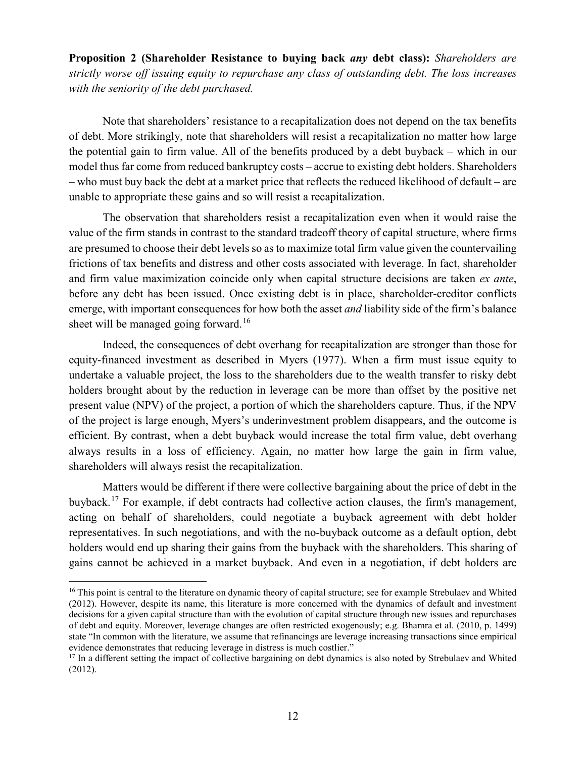<span id="page-11-2"></span>**Proposition 2 (Shareholder Resistance to buying back** *any* **debt class):** *Shareholders are strictly worse off issuing equity to repurchase any class of outstanding debt. The loss increases with the seniority of the debt purchased.*

Note that shareholders' resistance to a recapitalization does not depend on the tax benefits of debt. More strikingly, note that shareholders will resist a recapitalization no matter how large the potential gain to firm value. All of the benefits produced by a debt buyback – which in our model thus far come from reduced bankruptcy costs – accrue to existing debt holders. Shareholders – who must buy back the debt at a market price that reflects the reduced likelihood of default – are unable to appropriate these gains and so will resist a recapitalization.

The observation that shareholders resist a recapitalization even when it would raise the value of the firm stands in contrast to the standard tradeoff theory of capital structure, where firms are presumed to choose their debt levels so as to maximize total firm value given the countervailing frictions of tax benefits and distress and other costs associated with leverage. In fact, shareholder and firm value maximization coincide only when capital structure decisions are taken *ex ante*, before any debt has been issued. Once existing debt is in place, shareholder-creditor conflicts emerge, with important consequences for how both the asset *and* liability side of the firm's balance sheet will be managed going forward.<sup>[16](#page-11-0)</sup>

Indeed, the consequences of debt overhang for recapitalization are stronger than those for equity-financed investment as described in Myers (1977). When a firm must issue equity to undertake a valuable project, the loss to the shareholders due to the wealth transfer to risky debt holders brought about by the reduction in leverage can be more than offset by the positive net present value (NPV) of the project, a portion of which the shareholders capture. Thus, if the NPV of the project is large enough, Myers's underinvestment problem disappears, and the outcome is efficient. By contrast, when a debt buyback would increase the total firm value, debt overhang always results in a loss of efficiency. Again, no matter how large the gain in firm value, shareholders will always resist the recapitalization.

Matters would be different if there were collective bargaining about the price of debt in the buyback.<sup>[17](#page-11-1)</sup> For example, if debt contracts had collective action clauses, the firm's management, acting on behalf of shareholders, could negotiate a buyback agreement with debt holder representatives. In such negotiations, and with the no-buyback outcome as a default option, debt holders would end up sharing their gains from the buyback with the shareholders. This sharing of gains cannot be achieved in a market buyback. And even in a negotiation, if debt holders are

<span id="page-11-0"></span><sup>&</sup>lt;sup>16</sup> This point is central to the literature on dynamic theory of capital structure; see for example Strebulaev and Whited (2012). However, despite its name, this literature is more concerned with the dynamics of default and investment decisions for a given capital structure than with the evolution of capital structure through new issues and repurchases of debt and equity. Moreover, leverage changes are often restricted exogenously; e.g. Bhamra et al. (2010, p. 1499) state "In common with the literature, we assume that refinancings are leverage increasing transactions since empirical evidence demonstrates that reducing leverage in distress is much costlier."

<span id="page-11-1"></span><sup>&</sup>lt;sup>17</sup> In a different setting the impact of collective bargaining on debt dynamics is also noted by Strebulaev and Whited (2012).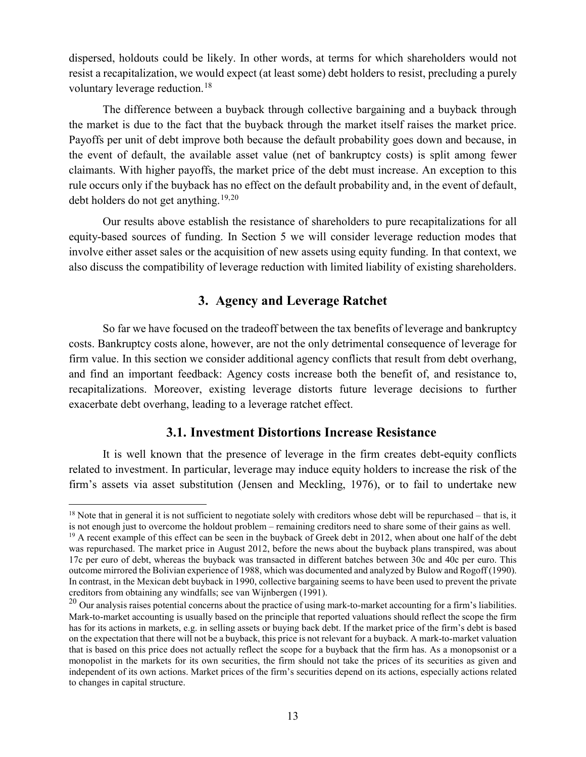dispersed, holdouts could be likely. In other words, at terms for which shareholders would not resist a recapitalization, we would expect (at least some) debt holders to resist, precluding a purely voluntary leverage reduction.<sup>[18](#page-12-1)</sup>

The difference between a buyback through collective bargaining and a buyback through the market is due to the fact that the buyback through the market itself raises the market price. Payoffs per unit of debt improve both because the default probability goes down and because, in the event of default, the available asset value (net of bankruptcy costs) is split among fewer claimants. With higher payoffs, the market price of the debt must increase. An exception to this rule occurs only if the buyback has no effect on the default probability and, in the event of default, debt holders do not get anything.<sup>[19,](#page-12-2)[20](#page-12-3)</sup>

Our results above establish the resistance of shareholders to pure recapitalizations for all equity-based sources of funding. In Section [5](#page-29-0) we will consider leverage reduction modes that involve either asset sales or the acquisition of new assets using equity funding. In that context, we also discuss the compatibility of leverage reduction with limited liability of existing shareholders.

# **3. Agency and Leverage Ratchet**

<span id="page-12-0"></span>So far we have focused on the tradeoff between the tax benefits of leverage and bankruptcy costs. Bankruptcy costs alone, however, are not the only detrimental consequence of leverage for firm value. In this section we consider additional agency conflicts that result from debt overhang, and find an important feedback: Agency costs increase both the benefit of, and resistance to, recapitalizations. Moreover, existing leverage distorts future leverage decisions to further exacerbate debt overhang, leading to a leverage ratchet effect.

## **3.1. Investment Distortions Increase Resistance**

It is well known that the presence of leverage in the firm creates debt-equity conflicts related to investment. In particular, leverage may induce equity holders to increase the risk of the firm's assets via asset substitution (Jensen and Meckling, 1976), or to fail to undertake new

<span id="page-12-1"></span> $18$  Note that in general it is not sufficient to negotiate solely with creditors whose debt will be repurchased – that is, it is not enough just to overcome the holdout problem – remaining creditors need to share some of their gains as well.

<span id="page-12-2"></span> $19$  A recent example of this effect can be seen in the buyback of Greek debt in 2012, when about one half of the debt was repurchased. The market price in August 2012, before the news about the buyback plans transpired, was about 17c per euro of debt, whereas the buyback was transacted in different batches between 30c and 40c per euro. This outcome mirrored the Bolivian experience of 1988, which was documented and analyzed by Bulow and Rogoff (1990). In contrast, in the Mexican debt buyback in 1990, collective bargaining seems to have been used to prevent the private creditors from obtaining any windfalls; see van Wijnbergen (1991).

<span id="page-12-3"></span> $20$  Our analysis raises potential concerns about the practice of using mark-to-market accounting for a firm's liabilities. Mark-to-market accounting is usually based on the principle that reported valuations should reflect the scope the firm has for its actions in markets, e.g. in selling assets or buying back debt. If the market price of the firm's debt is based on the expectation that there will not be a buyback, this price is not relevant for a buyback. A mark-to-market valuation that is based on this price does not actually reflect the scope for a buyback that the firm has. As a monopsonist or a monopolist in the markets for its own securities, the firm should not take the prices of its securities as given and independent of its own actions. Market prices of the firm's securities depend on its actions, especially actions related to changes in capital structure.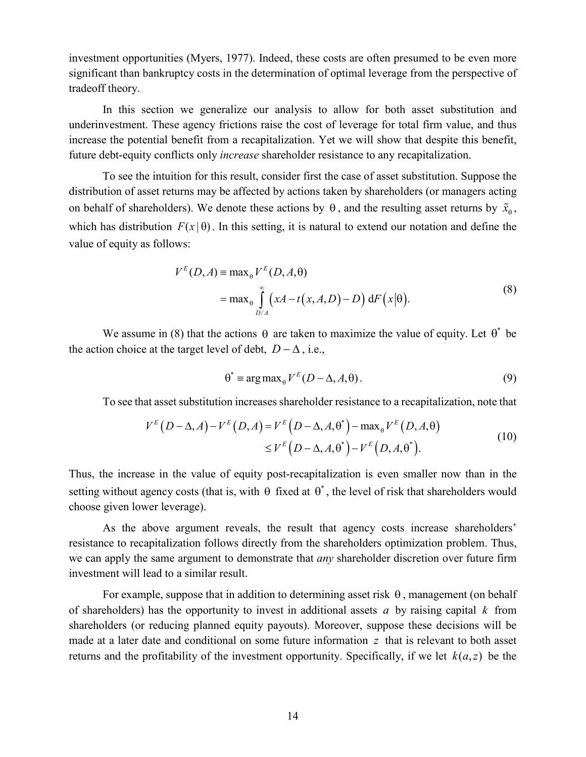investment opportunities (Myers, 1977). Indeed, these costs are often presumed to be even more significant than bankruptcy costs in the determination of optimal leverage from the perspective of tradeoff theory.

In this section we generalize our analysis to allow for both asset substitution and underinvestment. These agency frictions raise the cost of leverage for total firm value, and thus increase the potential benefit from a recapitalization. Yet we will show that despite this benefit, future debt-equity conflicts only *increase* shareholder resistance to any recapitalization.

To see the intuition for this result, consider first the case of asset substitution. Suppose the distribution of asset returns may be affected by actions taken by shareholders (or managers acting on behalf of shareholders). We denote these actions by  $\theta$ , and the resulting asset returns by  $\tilde{x}_{\theta}$ , which has distribution  $F(x|\theta)$ . In this setting, it is natural to extend our notation and define the value of equity as follows:

$$
V^{E}(D, A) = \max_{\theta} V^{E}(D, A, \theta)
$$
  
= 
$$
\max_{\theta} \int_{D/A}^{\infty} (xA - t(x, A, D) - D) dF(x|\theta).
$$
 (8)

We assume in (8) that the actions  $\theta$  are taken to maximize the value of equity. Let  $\theta^*$  be the action choice at the target level of debt,  $D - \Delta$ , i.e.,

$$
\theta^* = \arg \max_{\theta} V^E(D - \Delta, A, \theta).
$$
 (9)

To see that asset substitution increases shareholder resistance to a recapitalization, note that

$$
V^{E}(D-\Delta,A) - V^{E}(D,A) = V^{E}(D-\Delta,A,\theta^{*}) - \max_{\theta} V^{E}(D,A,\theta)
$$
  
\n
$$
\leq V^{E}(D-\Delta,A,\theta^{*}) - V^{E}(D,A,\theta^{*}).
$$
\n(10)

Thus, the increase in the value of equity post-recapitalization is even smaller now than in the setting without agency costs (that is, with  $\theta$  fixed at  $\theta^*$ , the level of risk that shareholders would choose given lower leverage).

As the above argument reveals, the result that agency costs increase shareholders' resistance to recapitalization follows directly from the shareholders optimization problem. Thus, we can apply the same argument to demonstrate that *any* shareholder discretion over future firm investment will lead to a similar result.

For example, suppose that in addition to determining asset risk  $\theta$ , management (on behalf of shareholders) has the opportunity to invest in additional assets *a* by raising capital *k* from shareholders (or reducing planned equity payouts). Moreover, suppose these decisions will be made at a later date and conditional on some future information *z* that is relevant to both asset returns and the profitability of the investment opportunity. Specifically, if we let  $k(a, z)$  be the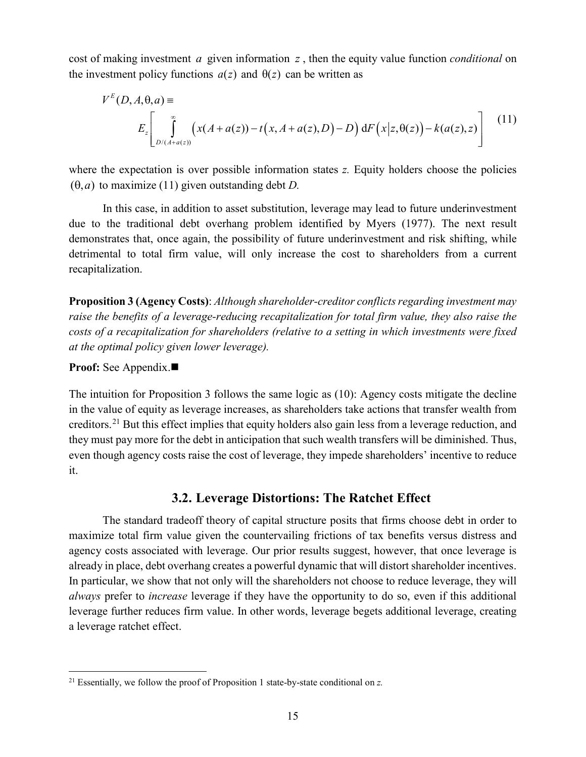cost of making investment *a* given information *z* , then the equity value function *conditional* on the investment policy functions  $a(z)$  and  $\theta(z)$  can be written as

$$
V^{E}(D, A, \theta, a) \equiv
$$
  
\n
$$
E_z \left[ \int_{D/(A+a(z))}^{\infty} \left( x(A+a(z)) - t(x, A+a(z), D) - D \right) dF(x|z, \theta(z)) - k(a(z), z) \right]
$$
(11)

where the expectation is over possible information states *z*. Equity holders choose the policies  $(0, a)$  to maximize (11) given outstanding debt *D*.

In this case, in addition to asset substitution, leverage may lead to future underinvestment due to the traditional debt overhang problem identified by Myers (1977). The next result demonstrates that, once again, the possibility of future underinvestment and risk shifting, while detrimental to total firm value, will only increase the cost to shareholders from a current recapitalization.

<span id="page-14-0"></span>**Proposition 3 (Agency Costs)**: *Although shareholder-creditor conflicts regarding investment may raise the benefits of a leverage-reducing recapitalization for total firm value, they also raise the costs of a recapitalization for shareholders (relative to a setting in which investments were fixed at the optimal policy given lower leverage).*

### **Proof:** See [Appendix.](#page-49-0)

The intuition for [Proposition](#page-14-0) 3 follows the same logic as (10): Agency costs mitigate the decline in the value of equity as leverage increases, as shareholders take actions that transfer wealth from creditors.[21](#page-14-1) But this effect implies that equity holders also gain less from a leverage reduction, and they must pay more for the debt in anticipation that such wealth transfers will be diminished. Thus, even though agency costs raise the cost of leverage, they impede shareholders' incentive to reduce it.

## <span id="page-14-2"></span>**3.2. Leverage Distortions: The Ratchet Effect**

The standard tradeoff theory of capital structure posits that firms choose debt in order to maximize total firm value given the countervailing frictions of tax benefits versus distress and agency costs associated with leverage. Our prior results suggest, however, that once leverage is already in place, debt overhang creates a powerful dynamic that will distort shareholder incentives. In particular, we show that not only will the shareholders not choose to reduce leverage, they will *always* prefer to *increase* leverage if they have the opportunity to do so, even if this additional leverage further reduces firm value. In other words, leverage begets additional leverage, creating a leverage ratchet effect.

<span id="page-14-1"></span> <sup>21</sup> Essentially, we follow the proof of [Proposition 1](#page-9-1) state-by-state conditional on *z.*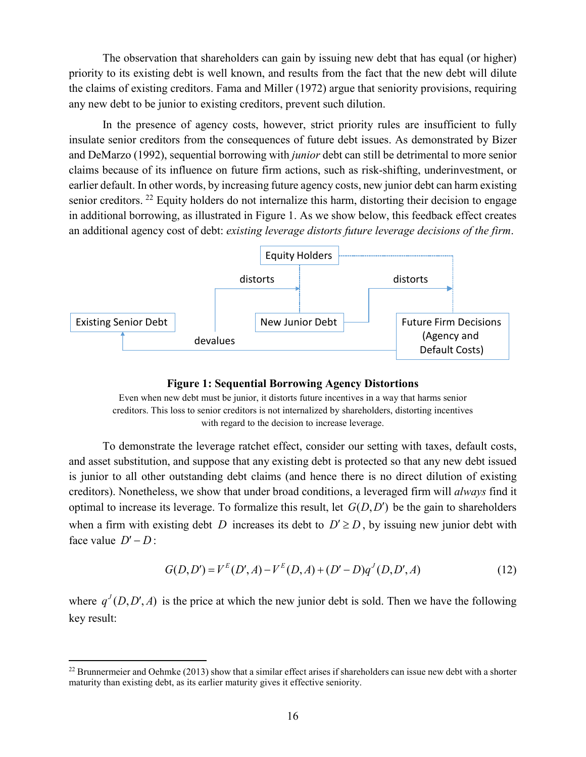The observation that shareholders can gain by issuing new debt that has equal (or higher) priority to its existing debt is well known, and results from the fact that the new debt will dilute the claims of existing creditors. Fama and Miller (1972) argue that seniority provisions, requiring any new debt to be junior to existing creditors, prevent such dilution.

In the presence of agency costs, however, strict priority rules are insufficient to fully insulate senior creditors from the consequences of future debt issues. As demonstrated by Bizer and DeMarzo (1992), sequential borrowing with *junior* debt can still be detrimental to more senior claims because of its influence on future firm actions, such as risk-shifting, underinvestment, or earlier default. In other words, by increasing future agency costs, new junior debt can harm existing senior creditors. <sup>[22](#page-15-1)</sup> Equity holders do not internalize this harm, distorting their decision to engage in additional borrowing, as illustrated in [Figure 1.](#page-15-0) As we show below, this feedback effect creates an additional agency cost of debt: *existing leverage distorts future leverage decisions of the firm*.



#### **Figure 1: Sequential Borrowing Agency Distortions**

<span id="page-15-0"></span>Even when new debt must be junior, it distorts future incentives in a way that harms senior creditors. This loss to senior creditors is not internalized by shareholders, distorting incentives with regard to the decision to increase leverage.

To demonstrate the leverage ratchet effect, consider our setting with taxes, default costs, and asset substitution, and suppose that any existing debt is protected so that any new debt issued is junior to all other outstanding debt claims (and hence there is no direct dilution of existing creditors). Nonetheless, we show that under broad conditions, a leveraged firm will *always* find it optimal to increase its leverage. To formalize this result, let  $G(D, D')$  be the gain to shareholders when a firm with existing debt *D* increases its debt to  $D' \ge D$ , by issuing new junior debt with face value  $D' - D$ :

$$
G(D, D') = V^{E}(D', A) - V^{E}(D, A) + (D' - D)q^{J}(D, D', A)
$$
\n(12)

where  $q^{J}(D, D', A)$  is the price at which the new junior debt is sold. Then we have the following key result:

<span id="page-15-1"></span><sup>&</sup>lt;sup>22</sup> Brunnermeier and Oehmke (2013) show that a similar effect arises if shareholders can issue new debt with a shorter maturity than existing debt, as its earlier maturity gives it effective seniority.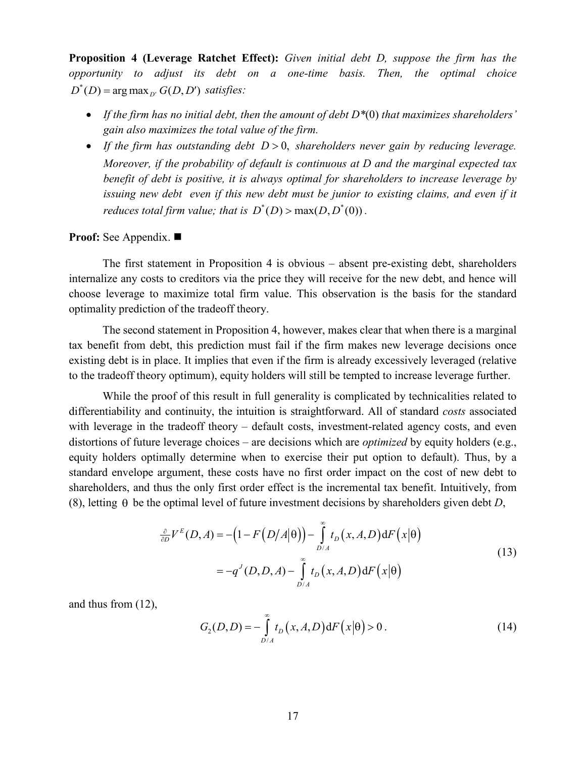<span id="page-16-0"></span>**Proposition 4 (Leverage Ratchet Effect):** *Given initial debt D, suppose the firm has the opportunity to adjust its debt on a one-time basis. Then, the optimal choice*   $D^*(D)$  =  $\arg \max_{D'} G(D, D')$  *satisfies:* 

- *If the firm has no initial debt, then the amount of debt D\**(0) *that maximizes shareholders' gain also maximizes the total value of the firm.*
- *If the firm has outstanding debt D* > 0, *shareholders never gain by reducing leverage. Moreover, if the probability of default is continuous at D and the marginal expected tax benefit of debt is positive, it is always optimal for shareholders to increase leverage by issuing new debt even if this new debt must be junior to existing claims, and even if it reduces total firm value; that is*  $D^*(D) > \max(D, D^*(0))$ .

**Proof:** See [Appendix.](#page-49-1)

The first statement in [Proposition 4](#page-16-0) is obvious – absent pre-existing debt, shareholders internalize any costs to creditors via the price they will receive for the new debt, and hence will choose leverage to maximize total firm value. This observation is the basis for the standard optimality prediction of the tradeoff theory.

The second statement in [Proposition 4,](#page-16-0) however, makes clear that when there is a marginal tax benefit from debt, this prediction must fail if the firm makes new leverage decisions once existing debt is in place. It implies that even if the firm is already excessively leveraged (relative to the tradeoff theory optimum), equity holders will still be tempted to increase leverage further.

While the proof of this result in full generality is complicated by technicalities related to differentiability and continuity, the intuition is straightforward. All of standard *costs* associated with leverage in the tradeoff theory – default costs, investment-related agency costs, and even distortions of future leverage choices – are decisions which are *optimized* by equity holders (e.g., equity holders optimally determine when to exercise their put option to default). Thus, by a standard envelope argument, these costs have no first order impact on the cost of new debt to shareholders, and thus the only first order effect is the incremental tax benefit. Intuitively, from (8), letting  $\theta$  be the optimal level of future investment decisions by shareholders given debt *D*,

$$
\frac{\partial}{\partial D}V^{E}(D,A) = -\left(1 - F(D/A|\theta)\right) - \int_{D/A}^{\infty} t_{D}(x,A,D) dF(x|\theta)
$$

$$
= -q^{J}(D,D,A) - \int_{D/A}^{\infty} t_{D}(x,A,D) dF(x|\theta)
$$
(13)

and thus from (12),

$$
G_2(D,D) = -\int_{D/A}^{\infty} t_D(x,A,D) dF(x|\theta) > 0.
$$
 (14)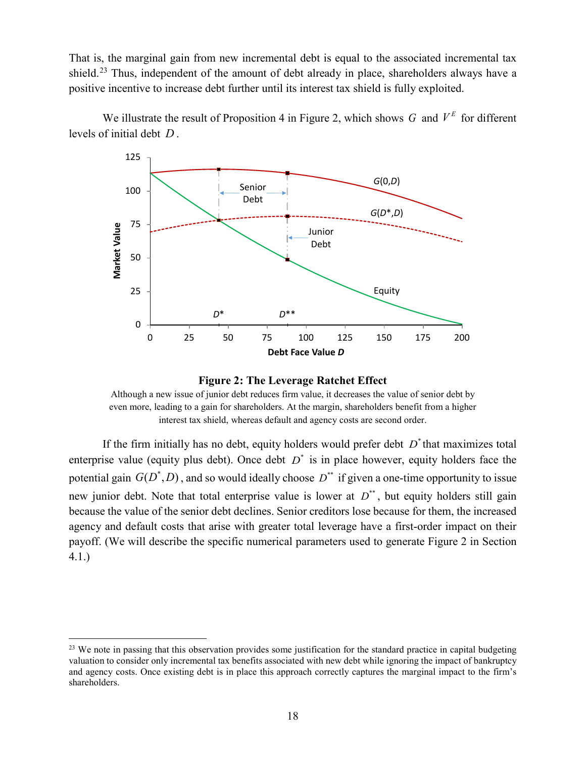That is, the marginal gain from new incremental debt is equal to the associated incremental tax shield.<sup>[23](#page-17-1)</sup> Thus, independent of the amount of debt already in place, shareholders always have a positive incentive to increase debt further until its interest tax shield is fully exploited.

We illustrate the result of [Proposition 4](#page-16-0) in [Figure 2,](#page-17-0) which shows  $G$  and  $V^E$  for different levels of initial debt *D* .





<span id="page-17-0"></span>Although a new issue of junior debt reduces firm value, it decreases the value of senior debt by even more, leading to a gain for shareholders. At the margin, shareholders benefit from a higher interest tax shield, whereas default and agency costs are second order.

If the firm initially has no debt, equity holders would prefer debt  $D^*$  that maximizes total enterprise value (equity plus debt). Once debt  $D^*$  is in place however, equity holders face the potential gain  $G(D^*, D)$ , and so would ideally choose  $D^{**}$  if given a one-time opportunity to issue new junior debt. Note that total enterprise value is lower at  $D^*$ , but equity holders still gain because the value of the senior debt declines. Senior creditors lose because for them, the increased agency and default costs that arise with greater total leverage have a first-order impact on their payoff. (We will describe the specific numerical parameters used to generate [Figure 2](#page-17-0) in Section [4.1.](#page-18-1))

<span id="page-17-1"></span><sup>&</sup>lt;sup>23</sup> We note in passing that this observation provides some justification for the standard practice in capital budgeting valuation to consider only incremental tax benefits associated with new debt while ignoring the impact of bankruptcy and agency costs. Once existing debt is in place this approach correctly captures the marginal impact to the firm's shareholders.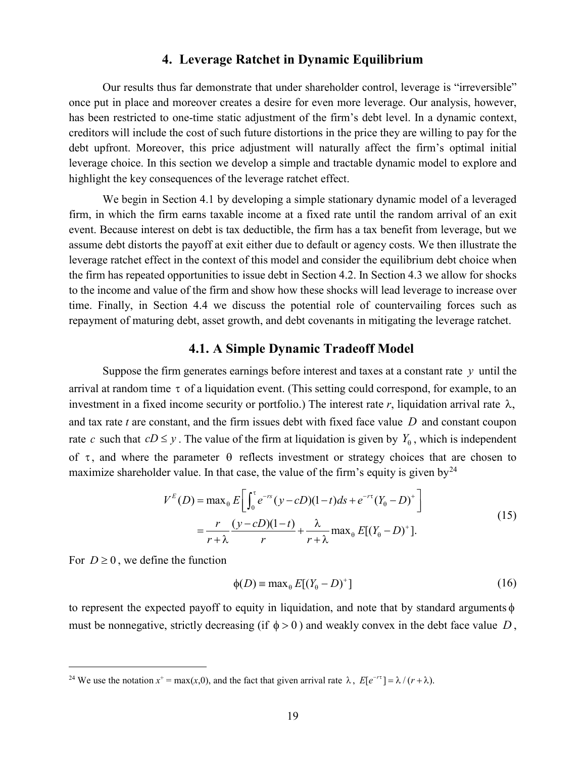# **4. Leverage Ratchet in Dynamic Equilibrium**

<span id="page-18-0"></span>Our results thus far demonstrate that under shareholder control, leverage is "irreversible" once put in place and moreover creates a desire for even more leverage. Our analysis, however, has been restricted to one-time static adjustment of the firm's debt level. In a dynamic context, creditors will include the cost of such future distortions in the price they are willing to pay for the debt upfront. Moreover, this price adjustment will naturally affect the firm's optimal initial leverage choice. In this section we develop a simple and tractable dynamic model to explore and highlight the key consequences of the leverage ratchet effect.

We begin in Section [4.1](#page-18-1) by developing a simple stationary dynamic model of a leveraged firm, in which the firm earns taxable income at a fixed rate until the random arrival of an exit event. Because interest on debt is tax deductible, the firm has a tax benefit from leverage, but we assume debt distorts the payoff at exit either due to default or agency costs. We then illustrate the leverage ratchet effect in the context of this model and consider the equilibrium debt choice when the firm has repeated opportunities to issue debt in Section [4.2.](#page-22-0) In Section [4.3](#page-25-0) we allow for shocks to the income and value of the firm and show how these shocks will lead leverage to increase over time. Finally, in Section [4.4](#page-27-0) we discuss the potential role of countervailing forces such as repayment of maturing debt, asset growth, and debt covenants in mitigating the leverage ratchet.

### <span id="page-18-1"></span>**4.1. A Simple Dynamic Tradeoff Model**

Suppose the firm generates earnings before interest and taxes at a constant rate *y* until the arrival at random time  $\tau$  of a liquidation event. (This setting could correspond, for example, to an investment in a fixed income security or portfolio.) The interest rate r, liquidation arrival rate  $\lambda$ , and tax rate *t* are constant, and the firm issues debt with fixed face value *D* and constant coupon rate *c* such that  $cD \le y$ . The value of the firm at liquidation is given by  $Y_{\theta}$ , which is independent of  $\tau$ , and where the parameter  $\theta$  reflects investment or strategy choices that are chosen to maximize shareholder value. In that case, the value of the firm's equity is given by  $2^4$ 

$$
V^{E}(D) = \max_{\theta} E \left[ \int_{0}^{\tau} e^{-rs} (y - cD)(1 - t) ds + e^{-r\tau} (Y_{\theta} - D)^{+} \right]
$$
  
=  $\frac{r}{r + \lambda} \frac{(y - cD)(1 - t)}{r} + \frac{\lambda}{r + \lambda} \max_{\theta} E[(Y_{\theta} - D)^{+}].$  (15)

For  $D \ge 0$ , we define the function

$$
\phi(D) = \max_{\theta} E[(Y_{\theta} - D)^{+}] \tag{16}
$$

to represent the expected payoff to equity in liquidation, and note that by standard arguments  $\phi$ must be nonnegative, strictly decreasing (if  $\phi > 0$ ) and weakly convex in the debt face value *D*,

<span id="page-18-2"></span><sup>&</sup>lt;sup>24</sup> We use the notation  $x^+ = \max(x,0)$ , and the fact that given arrival rate  $\lambda$ ,  $E[e^{-r\tau}] = \lambda/(r + \lambda)$ .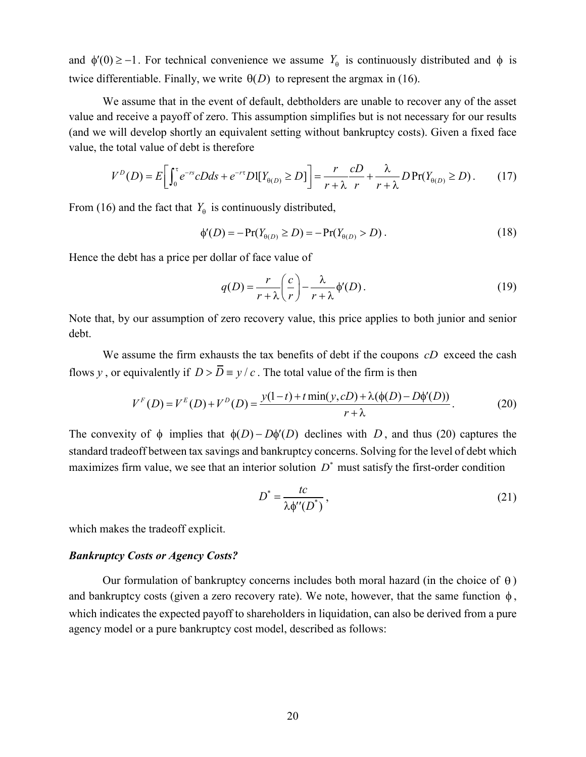and  $\phi'(0) \ge -1$ . For technical convenience we assume  $Y_{\theta}$  is continuously distributed and  $\phi$  is twice differentiable. Finally, we write  $\Theta(D)$  to represent the argmax in (16).

We assume that in the event of default, debtholders are unable to recover any of the asset value and receive a payoff of zero. This assumption simplifies but is not necessary for our results (and we will develop shortly an equivalent setting without bankruptcy costs). Given a fixed face value, the total value of debt is therefore

$$
V^{D}(D) = E\bigg[\int_0^{\tau} e^{-rs} cDds + e^{-rt} D\mathbb{I}[Y_{\theta(D)} \ge D]\bigg] = \frac{r}{r+\lambda} \frac{cD}{r} + \frac{\lambda}{r+\lambda} D\Pr(Y_{\theta(D)} \ge D). \tag{17}
$$

From (16) and the fact that  $Y_{\theta}$  is continuously distributed,

$$
\phi'(D) = -\Pr(Y_{\theta(D)} \ge D) = -\Pr(Y_{\theta(D)} > D). \tag{18}
$$

Hence the debt has a price per dollar of face value of

$$
q(D) = \frac{r}{r + \lambda} \left(\frac{c}{r}\right) - \frac{\lambda}{r + \lambda} \phi'(D). \tag{19}
$$

Note that, by our assumption of zero recovery value, this price applies to both junior and senior debt.

We assume the firm exhausts the tax benefits of debt if the coupons *cD* exceed the cash flows *y*, or equivalently if  $D > \overline{D} = y/c$ . The total value of the firm is then

$$
V^{F}(D) = V^{E}(D) + V^{D}(D) = \frac{y(1-t) + t \min(y, cD) + \lambda(\phi(D) - D\phi'(D))}{r + \lambda}.
$$
 (20)

The convexity of  $\phi$  implies that  $\phi(D) - D\phi'(D)$  declines with *D*, and thus (20) captures the standard tradeoff between tax savings and bankruptcy concerns. Solving for the level of debt which maximizes firm value, we see that an interior solution  $D^*$  must satisfy the first-order condition

$$
D^* = \frac{tc}{\lambda \phi''(D^*)},\tag{21}
$$

which makes the tradeoff explicit.

### *Bankruptcy Costs or Agency Costs?*

Our formulation of bankruptcy concerns includes both moral hazard (in the choice of  $\theta$ ) and bankruptcy costs (given a zero recovery rate). We note, however, that the same function  $\phi$ , which indicates the expected payoff to shareholders in liquidation, can also be derived from a pure agency model or a pure bankruptcy cost model, described as follows: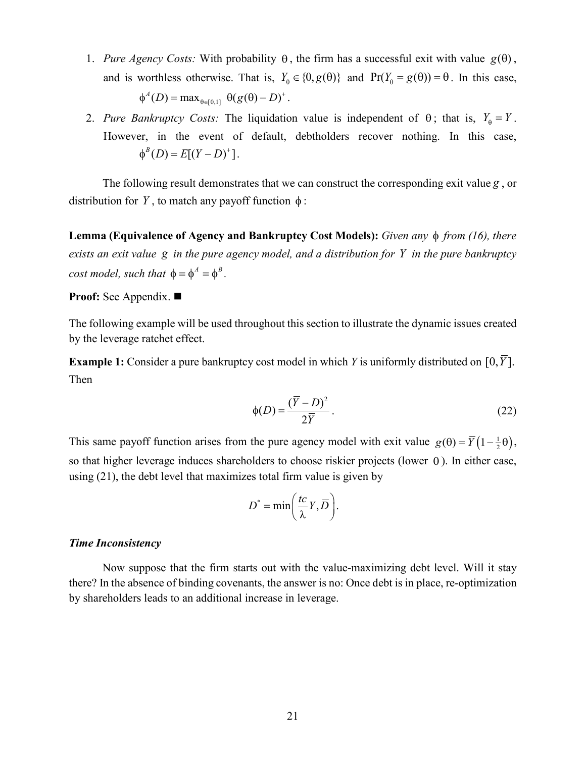- 1. *Pure Agency Costs:* With probability  $\theta$ , the firm has a successful exit with value  $g(\theta)$ , and is worthless otherwise. That is,  $Y_{\theta} \in \{0, g(\theta)\}\$  and  $Pr(Y_{\theta} = g(\theta)) = \theta$ . In this case,  $\phi^A(D) = \max_{\theta \in [0,1]} \theta(g(\theta) - D)^+$ .
- 2. *Pure Bankruptcy Costs:* The liquidation value is independent of  $\theta$ ; that is,  $Y_{\theta} = Y$ . However, in the event of default, debtholders recover nothing. In this case,  $\phi^{B}(D) = E[(Y - D)^{+}]$ .

The following result demonstrates that we can construct the corresponding exit value *g* , or distribution for *Y*, to match any payoff function  $\phi$ :

<span id="page-20-1"></span>**Lemma (Equivalence of Agency and Bankruptcy Cost Models):** *Given any* φ *from (16), there exists an exit value g in the pure agency model, and a distribution for Y in the pure bankruptcy cost model, such that*  $\phi = \phi^A = \phi^B$ .

**Proof:** See [Appendix.](#page-50-0)

The following example will be used throughout this section to illustrate the dynamic issues created by the leverage ratchet effect.

<span id="page-20-0"></span>**Example 1:** Consider a pure bankruptcy cost model in which *Y* is uniformly distributed on [0,  $\overline{Y}$ ]. Then

$$
\phi(D) = \frac{(\overline{Y} - D)^2}{2\overline{Y}}.
$$
\n(22)

This same payoff function arises from the pure agency model with exit value  $g(\theta) = \overline{Y} (1 - \frac{1}{2}\theta)$ , so that higher leverage induces shareholders to choose riskier projects (lower  $\theta$ ). In either case, using (21), the debt level that maximizes total firm value is given by

$$
D^* = \min\bigg(\frac{tc}{\lambda}Y, \overline{D}\bigg).
$$

#### *Time Inconsistency*

Now suppose that the firm starts out with the value-maximizing debt level. Will it stay there? In the absence of binding covenants, the answer is no: Once debt is in place, re-optimization by shareholders leads to an additional increase in leverage.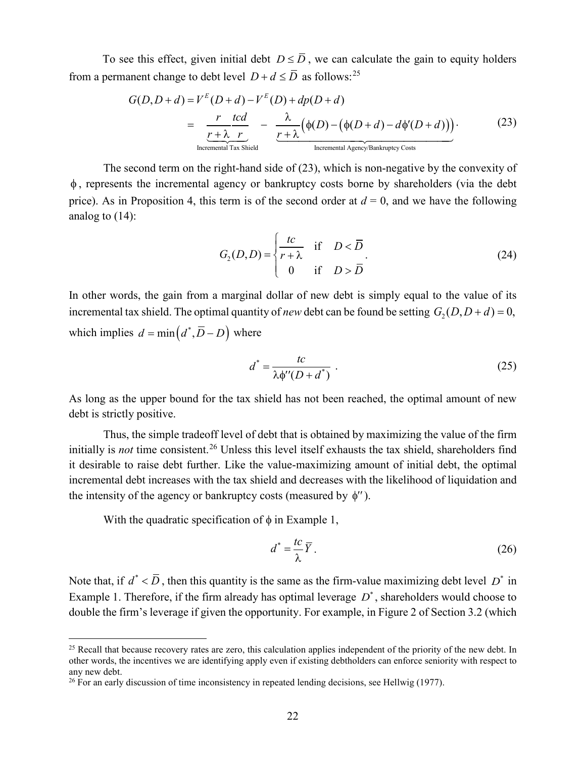To see this effect, given initial debt  $D \leq \overline{D}$ , we can calculate the gain to equity holders from a permanent change to debt level  $D + d \leq \overline{D}$  as follows:<sup>[25](#page-21-0)</sup>

$$
G(D, D+d) = V^{E}(D+d) - V^{E}(D) + dp(D+d)
$$
  
= 
$$
\frac{r}{r + \lambda} \frac{tcd}{r} - \frac{\lambda}{r + \lambda} (\phi(D) - (\phi(D+d) - d\phi'(D+d)))
$$
 (23)  
Incremental Tax Shield

The second term on the right-hand side of (23), which is non-negative by the convexity of φ , represents the incremental agency or bankruptcy costs borne by shareholders (via the debt price). As in Proposition 4, this term is of the second order at  $d = 0$ , and we have the following analog to (14):

$$
G_2(D,D) = \begin{cases} \frac{tc}{r+\lambda} & \text{if } D < \overline{D} \\ 0 & \text{if } D > \overline{D} \end{cases}
$$
 (24)

In other words, the gain from a marginal dollar of new debt is simply equal to the value of its incremental tax shield. The optimal quantity of *new* debt can be found be setting  $G_2(D, D + d) = 0$ , which implies  $d = \min (d^*, \overline{D} - D)$  where

$$
d^* = \frac{tc}{\lambda \phi''(D + d^*)} \tag{25}
$$

As long as the upper bound for the tax shield has not been reached, the optimal amount of new debt is strictly positive.

Thus, the simple tradeoff level of debt that is obtained by maximizing the value of the firm initially is *not* time consistent.<sup>[26](#page-21-1)</sup> Unless this level itself exhausts the tax shield, shareholders find it desirable to raise debt further. Like the value-maximizing amount of initial debt, the optimal incremental debt increases with the tax shield and decreases with the likelihood of liquidation and the intensity of the agency or bankruptcy costs (measured by  $\phi''$ ).

With the quadratic specification of  $\phi$  in [Example 1,](#page-20-0)

$$
d^* = \frac{tc}{\lambda} \overline{Y} \,. \tag{26}
$$

Note that, if  $d^* < \overline{D}$ , then this quantity is the same as the firm-value maximizing debt level  $D^*$  in [Example 1.](#page-20-0) Therefore, if the firm already has optimal leverage  $D^*$ , shareholders would choose to double the firm's leverage if given the opportunity. For example, in [Figure 2](#page-17-0) of Section [3.2](#page-14-2) (which

<span id="page-21-0"></span><sup>&</sup>lt;sup>25</sup> Recall that because recovery rates are zero, this calculation applies independent of the priority of the new debt. In other words, the incentives we are identifying apply even if existing debtholders can enforce seniority with respect to any new debt.

<span id="page-21-1"></span><sup>&</sup>lt;sup>26</sup> For an early discussion of time inconsistency in repeated lending decisions, see Hellwig (1977).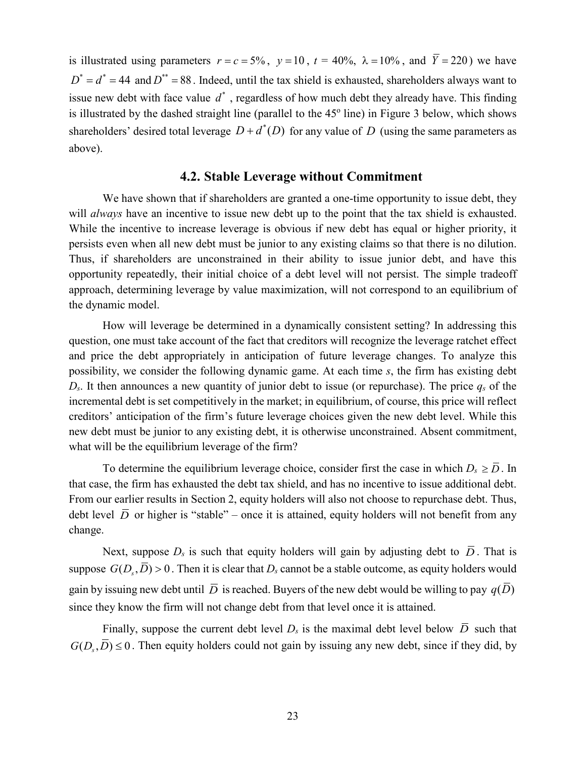is illustrated using parameters  $r = c = 5\%$ ,  $y = 10$ ,  $t = 40\%$ ,  $\lambda = 10\%$ , and  $\overline{Y} = 220$ ) we have  $D^* = d^* = 44$  and  $D^{**} = 88$ . Indeed, until the tax shield is exhausted, shareholders always want to issue new debt with face value  $d^*$ , regardless of how much debt they already have. This finding is illustrated by the dashed straight line (parallel to the  $45^{\circ}$  line) in [Figure 3](#page-24-0) below, which shows shareholders' desired total leverage  $D + d^*(D)$  for any value of *D* (using the same parameters as above).

# <span id="page-22-0"></span>**4.2. Stable Leverage without Commitment**

We have shown that if shareholders are granted a one-time opportunity to issue debt, they will *always* have an incentive to issue new debt up to the point that the tax shield is exhausted. While the incentive to increase leverage is obvious if new debt has equal or higher priority, it persists even when all new debt must be junior to any existing claims so that there is no dilution. Thus, if shareholders are unconstrained in their ability to issue junior debt, and have this opportunity repeatedly, their initial choice of a debt level will not persist. The simple tradeoff approach, determining leverage by value maximization, will not correspond to an equilibrium of the dynamic model.

How will leverage be determined in a dynamically consistent setting? In addressing this question, one must take account of the fact that creditors will recognize the leverage ratchet effect and price the debt appropriately in anticipation of future leverage changes. To analyze this possibility, we consider the following dynamic game. At each time *s*, the firm has existing debt  $D_s$ . It then announces a new quantity of junior debt to issue (or repurchase). The price  $q_s$  of the incremental debt is set competitively in the market; in equilibrium, of course, this price will reflect creditors' anticipation of the firm's future leverage choices given the new debt level. While this new debt must be junior to any existing debt, it is otherwise unconstrained. Absent commitment, what will be the equilibrium leverage of the firm?

To determine the equilibrium leverage choice, consider first the case in which  $D_s \geq \overline{D}$ . In that case, the firm has exhausted the debt tax shield, and has no incentive to issue additional debt. From our earlier results in Section [2,](#page-6-0) equity holders will also not choose to repurchase debt. Thus, debt level  $\overline{D}$  or higher is "stable" – once it is attained, equity holders will not benefit from any change.

Next, suppose  $D_s$  is such that equity holders will gain by adjusting debt to  $\overline{D}$ . That is suppose  $G(D, \overline{D}) > 0$ . Then it is clear that  $D_s$  cannot be a stable outcome, as equity holders would gain by issuing new debt until  $\overline{D}$  is reached. Buyers of the new debt would be willing to pay  $q(\overline{D})$ since they know the firm will not change debt from that level once it is attained.

Finally, suppose the current debt level  $D_s$  is the maximal debt level below  $\overline{D}$  such that  $G(D_s, \overline{D}) \le 0$ . Then equity holders could not gain by issuing any new debt, since if they did, by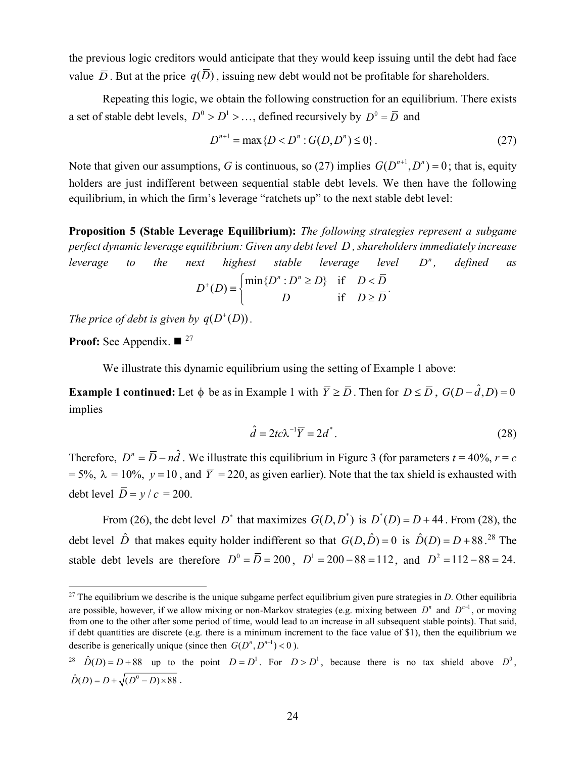the previous logic creditors would anticipate that they would keep issuing until the debt had face value  $\overline{D}$ . But at the price  $q(D)$ , issuing new debt would not be profitable for shareholders.

Repeating this logic, we obtain the following construction for an equilibrium. There exists a set of stable debt levels,  $D^0 > D^1 > ...$ , defined recursively by  $D^0 = \overline{D}$  and

$$
D^{n+1} = \max\{D < D^n : G(D, D^n) \le 0\} \,. \tag{27}
$$

Note that given our assumptions, *G* is continuous, so (27) implies  $G(D^{n+1}, D^n) = 0$ ; that is, equity holders are just indifferent between sequential stable debt levels. We then have the following equilibrium, in which the firm's leverage "ratchets up" to the next stable debt level:

<span id="page-23-2"></span>**Proposition 5 (Stable Leverage Equilibrium):** *The following strategies represent a subgame perfect dynamic leverage equilibrium: Given any debt level D , shareholders immediately increase leverage to the next highest stable leverage level D<sup>n</sup>, defined as* 

$$
D^{+}(D) \equiv \begin{cases} \min\{D^n : D^n \ge D\} & \text{if } D < \overline{D} \\ D & \text{if } D \ge \overline{D} \end{cases}.
$$

*The price of debt is given by*  $q(D^+(D))$ *.* 

**Proof:** See [Appendix.](#page-51-0)  $\blacksquare$ <sup>[27](#page-23-0)</sup>

We illustrate this dynamic equilibrium using the setting of [Example 1](#page-20-0) above:

**Example 1 continued:** Let  $\phi$  be as in [Example 1](#page-20-0) with  $\overline{Y} \geq \overline{D}$ . Then for  $D \leq \overline{D}$ ,  $G(D - \hat{d}, D) = 0$ implies

$$
\hat{d} = 2tc\lambda^{-1}\overline{Y} = 2d^*.
$$
\n(28)

Therefore,  $D^n = \overline{D} - n\hat{d}$ . We illustrate this equilibrium in [Figure 3](#page-24-0) (for parameters  $t = 40\%$ ,  $r = c$ = 5%,  $\lambda = 10$ %,  $y = 10$ , and  $\overline{Y} = 220$ , as given earlier). Note that the tax shield is exhausted with debt level  $\overline{D} = v/c = 200$ .

From (26), the debt level  $D^*$  that maximizes  $G(D, D^*)$  is  $D^*(D) = D + 44$ . From (28), the debt level  $\hat{D}$  that makes equity holder indifferent so that  $G(D, \hat{D}) = 0$  is  $\hat{D}(D) = D + 88$ .<sup>[28](#page-23-1)</sup> The stable debt levels are therefore  $D^0 = \overline{D} = 200$ ,  $D^1 = 200 - 88 = 112$ , and  $D^2 = 112 - 88 = 24$ .

<span id="page-23-0"></span><sup>&</sup>lt;sup>27</sup> The equilibrium we describe is the unique subgame perfect equilibrium given pure strategies in *D*. Other equilibria are possible, however, if we allow mixing or non-Markov strategies (e.g. mixing between  $D^n$  and  $D^{n-1}$ , or moving from one to the other after some period of time, would lead to an increase in all subsequent stable points). That said, if debt quantities are discrete (e.g. there is a minimum increment to the face value of  $$1$ ), then the equilibrium we describe is generically unique (since then  $G(D^n, D^{n-1}) < 0$ ).

<span id="page-23-1"></span><sup>&</sup>lt;sup>28</sup>  $\hat{D}(D) = D + 88$  up to the point  $D = D^1$ . For  $D > D^1$ , because there is no tax shield above  $D^0$ ,  $\hat{D}(D) = D + \sqrt{(D^0 - D) \times 88}$ .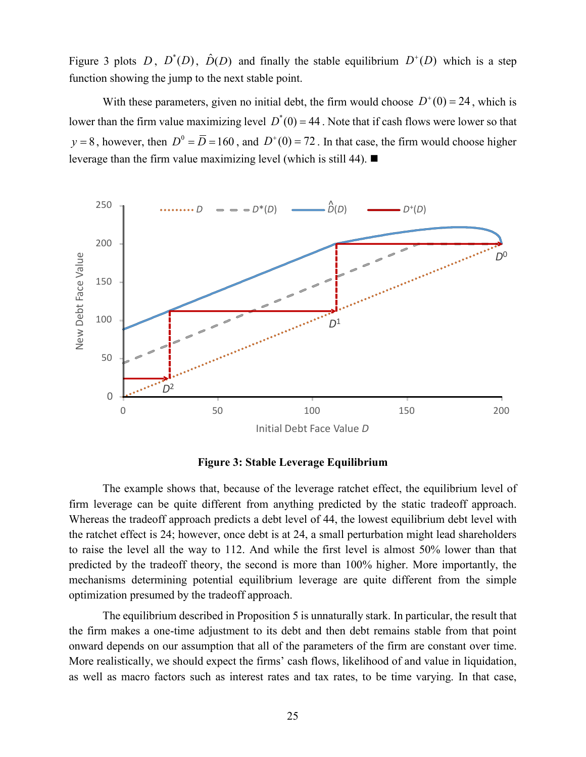[Figure 3](#page-24-0) plots *D*,  $D^*(D)$ ,  $\hat{D}(D)$  and finally the stable equilibrium  $D^*(D)$  which is a step function showing the jump to the next stable point.

With these parameters, given no initial debt, the firm would choose  $D^+(0) = 24$ , which is lower than the firm value maximizing level  $D^*(0) = 44$ . Note that if cash flows were lower so that  $y = 8$ , however, then  $D^0 = \overline{D} = 160$ , and  $D^+(0) = 72$ . In that case, the firm would choose higher leverage than the firm value maximizing level (which is still 44).  $\blacksquare$ 



#### **Figure 3: Stable Leverage Equilibrium**

<span id="page-24-0"></span>The example shows that, because of the leverage ratchet effect, the equilibrium level of firm leverage can be quite different from anything predicted by the static tradeoff approach. Whereas the tradeoff approach predicts a debt level of 44, the lowest equilibrium debt level with the ratchet effect is 24; however, once debt is at 24, a small perturbation might lead shareholders to raise the level all the way to 112. And while the first level is almost 50% lower than that predicted by the tradeoff theory, the second is more than 100% higher. More importantly, the mechanisms determining potential equilibrium leverage are quite different from the simple optimization presumed by the tradeoff approach.

The equilibrium described in [Proposition 5](#page-23-2) is unnaturally stark. In particular, the result that the firm makes a one-time adjustment to its debt and then debt remains stable from that point onward depends on our assumption that all of the parameters of the firm are constant over time. More realistically, we should expect the firms' cash flows, likelihood of and value in liquidation, as well as macro factors such as interest rates and tax rates, to be time varying. In that case,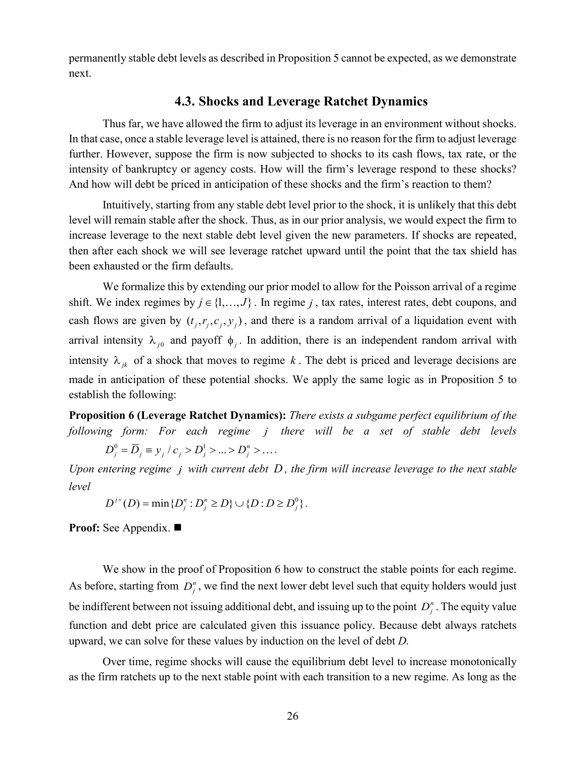permanently stable debt levels as described in [Proposition 5](#page-23-2) cannot be expected, as we demonstrate next.

# <span id="page-25-0"></span>**4.3. Shocks and Leverage Ratchet Dynamics**

Thus far, we have allowed the firm to adjust its leverage in an environment without shocks. In that case, once a stable leverage level is attained, there is no reason for the firm to adjust leverage further. However, suppose the firm is now subjected to shocks to its cash flows, tax rate, or the intensity of bankruptcy or agency costs. How will the firm's leverage respond to these shocks? And how will debt be priced in anticipation of these shocks and the firm's reaction to them?

Intuitively, starting from any stable debt level prior to the shock, it is unlikely that this debt level will remain stable after the shock. Thus, as in our prior analysis, we would expect the firm to increase leverage to the next stable debt level given the new parameters. If shocks are repeated, then after each shock we will see leverage ratchet upward until the point that the tax shield has been exhausted or the firm defaults.

We formalize this by extending our prior model to allow for the Poisson arrival of a regime shift. We index regimes by  $j \in \{1, ..., J\}$ . In regime *j*, tax rates, interest rates, debt coupons, and cash flows are given by  $(t_i, r_i, c_i, y_i)$ , and there is a random arrival of a liquidation event with arrival intensity  $\lambda_{i0}$  and payoff  $\phi_i$ . In addition, there is an independent random arrival with intensity  $\lambda_{ik}$  of a shock that moves to regime  $k$ . The debt is priced and leverage decisions are made in anticipation of these potential shocks. We apply the same logic as in [Proposition 5](#page-23-2) to establish the following:

<span id="page-25-1"></span>**Proposition 6 (Leverage Ratchet Dynamics):** *There exists a subgame perfect equilibrium of the following form: For each regime j there will be a set of stable debt levels* 

 $D_i^0 = \overline{D}_i \equiv y_i / c_i > D_i^1 > ... > D_i^n > ...$ 

*Upon entering regime j with current debt D , the firm will increase leverage to the next stable level*

 $D^{j+}(D) = \min \{ D_j^n : D_j^n \ge D \} \cup \{ D : D \ge D_j^0 \}.$ 

**Proof:** See [Appendix.](#page-51-1)

We show in the proof of [Proposition 6](#page-25-1) how to construct the stable points for each regime. As before, starting from  $D_i^n$ , we find the next lower debt level such that equity holders would just be indifferent between not issuing additional debt, and issuing up to the point  $D_i^n$ . The equity value function and debt price are calculated given this issuance policy. Because debt always ratchets upward, we can solve for these values by induction on the level of debt *D.*

Over time, regime shocks will cause the equilibrium debt level to increase monotonically as the firm ratchets up to the next stable point with each transition to a new regime. As long as the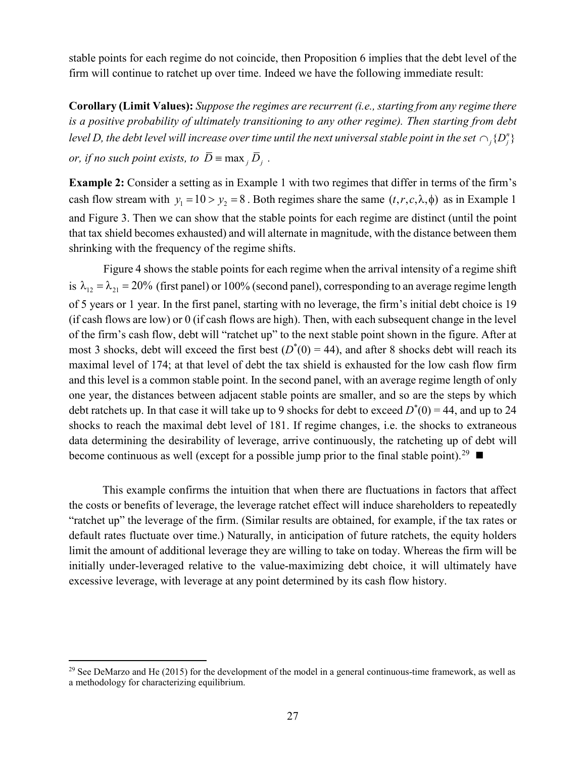stable points for each regime do not coincide, then [Proposition 6](#page-25-1) implies that the debt level of the firm will continue to ratchet up over time. Indeed we have the following immediate result:

**Corollary (Limit Values):** *Suppose the regimes are recurrent (i.e., starting from any regime there is a positive probability of ultimately transitioning to any other regime). Then starting from debt level D, the debt level will increase over time until the next universal stable point in the set*  $\cap$ *<sub><i>i*</sub>  $\{D_i^n\}$ *or, if no such point exists, to*  $\overline{D}$   $\equiv$   $\max_j \overline{D}_j$ .

**Example 2:** Consider a setting as in [Example 1](#page-20-0) with two regimes that differ in terms of the firm's cash flow stream with  $y_1 = 10 > y_2 = 8$ . Both regimes share the same  $(t, r, c, \lambda, \phi)$  as in [Example 1](#page-20-0) and [Figure 3.](#page-24-0) Then we can show that the stable points for each regime are distinct (until the point that tax shield becomes exhausted) and will alternate in magnitude, with the distance between them shrinking with the frequency of the regime shifts.

[Figure 4](#page-27-1) shows the stable points for each regime when the arrival intensity of a regime shift is  $\lambda_{12} = \lambda_{21} = 20\%$  (first panel) or 100% (second panel), corresponding to an average regime length of 5 years or 1 year. In the first panel, starting with no leverage, the firm's initial debt choice is 19 (if cash flows are low) or 0 (if cash flows are high). Then, with each subsequent change in the level of the firm's cash flow, debt will "ratchet up" to the next stable point shown in the figure. After at most 3 shocks, debt will exceed the first best  $(D^*(0) = 44)$ , and after 8 shocks debt will reach its maximal level of 174; at that level of debt the tax shield is exhausted for the low cash flow firm and this level is a common stable point. In the second panel, with an average regime length of only one year, the distances between adjacent stable points are smaller, and so are the steps by which debt ratchets up. In that case it will take up to 9 shocks for debt to exceed  $D^*(0) = 44$ , and up to 24 shocks to reach the maximal debt level of 181. If regime changes, i.e. the shocks to extraneous data determining the desirability of leverage, arrive continuously, the ratcheting up of debt will become continuous as well (except for a possible jump prior to the final stable point).<sup>[29](#page-26-0)</sup>

This example confirms the intuition that when there are fluctuations in factors that affect the costs or benefits of leverage, the leverage ratchet effect will induce shareholders to repeatedly "ratchet up" the leverage of the firm. (Similar results are obtained, for example, if the tax rates or default rates fluctuate over time.) Naturally, in anticipation of future ratchets, the equity holders limit the amount of additional leverage they are willing to take on today. Whereas the firm will be initially under-leveraged relative to the value-maximizing debt choice, it will ultimately have excessive leverage, with leverage at any point determined by its cash flow history.

<span id="page-26-0"></span><sup>&</sup>lt;sup>29</sup> See DeMarzo and He (2015) for the development of the model in a general continuous-time framework, as well as a methodology for characterizing equilibrium.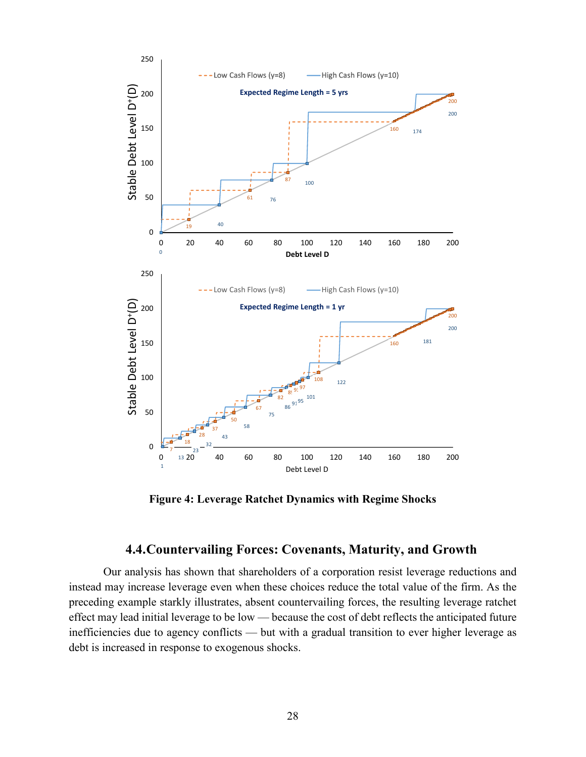

<span id="page-27-1"></span>**Figure 4: Leverage Ratchet Dynamics with Regime Shocks**

# **4.4.Countervailing Forces: Covenants, Maturity, and Growth**

<span id="page-27-0"></span>Our analysis has shown that shareholders of a corporation resist leverage reductions and instead may increase leverage even when these choices reduce the total value of the firm. As the preceding example starkly illustrates, absent countervailing forces, the resulting leverage ratchet effect may lead initial leverage to be low — because the cost of debt reflects the anticipated future inefficiencies due to agency conflicts — but with a gradual transition to ever higher leverage as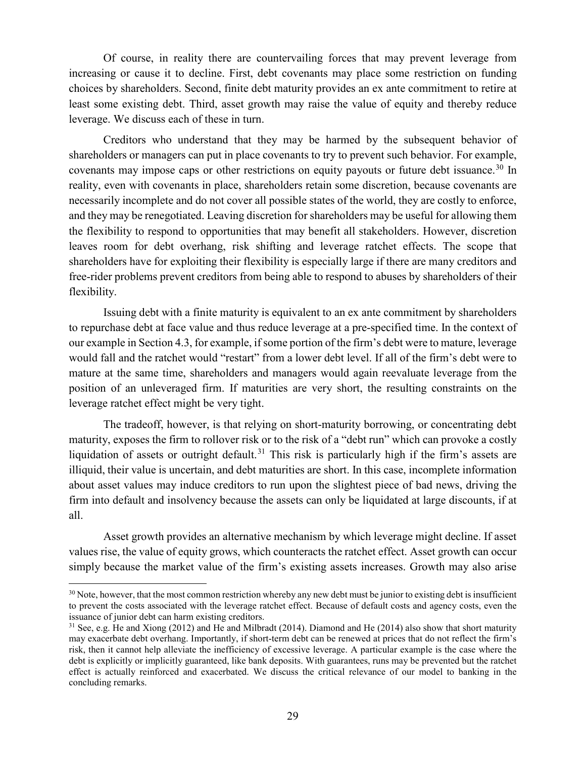Of course, in reality there are countervailing forces that may prevent leverage from increasing or cause it to decline. First, debt covenants may place some restriction on funding choices by shareholders. Second, finite debt maturity provides an ex ante commitment to retire at least some existing debt. Third, asset growth may raise the value of equity and thereby reduce leverage. We discuss each of these in turn.

Creditors who understand that they may be harmed by the subsequent behavior of shareholders or managers can put in place covenants to try to prevent such behavior. For example, covenants may impose caps or other restrictions on equity payouts or future debt issuance.<sup>[30](#page-28-0)</sup> In reality, even with covenants in place, shareholders retain some discretion, because covenants are necessarily incomplete and do not cover all possible states of the world, they are costly to enforce, and they may be renegotiated. Leaving discretion for shareholders may be useful for allowing them the flexibility to respond to opportunities that may benefit all stakeholders. However, discretion leaves room for debt overhang, risk shifting and leverage ratchet effects. The scope that shareholders have for exploiting their flexibility is especially large if there are many creditors and free-rider problems prevent creditors from being able to respond to abuses by shareholders of their flexibility.

Issuing debt with a finite maturity is equivalent to an ex ante commitment by shareholders to repurchase debt at face value and thus reduce leverage at a pre-specified time. In the context of our example in Section [4.3,](#page-25-0) for example, if some portion of the firm's debt were to mature, leverage would fall and the ratchet would "restart" from a lower debt level. If all of the firm's debt were to mature at the same time, shareholders and managers would again reevaluate leverage from the position of an unleveraged firm. If maturities are very short, the resulting constraints on the leverage ratchet effect might be very tight.

The tradeoff, however, is that relying on short-maturity borrowing, or concentrating debt maturity, exposes the firm to rollover risk or to the risk of a "debt run" which can provoke a costly liquidation of assets or outright default.<sup>[31](#page-28-1)</sup> This risk is particularly high if the firm's assets are illiquid, their value is uncertain, and debt maturities are short. In this case, incomplete information about asset values may induce creditors to run upon the slightest piece of bad news, driving the firm into default and insolvency because the assets can only be liquidated at large discounts, if at all.

Asset growth provides an alternative mechanism by which leverage might decline. If asset values rise, the value of equity grows, which counteracts the ratchet effect. Asset growth can occur simply because the market value of the firm's existing assets increases. Growth may also arise

<span id="page-28-0"></span><sup>&</sup>lt;sup>30</sup> Note, however, that the most common restriction whereby any new debt must be junior to existing debt is insufficient to prevent the costs associated with the leverage ratchet effect. Because of default costs and agency costs, even the issuance of junior debt can harm existing creditors.

<span id="page-28-1"></span><sup>&</sup>lt;sup>31</sup> See, e.g. He and Xiong (2012) and He and Milbradt (2014). Diamond and He (2014) also show that short maturity may exacerbate debt overhang. Importantly, if short-term debt can be renewed at prices that do not reflect the firm's risk, then it cannot help alleviate the inefficiency of excessive leverage. A particular example is the case where the debt is explicitly or implicitly guaranteed, like bank deposits. With guarantees, runs may be prevented but the ratchet effect is actually reinforced and exacerbated. We discuss the critical relevance of our model to banking in the concluding remarks.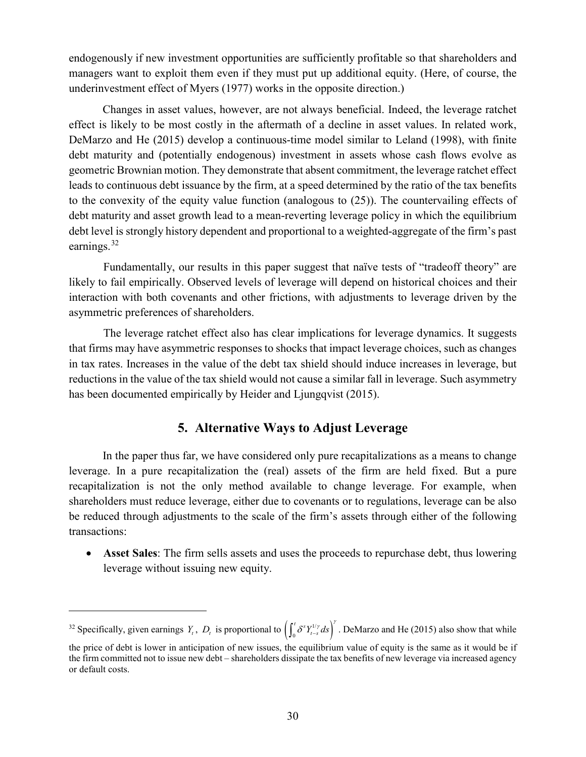endogenously if new investment opportunities are sufficiently profitable so that shareholders and managers want to exploit them even if they must put up additional equity. (Here, of course, the underinvestment effect of Myers (1977) works in the opposite direction.)

Changes in asset values, however, are not always beneficial. Indeed, the leverage ratchet effect is likely to be most costly in the aftermath of a decline in asset values. In related work, DeMarzo and He (2015) develop a continuous-time model similar to Leland (1998), with finite debt maturity and (potentially endogenous) investment in assets whose cash flows evolve as geometric Brownian motion. They demonstrate that absent commitment, the leverage ratchet effect leads to continuous debt issuance by the firm, at a speed determined by the ratio of the tax benefits to the convexity of the equity value function (analogous to (25)). The countervailing effects of debt maturity and asset growth lead to a mean-reverting leverage policy in which the equilibrium debt level is strongly history dependent and proportional to a weighted-aggregate of the firm's past earnings.<sup>[32](#page-29-1)</sup>

Fundamentally, our results in this paper suggest that naïve tests of "tradeoff theory" are likely to fail empirically. Observed levels of leverage will depend on historical choices and their interaction with both covenants and other frictions, with adjustments to leverage driven by the asymmetric preferences of shareholders.

The leverage ratchet effect also has clear implications for leverage dynamics. It suggests that firms may have asymmetric responses to shocks that impact leverage choices, such as changes in tax rates. Increases in the value of the debt tax shield should induce increases in leverage, but reductions in the value of the tax shield would not cause a similar fall in leverage. Such asymmetry has been documented empirically by Heider and Ljungqvist (2015).

# **5. Alternative Ways to Adjust Leverage**

<span id="page-29-0"></span>In the paper thus far, we have considered only pure recapitalizations as a means to change leverage. In a pure recapitalization the (real) assets of the firm are held fixed. But a pure recapitalization is not the only method available to change leverage. For example, when shareholders must reduce leverage, either due to covenants or to regulations, leverage can be also be reduced through adjustments to the scale of the firm's assets through either of the following transactions:

• **Asset Sales**: The firm sells assets and uses the proceeds to repurchase debt, thus lowering leverage without issuing new equity.

 $\overline{a}$ 

<span id="page-29-1"></span><sup>&</sup>lt;sup>32</sup> Specifically, given earnings  $Y_t$ ,  $D_t$  is proportional to  $\left(\int_0^t \delta^s Y_{t-s}^{1/\gamma} ds\right)$  $\int_0^t \delta^s Y_{t-s}^{1/\gamma} ds \bigg)^{\gamma}$ . DeMarzo and He (2015) also show that while

the price of debt is lower in anticipation of new issues, the equilibrium value of equity is the same as it would be if the firm committed not to issue new debt – shareholders dissipate the tax benefits of new leverage via increased agency or default costs.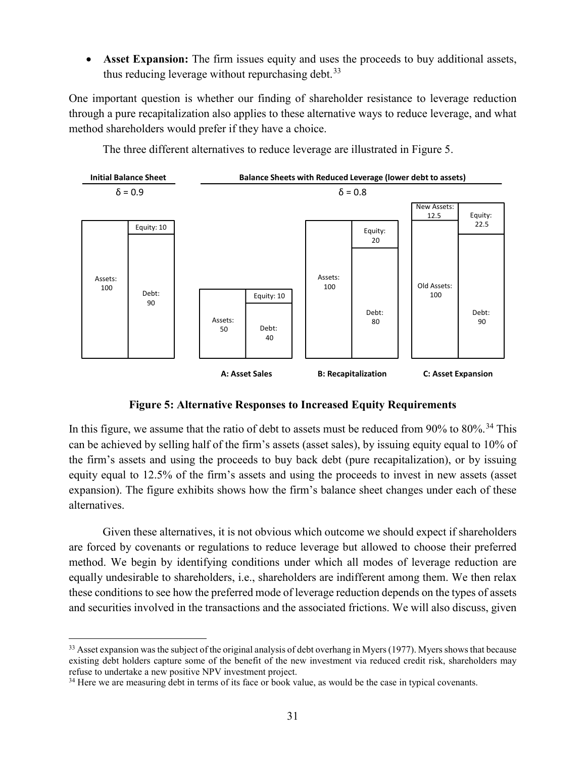• **Asset Expansion:** The firm issues equity and uses the proceeds to buy additional assets, thus reducing leverage without repurchasing debt.  $33$ 

One important question is whether our finding of shareholder resistance to leverage reduction through a pure recapitalization also applies to these alternative ways to reduce leverage, and what method shareholders would prefer if they have a choice.



The three different alternatives to reduce leverage are illustrated in [Figure 5.](#page-30-0)

## **Figure 5: Alternative Responses to Increased Equity Requirements**

<span id="page-30-0"></span>In this figure, we assume that the ratio of debt to assets must be reduced from  $90\%$  to  $80\%$ .<sup>[34](#page-30-2)</sup> This can be achieved by selling half of the firm's assets (asset sales), by issuing equity equal to 10% of the firm's assets and using the proceeds to buy back debt (pure recapitalization), or by issuing equity equal to 12.5% of the firm's assets and using the proceeds to invest in new assets (asset expansion). The figure exhibits shows how the firm's balance sheet changes under each of these alternatives.

Given these alternatives, it is not obvious which outcome we should expect if shareholders are forced by covenants or regulations to reduce leverage but allowed to choose their preferred method. We begin by identifying conditions under which all modes of leverage reduction are equally undesirable to shareholders, i.e., shareholders are indifferent among them. We then relax these conditions to see how the preferred mode of leverage reduction depends on the types of assets and securities involved in the transactions and the associated frictions. We will also discuss, given

<span id="page-30-1"></span><sup>&</sup>lt;sup>33</sup> Asset expansion was the subject of the original analysis of debt overhang in Myers (1977). Myers shows that because existing debt holders capture some of the benefit of the new investment via reduced credit risk, shareholders may refuse to undertake a new positive NPV investment project.<br><sup>34</sup> Here we are measuring debt in terms of its face or book value, as would be the case in typical covenants.

<span id="page-30-2"></span>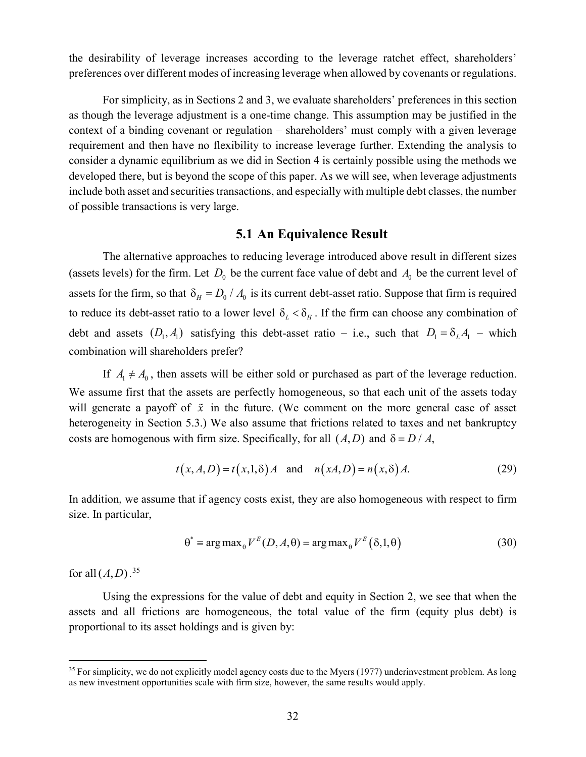the desirability of leverage increases according to the leverage ratchet effect, shareholders' preferences over different modes of increasing leverage when allowed by covenants or regulations.

For simplicity, as in Sections [2](#page-6-0) and [3,](#page-12-0) we evaluate shareholders' preferences in this section as though the leverage adjustment is a one-time change. This assumption may be justified in the context of a binding covenant or regulation – shareholders' must comply with a given leverage requirement and then have no flexibility to increase leverage further. Extending the analysis to consider a dynamic equilibrium as we did in Section [4](#page-18-0) is certainly possible using the methods we developed there, but is beyond the scope of this paper. As we will see, when leverage adjustments include both asset and securities transactions, and especially with multiple debt classes, the number of possible transactions is very large.

### **5.1 An Equivalence Result**

The alternative approaches to reducing leverage introduced above result in different sizes (assets levels) for the firm. Let  $D_0$  be the current face value of debt and  $A_0$  be the current level of assets for the firm, so that  $\delta_H = D_0 / A_0$  is its current debt-asset ratio. Suppose that firm is required to reduce its debt-asset ratio to a lower level  $\delta_L < \delta_H$ . If the firm can choose any combination of debt and assets  $(D_1, A_1)$  satisfying this debt-asset ratio – i.e., such that  $D_1 = \delta_L A_1$  – which combination will shareholders prefer?

If  $A_1 \neq A_0$ , then assets will be either sold or purchased as part of the leverage reduction. We assume first that the assets are perfectly homogeneous, so that each unit of the assets today will generate a payoff of  $\tilde{x}$  in the future. (We comment on the more general case of asset heterogeneity in Section [5.3.](#page-39-0)) We also assume that frictions related to taxes and net bankruptcy costs are homogenous with firm size. Specifically, for all  $(A, D)$  and  $\delta = D/A$ ,

$$
t(x, A, D) = t(x, 1, \delta) A \quad \text{and} \quad n(xA, D) = n(x, \delta) A. \tag{29}
$$

In addition, we assume that if agency costs exist, they are also homogeneous with respect to firm size. In particular,

$$
\theta^* = \arg \max_{\theta} V^E(D, A, \theta) = \arg \max_{\theta} V^E(\delta, 1, \theta)
$$
\n(30)

for all  $(A, D)$ .<sup>[35](#page-31-0)</sup>

Using the expressions for the value of debt and equity in Section [2,](#page-6-0) we see that when the assets and all frictions are homogeneous, the total value of the firm (equity plus debt) is proportional to its asset holdings and is given by:

<span id="page-31-0"></span><sup>&</sup>lt;sup>35</sup> For simplicity, we do not explicitly model agency costs due to the Myers (1977) underinvestment problem. As long as new investment opportunities scale with firm size, however, the same results would apply.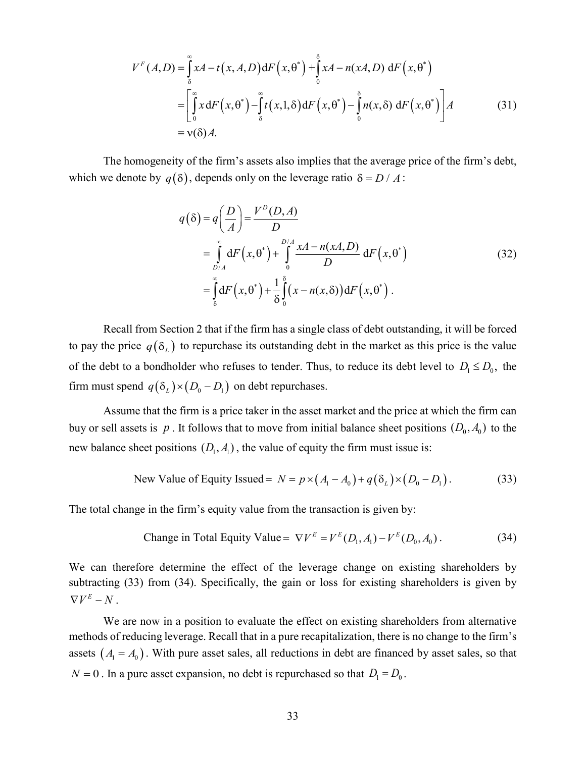$$
V^{F}(A,D) = \int_{\delta}^{\infty} xA - t(x, A, D) dF(x, \theta^{*}) + \int_{0}^{\delta} xA - n(xA, D) dF(x, \theta^{*})
$$
  
\n
$$
= \left[ \int_{0}^{\infty} x dF(x, \theta^{*}) - \int_{\delta}^{\infty} t(x, 1, \delta) dF(x, \theta^{*}) - \int_{0}^{\delta} n(x, \delta) dF(x, \theta^{*}) \right] A
$$
(31)  
\n
$$
= v(\delta) A.
$$

The homogeneity of the firm's assets also implies that the average price of the firm's debt, which we denote by  $q(\delta)$ , depends only on the leverage ratio  $\delta = D/A$ :

$$
q(\delta) = q\left(\frac{D}{A}\right) = \frac{V^D(D, A)}{D}
$$
  
= 
$$
\int_{D/A}^{\infty} dF(x, \theta^*) + \int_{0}^{D/A} \frac{xA - n(xA, D)}{D} dF(x, \theta^*)
$$
  
= 
$$
\int_{\delta}^{\infty} dF(x, \theta^*) + \frac{1}{\delta} \int_{0}^{\delta} (x - n(x, \delta)) dF(x, \theta^*)
$$
 (32)

Recall from Section [2](#page-6-0) that if the firm has a single class of debt outstanding, it will be forced to pay the price  $q(\delta_L)$  to repurchase its outstanding debt in the market as this price is the value of the debt to a bondholder who refuses to tender. Thus, to reduce its debt level to  $D_1 \le D_0$ , the firm must spend  $q(\delta_L) \times (D_0 - D_1)$  on debt repurchases.

Assume that the firm is a price taker in the asset market and the price at which the firm can buy or sell assets is  $p$ . It follows that to move from initial balance sheet positions  $(D_0, A_0)$  to the new balance sheet positions  $(D_1, A_1)$ , the value of equity the firm must issue is:

New Value of Equity Issued = 
$$
N = p \times (A_1 - A_0) + q(\delta_L) \times (D_0 - D_1)
$$
. (33)

The total change in the firm's equity value from the transaction is given by:

Change in Total Equity Value = 
$$
\nabla V^E = V^E(D_1, A_1) - V^E(D_0, A_0)
$$
. (34)

We can therefore determine the effect of the leverage change on existing shareholders by subtracting (33) from (34). Specifically, the gain or loss for existing shareholders is given by  $\nabla V^E - N$ .

We are now in a position to evaluate the effect on existing shareholders from alternative methods of reducing leverage. Recall that in a pure recapitalization, there is no change to the firm's assets  $(A_1 = A_0)$ . With pure asset sales, all reductions in debt are financed by asset sales, so that  $N = 0$ . In a pure asset expansion, no debt is repurchased so that  $D_1 = D_0$ .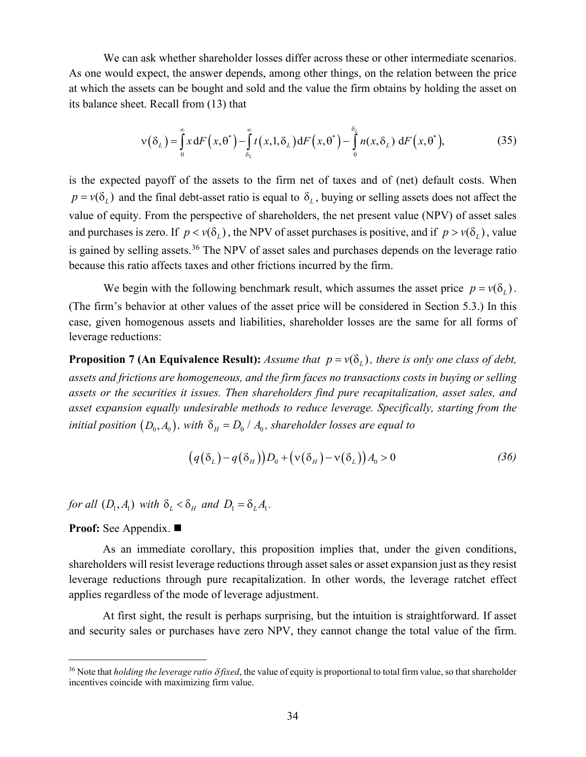We can ask whether shareholder losses differ across these or other intermediate scenarios. As one would expect, the answer depends, among other things, on the relation between the price at which the assets can be bought and sold and the value the firm obtains by holding the asset on its balance sheet. Recall from (13) that

$$
\mathbf{v}(\delta_L) = \int_0^{\infty} x \, dF\left(x, \theta^*\right) - \int_{\delta_L}^{\infty} t\left(x, 1, \delta_L\right) dF\left(x, \theta^*\right) - \int_0^{\delta_L} n(x, \delta_L) \, dF\left(x, \theta^*\right),\tag{35}
$$

is the expected payoff of the assets to the firm net of taxes and of (net) default costs. When  $p = v(\delta_i)$  and the final debt-asset ratio is equal to  $\delta_i$ , buying or selling assets does not affect the value of equity. From the perspective of shareholders, the net present value (NPV) of asset sales and purchases is zero. If  $p < v(\delta_1)$ , the NPV of asset purchases is positive, and if  $p > v(\delta_1)$ , value is gained by selling assets.<sup>[36](#page-33-0)</sup> The NPV of asset sales and purchases depends on the leverage ratio because this ratio affects taxes and other frictions incurred by the firm.

We begin with the following benchmark result, which assumes the asset price  $p = v(\delta_l)$ . (The firm's behavior at other values of the asset price will be considered in Section [5.3.](#page-39-0)) In this case, given homogenous assets and liabilities, shareholder losses are the same for all forms of leverage reductions:

<span id="page-33-1"></span>**Proposition 7 (An Equivalence Result):** *Assume that*  $p = v(\delta_1)$ *, there is only one class of debt, assets and frictions are homogeneous, and the firm faces no transactions costs in buying or selling assets or the securities it issues. Then shareholders find pure recapitalization, asset sales, and asset expansion equally undesirable methods to reduce leverage. Specifically, starting from the initial position*  $(D_0, A_0)$ *, with*  $\delta_H = D_0 / A_0$ *, shareholder losses are equal to* 

$$
(q(\delta_L) - q(\delta_H))D_0 + (\nu(\delta_H) - \nu(\delta_L))A_0 > 0
$$
\n(36)

*for all*  $(D_1, A_1)$  *with*  $\delta_L < \delta_H$  *and*  $D_1 = \delta_L A_1$ .

**Proof:** See [Appendix.](#page-52-0) ■

As an immediate corollary, this proposition implies that, under the given conditions, shareholders will resist leverage reductions through asset sales or asset expansion just as they resist leverage reductions through pure recapitalization. In other words, the leverage ratchet effect applies regardless of the mode of leverage adjustment.

At first sight, the result is perhaps surprising, but the intuition is straightforward. If asset and security sales or purchases have zero NPV, they cannot change the total value of the firm.

<span id="page-33-0"></span> <sup>36</sup> Note that *holding the leverage ratio* <sup>δ</sup> *fixed*, the value of equity is proportional to total firm value, so that shareholder incentives coincide with maximizing firm value.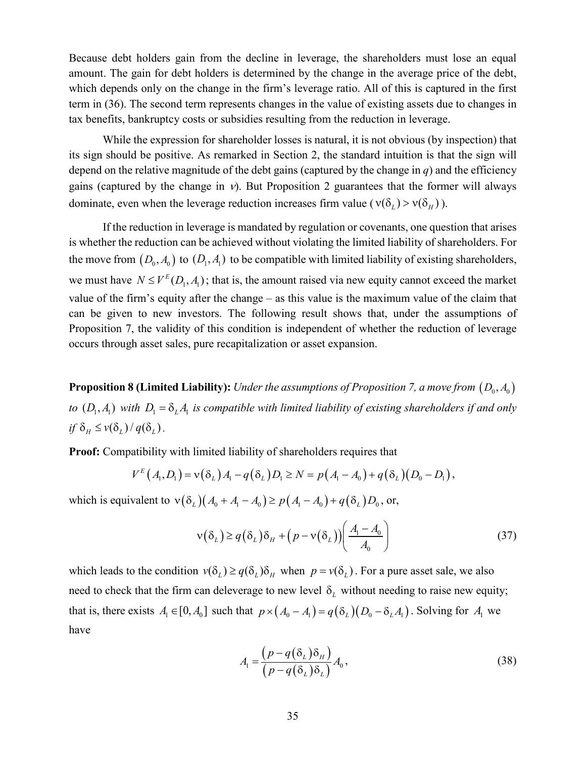Because debt holders gain from the decline in leverage, the shareholders must lose an equal amount. The gain for debt holders is determined by the change in the average price of the debt, which depends only on the change in the firm's leverage ratio. All of this is captured in the first term in (36). The second term represents changes in the value of existing assets due to changes in tax benefits, bankruptcy costs or subsidies resulting from the reduction in leverage.

While the expression for shareholder losses is natural, it is not obvious (by inspection) that its sign should be positive. As remarked in Section [2,](#page-6-0) the standard intuition is that the sign will depend on the relative magnitude of the debt gains (captured by the change in *q*) and the efficiency gains (captured by the change in  $v$ ). But [Proposition 2](#page-11-2) guarantees that the former will always dominate, even when the leverage reduction increases firm value ( $v(\delta_L) > v(\delta_H)$ ).

If the reduction in leverage is mandated by regulation or covenants, one question that arises is whether the reduction can be achieved without violating the limited liability of shareholders. For the move from  $(D_0, A_0)$  to  $(D_1, A_1)$  to be compatible with limited liability of existing shareholders, we must have  $N \le V^E(D_1, A_1)$ ; that is, the amount raised via new equity cannot exceed the market value of the firm's equity after the change – as this value is the maximum value of the claim that can be given to new investors. The following result shows that, under the assumptions of [Proposition 7,](#page-33-1) the validity of this condition is independent of whether the reduction of leverage occurs through asset sales, pure recapitalization or asset expansion.

**Proposition 8 (Limited Liability):** *Under the assumptions o[f Proposition 7,](#page-33-1) a move from*  $(D_0, A_0)$ *to*  $(D_1, A_1)$  with  $D_1 = \delta_L A_1$  is compatible with limited liability of existing shareholders if and only *if*  $\delta$ <sub>*H*</sub>  $\leq v(\delta$ <sub>*I*</sub> $)/q(\delta$ <sub>*I*</sub> $).$ 

**Proof:** Compatibility with limited liability of shareholders requires that

$$
V^{E}(A_{1}, D_{1}) = \mathbf{v}(\delta_{L}) A_{1} - q(\delta_{L}) D_{1} \geq N = p(A_{1} - A_{0}) + q(\delta_{L})(D_{0} - D_{1}),
$$

which is equivalent to  $v(\delta_L)(A_0 + A_1 - A_0) \ge p(A_1 - A_0) + q(\delta_L)D_0$ , or,

$$
v(\delta_L) \ge q(\delta_L) \delta_H + \left(p - v(\delta_L)\right) \left(\frac{A_1 - A_0}{A_0}\right) \tag{37}
$$

which leads to the condition  $v(\delta_l) \geq q(\delta_l)\delta_H$  when  $p = v(\delta_l)$ . For a pure asset sale, we also need to check that the firm can deleverage to new level  $\delta$ , without needing to raise new equity; that is, there exists  $A_1 \in [0, A_0]$  such that  $p \times (A_0 - A_1) = q(\delta_L)(D_0 - \delta_L A_1)$ . Solving for  $A_1$  we have

$$
A_1 = \frac{\left(p - q(\delta_L)\delta_H\right)}{\left(p - q(\delta_L)\delta_L\right)} A_0,
$$
\n(38)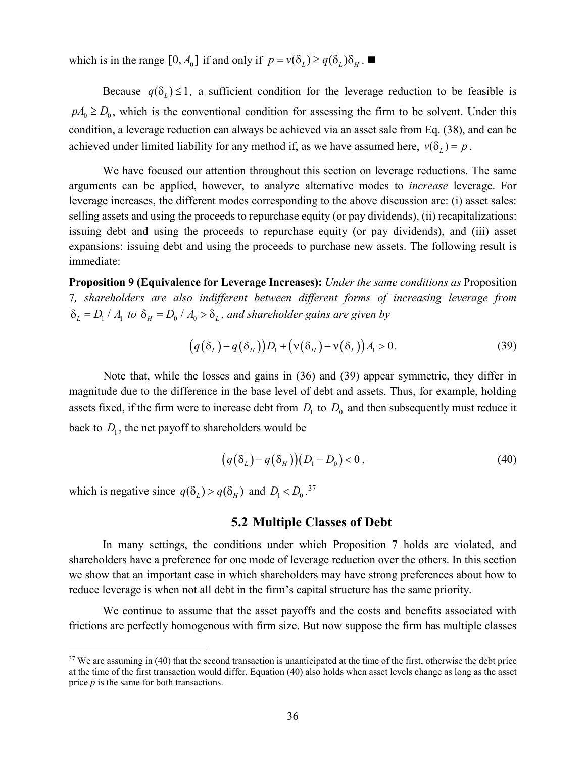which is in the range  $[0, A_0]$  if and only if  $p = v(\delta_L) \geq q(\delta_L) \delta_H$ .

Because  $q(\delta_l) \leq 1$ , a sufficient condition for the leverage reduction to be feasible is  $pA_0 \ge D_0$ , which is the conventional condition for assessing the firm to be solvent. Under this condition, a leverage reduction can always be achieved via an asset sale from Eq. (38), and can be achieved under limited liability for any method if, as we have assumed here,  $v(\delta_i) = p$ .

We have focused our attention throughout this section on leverage reductions. The same arguments can be applied, however, to analyze alternative modes to *increase* leverage. For leverage increases, the different modes corresponding to the above discussion are: (i) asset sales: selling assets and using the proceeds to repurchase equity (or pay dividends), (ii) recapitalizations: issuing debt and using the proceeds to repurchase equity (or pay dividends), and (iii) asset expansions: issuing debt and using the proceeds to purchase new assets. The following result is immediate:

<span id="page-35-1"></span>**Proposition 9 (Equivalence for Leverage Increases):** *Under the same conditions as* [Proposition](#page-33-1)  [7](#page-33-1)*, shareholders are also indifferent between different forms of increasing leverage from*  $\delta_L = D_1 / A_1$  to  $\delta_H = D_0 / A_0 > \delta_L$ , and shareholder gains are given by

$$
(q(\delta_L) - q(\delta_H))D_1 + (\nu(\delta_H) - \nu(\delta_L))A_1 > 0. \tag{39}
$$

Note that, while the losses and gains in (36) and (39) appear symmetric, they differ in magnitude due to the difference in the base level of debt and assets. Thus, for example, holding assets fixed, if the firm were to increase debt from  $D_1$  to  $D_0$  and then subsequently must reduce it back to  $D_1$ , the net payoff to shareholders would be

$$
(q(\delta_L) - q(\delta_H))(D_1 - D_0) < 0\tag{40}
$$

which is negative since  $q(\delta_L) > q(\delta_H)$  and  $D_1 < D_0$ .<sup>[37](#page-35-0)</sup>

# **5.2 Multiple Classes of Debt**

In many settings, the conditions under which [Proposition 7](#page-33-1) holds are violated, and shareholders have a preference for one mode of leverage reduction over the others. In this section we show that an important case in which shareholders may have strong preferences about how to reduce leverage is when not all debt in the firm's capital structure has the same priority.

We continue to assume that the asset payoffs and the costs and benefits associated with frictions are perfectly homogenous with firm size. But now suppose the firm has multiple classes

<span id="page-35-0"></span><sup>&</sup>lt;sup>37</sup> We are assuming in (40) that the second transaction is unanticipated at the time of the first, otherwise the debt price at the time of the first transaction would differ. Equation (40) also holds when asset levels change as long as the asset price *p* is the same for both transactions.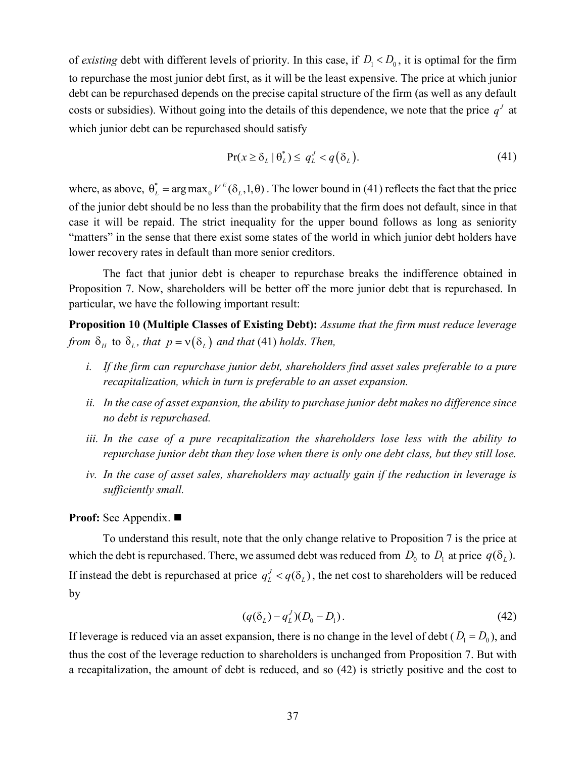of *existing* debt with different levels of priority. In this case, if  $D_1 < D_0$ , it is optimal for the firm to repurchase the most junior debt first, as it will be the least expensive. The price at which junior debt can be repurchased depends on the precise capital structure of the firm (as well as any default costs or subsidies). Without going into the details of this dependence, we note that the price  $q<sup>J</sup>$  at which junior debt can be repurchased should satisfy

$$
\Pr(x \ge \delta_L \mid \theta_L^*) \le q_L^J < q(\delta_L). \tag{41}
$$

where, as above,  $\theta_L^* = \arg \max_{\theta} V^E(\delta_L, 1, \theta)$ . The lower bound in (41) reflects the fact that the price of the junior debt should be no less than the probability that the firm does not default, since in that case it will be repaid. The strict inequality for the upper bound follows as long as seniority "matters" in the sense that there exist some states of the world in which junior debt holders have lower recovery rates in default than more senior creditors.

The fact that junior debt is cheaper to repurchase breaks the indifference obtained in [Proposition 7.](#page-33-1) Now, shareholders will be better off the more junior debt that is repurchased. In particular, we have the following important result:

<span id="page-36-0"></span>**Proposition 10 (Multiple Classes of Existing Debt):** *Assume that the firm must reduce leverage from*  $\delta$ <sub>*H*</sub> to  $\delta$ <sub>*L*</sub>, *that*  $p = v(\delta$ <sub>*L*</sub> ) *and that* (41) *holds. Then,* 

- *i. If the firm can repurchase junior debt, shareholders find asset sales preferable to a pure recapitalization, which in turn is preferable to an asset expansion.*
- *ii. In the case of asset expansion, the ability to purchase junior debt makes no difference since no debt is repurchased.*
- *iii. In the case of a pure recapitalization the shareholders lose less with the ability to repurchase junior debt than they lose when there is only one debt class, but they still lose.*
- *iv. In the case of asset sales, shareholders may actually gain if the reduction in leverage is sufficiently small.*

### **Proof:** See [Appendix.](#page-52-1) ■

To understand this result, note that the only change relative to [Proposition 7](#page-33-1) is the price at which the debt is repurchased. There, we assumed debt was reduced from  $D_0$  to  $D_1$  at price  $q(\delta_L)$ . If instead the debt is repurchased at price  $q_L^J < q(\delta_L)$ , the net cost to shareholders will be reduced by

$$
(q(\delta_L) - q_L^J)(D_0 - D_1).
$$
 (42)

If leverage is reduced via an asset expansion, there is no change in the level of debt  $(D_1 = D_0)$ , and thus the cost of the leverage reduction to shareholders is unchanged from [Proposition 7.](#page-33-1) But with a recapitalization, the amount of debt is reduced, and so (42) is strictly positive and the cost to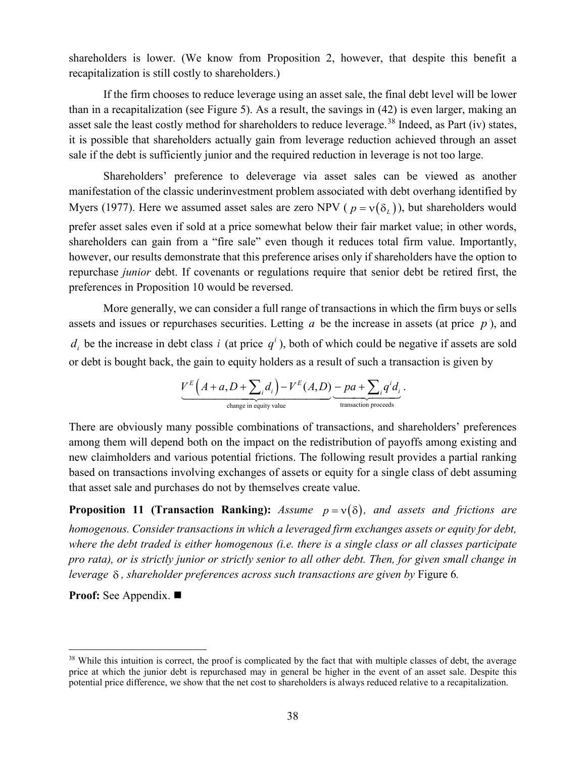shareholders is lower. (We know from [Proposition 2,](#page-11-2) however, that despite this benefit a recapitalization is still costly to shareholders.)

If the firm chooses to reduce leverage using an asset sale, the final debt level will be lower than in a recapitalization (see [Figure 5\)](#page-30-0). As a result, the savings in (42) is even larger, making an asset sale the least costly method for shareholders to reduce leverage.<sup>[38](#page-37-0)</sup> Indeed, as Part (iv) states, it is possible that shareholders actually gain from leverage reduction achieved through an asset sale if the debt is sufficiently junior and the required reduction in leverage is not too large.

Shareholders' preference to deleverage via asset sales can be viewed as another manifestation of the classic underinvestment problem associated with debt overhang identified by Myers (1977). Here we assumed asset sales are zero NPV ( $p = v(\delta_i)$ ), but shareholders would prefer asset sales even if sold at a price somewhat below their fair market value; in other words, shareholders can gain from a "fire sale" even though it reduces total firm value. Importantly, however, our results demonstrate that this preference arises only if shareholders have the option to repurchase *junior* debt. If covenants or regulations require that senior debt be retired first, the preferences in [Proposition 10](#page-36-0) would be reversed.

More generally, we can consider a full range of transactions in which the firm buys or sells assets and issues or repurchases securities. Letting *a* be the increase in assets (at price *p* ), and  $d_i$  be the increase in debt class *i* (at price  $q^i$ ), both of which could be negative if assets are sold or debt is bought back, the gain to equity holders as a result of such a transaction is given by

$$
\underbrace{V^{E}\left(A+a,D+\sum_{i}d_{i}\right)-V^{E}(A,D)}_{\text{change in equity value}}\underbrace{-pa+\sum_{i}q^{i}d_{i}}_{\text{transaction proceeds}}.
$$

There are obviously many possible combinations of transactions, and shareholders' preferences among them will depend both on the impact on the redistribution of payoffs among existing and new claimholders and various potential frictions. The following result provides a partial ranking based on transactions involving exchanges of assets or equity for a single class of debt assuming that asset sale and purchases do not by themselves create value.

<span id="page-37-1"></span>**Proposition 11 (Transaction Ranking):** *Assume*  $p = v(\delta)$ *, and assets and frictions are homogenous. Consider transactions in which a leveraged firm exchanges assets or equity for debt, where the debt traded is either homogenous (i.e. there is a single class or all classes participate pro rata), or is strictly junior or strictly senior to all other debt. Then, for given small change in leverage* δ *, shareholder preferences across such transactions are given by* [Figure 6](#page-38-0)*.*

**Proof:** See [Appendix.](#page-54-0) ■

<span id="page-37-0"></span><sup>&</sup>lt;sup>38</sup> While this intuition is correct, the proof is complicated by the fact that with multiple classes of debt, the average price at which the junior debt is repurchased may in general be higher in the event of an asset sale. Despite this potential price difference, we show that the net cost to shareholders is always reduced relative to a recapitalization.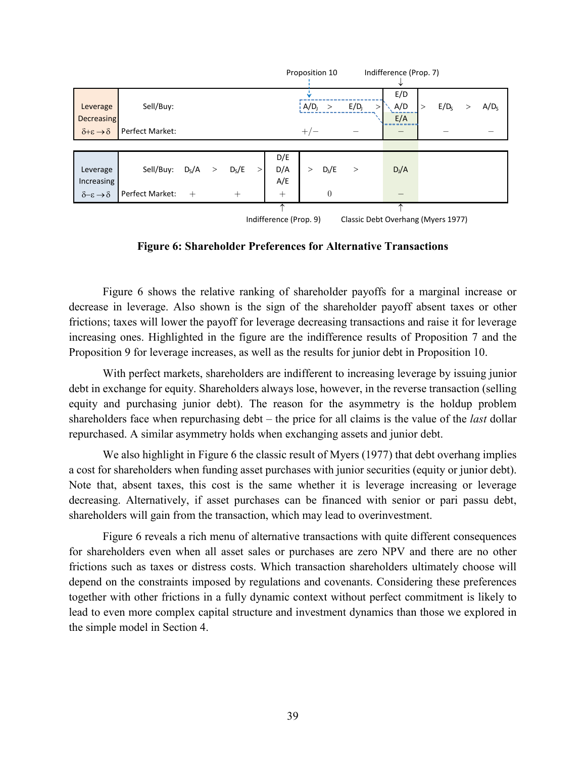|                                                              |                 |         |              |         |  |        |                                | Proposition 10 |                  |        | Indifference (Prop. 7) |        |                  |  |                  |
|--------------------------------------------------------------|-----------------|---------|--------------|---------|--|--------|--------------------------------|----------------|------------------|--------|------------------------|--------|------------------|--|------------------|
|                                                              |                 |         |              |         |  |        |                                |                |                  |        |                        |        |                  |  |                  |
|                                                              |                 |         |              |         |  |        |                                |                |                  |        | E/D                    |        |                  |  |                  |
| Leverage                                                     | Sell/Buy:       |         |              |         |  |        | $\frac{1}{2}$ A/D <sub>J</sub> | $\geq$         | E/D <sub>j</sub> | $\geq$ | A/D                    | $\geq$ | E/D <sub>s</sub> |  | A/D <sub>S</sub> |
| <b>Decreasing</b>                                            |                 |         |              |         |  |        |                                |                |                  |        | E/A                    |        |                  |  |                  |
| $\delta + \varepsilon \rightarrow \delta$                    | Perfect Market: |         |              |         |  |        | $+/-$                          |                |                  |        |                        |        |                  |  |                  |
|                                                              |                 |         |              |         |  |        |                                |                |                  |        |                        |        |                  |  |                  |
|                                                              |                 |         |              |         |  | D/E    |                                |                |                  |        |                        |        |                  |  |                  |
| Leverage                                                     | Sell/Buy:       | $D_S/A$ | $\mathbf{r}$ | $D_S/E$ |  | D/A    | $\geq$                         | $D_j/E$        | $\rm{>}$         |        | $D_J/A$                |        |                  |  |                  |
| <b>Increasing</b>                                            |                 |         |              |         |  | A/E    |                                |                |                  |        |                        |        |                  |  |                  |
| $\delta-\varepsilon\to\delta$                                | Perfect Market: | $+$     |              | $+$     |  | $^{+}$ |                                | $\Omega$       |                  |        |                        |        |                  |  |                  |
|                                                              |                 |         |              |         |  |        |                                |                |                  |        |                        |        |                  |  |                  |
| Indifference (Prop. 9)<br>Classic Debt Overhang (Myers 1977) |                 |         |              |         |  |        |                                |                |                  |        |                        |        |                  |  |                  |

**Figure 6: Shareholder Preferences for Alternative Transactions**

<span id="page-38-0"></span>[Figure 6](#page-38-0) shows the relative ranking of shareholder payoffs for a marginal increase or decrease in leverage. Also shown is the sign of the shareholder payoff absent taxes or other frictions; taxes will lower the payoff for leverage decreasing transactions and raise it for leverage increasing ones. Highlighted in the figure are the indifference results of [Proposition 7](#page-33-1) and the [Proposition 9](#page-35-1) for leverage increases, as well as the results for junior debt in [Proposition 10.](#page-36-0)

With perfect markets, shareholders are indifferent to increasing leverage by issuing junior debt in exchange for equity. Shareholders always lose, however, in the reverse transaction (selling equity and purchasing junior debt). The reason for the asymmetry is the holdup problem shareholders face when repurchasing debt – the price for all claims is the value of the *last* dollar repurchased. A similar asymmetry holds when exchanging assets and junior debt.

We also highlight in [Figure 6](#page-38-0) the classic result of Myers (1977) that debt overhang implies a cost for shareholders when funding asset purchases with junior securities (equity or junior debt). Note that, absent taxes, this cost is the same whether it is leverage increasing or leverage decreasing. Alternatively, if asset purchases can be financed with senior or pari passu debt, shareholders will gain from the transaction, which may lead to overinvestment.

[Figure 6](#page-38-0) reveals a rich menu of alternative transactions with quite different consequences for shareholders even when all asset sales or purchases are zero NPV and there are no other frictions such as taxes or distress costs. Which transaction shareholders ultimately choose will depend on the constraints imposed by regulations and covenants. Considering these preferences together with other frictions in a fully dynamic context without perfect commitment is likely to lead to even more complex capital structure and investment dynamics than those we explored in the simple model in Section [4.](#page-18-0)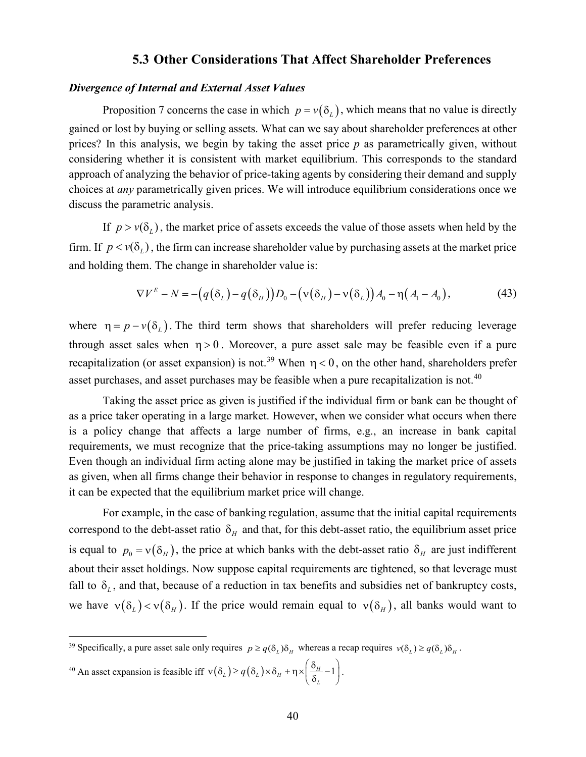### <span id="page-39-0"></span>**5.3 Other Considerations That Affect Shareholder Preferences**

#### *Divergence of Internal and External Asset Values*

[Proposition 7](#page-33-1) concerns the case in which  $p = v(\delta_1)$ , which means that no value is directly gained or lost by buying or selling assets. What can we say about shareholder preferences at other prices? In this analysis, we begin by taking the asset price *p* as parametrically given, without considering whether it is consistent with market equilibrium. This corresponds to the standard approach of analyzing the behavior of price-taking agents by considering their demand and supply choices at *any* parametrically given prices. We will introduce equilibrium considerations once we discuss the parametric analysis.

If  $p > v(\delta_i)$ , the market price of assets exceeds the value of those assets when held by the firm. If  $p < v(\delta)$ , the firm can increase shareholder value by purchasing assets at the market price and holding them. The change in shareholder value is:

$$
\nabla V^{E} - N = -(q(\delta_{L}) - q(\delta_{H}))D_{0} - (\nu(\delta_{H}) - \nu(\delta_{L}))A_{0} - \eta(A_{1} - A_{0}),
$$
\n(43)

where  $\eta = p - v(\delta)$ . The third term shows that shareholders will prefer reducing leverage through asset sales when  $\eta > 0$ . Moreover, a pure asset sale may be feasible even if a pure recapitalization (or asset expansion) is not.<sup>[39](#page-39-1)</sup> When  $\eta$  < 0, on the other hand, shareholders prefer asset purchases, and asset purchases may be feasible when a pure recapitalization is not.<sup>[40](#page-39-2)</sup>

Taking the asset price as given is justified if the individual firm or bank can be thought of as a price taker operating in a large market. However, when we consider what occurs when there is a policy change that affects a large number of firms, e.g., an increase in bank capital requirements, we must recognize that the price-taking assumptions may no longer be justified. Even though an individual firm acting alone may be justified in taking the market price of assets as given, when all firms change their behavior in response to changes in regulatory requirements, it can be expected that the equilibrium market price will change.

For example, in the case of banking regulation, assume that the initial capital requirements correspond to the debt-asset ratio  $\delta$ <sub>H</sub> and that, for this debt-asset ratio, the equilibrium asset price is equal to  $p_0 = v(\delta_H)$ , the price at which banks with the debt-asset ratio  $\delta_H$  are just indifferent about their asset holdings. Now suppose capital requirements are tightened, so that leverage must fall to  $\delta_L$ , and that, because of a reduction in tax benefits and subsidies net of bankruptcy costs, we have  $v(\delta_L) < v(\delta_H)$ . If the price would remain equal to  $v(\delta_H)$ , all banks would want to

<sup>40</sup> An asset expansion is feasible iff  $v(\delta_L) \ge q(\delta_L) \times \delta_H + \eta \times \left(\frac{\delta_H}{\delta_L} - 1\right)$ .

<span id="page-39-2"></span><span id="page-39-1"></span><sup>&</sup>lt;sup>39</sup> Specifically, a pure asset sale only requires  $p \geq q(\delta)$ ,  $\delta$ <sub>H</sub> whereas a recap requires  $v(\delta) \geq q(\delta)$ ,  $\delta$ <sub>H</sub>.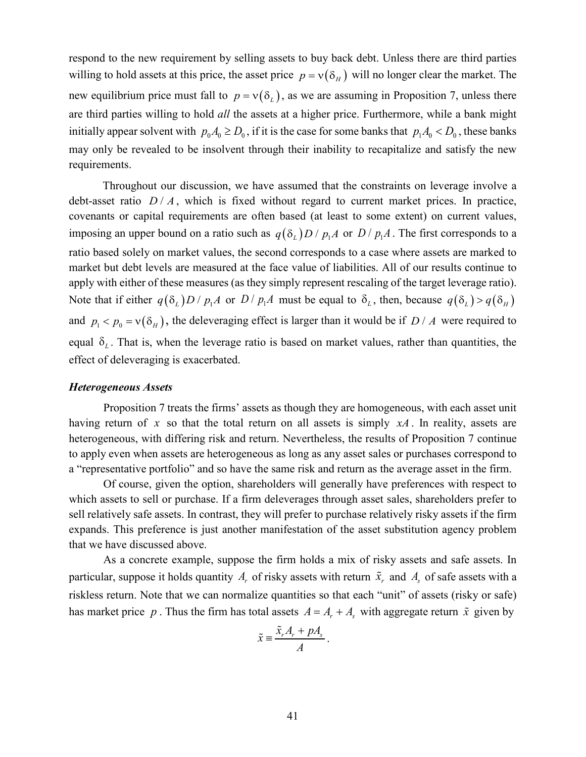respond to the new requirement by selling assets to buy back debt. Unless there are third parties willing to hold assets at this price, the asset price  $p = v(\delta_H)$  will no longer clear the market. The new equilibrium price must fall to  $p = v(\delta_t)$ , as we are assuming in [Proposition 7,](#page-33-1) unless there are third parties willing to hold *all* the assets at a higher price. Furthermore, while a bank might initially appear solvent with  $p_0 A_0 \ge D_0$ , if it is the case for some banks that  $p_1 A_0 < D_0$ , these banks may only be revealed to be insolvent through their inability to recapitalize and satisfy the new requirements.

Throughout our discussion, we have assumed that the constraints on leverage involve a debt-asset ratio  $D/A$ , which is fixed without regard to current market prices. In practice, covenants or capital requirements are often based (at least to some extent) on current values, imposing an upper bound on a ratio such as  $q(\delta_l) D / p_l A$  or  $D / p_l A$ . The first corresponds to a ratio based solely on market values, the second corresponds to a case where assets are marked to market but debt levels are measured at the face value of liabilities. All of our results continue to apply with either of these measures (as they simply represent rescaling of the target leverage ratio). Note that if either  $q(\delta_l) D / p_l A$  or  $D / p_l A$  must be equal to  $\delta_l$ , then, because  $q(\delta_l) > q(\delta_H)$ and  $p_1 < p_0 = v(\delta_H)$ , the deleveraging effect is larger than it would be if  $D/A$  were required to equal  $\delta$ <sub>*l*</sub>. That is, when the leverage ratio is based on market values, rather than quantities, the effect of deleveraging is exacerbated.

#### *Heterogeneous Assets*

[Proposition 7](#page-33-1) treats the firms' assets as though they are homogeneous, with each asset unit having return of x so that the total return on all assets is simply  $xA$ . In reality, assets are heterogeneous, with differing risk and return. Nevertheless, the results of [Proposition 7](#page-33-1) continue to apply even when assets are heterogeneous as long as any asset sales or purchases correspond to a "representative portfolio" and so have the same risk and return as the average asset in the firm.

Of course, given the option, shareholders will generally have preferences with respect to which assets to sell or purchase. If a firm deleverages through asset sales, shareholders prefer to sell relatively safe assets. In contrast, they will prefer to purchase relatively risky assets if the firm expands. This preference is just another manifestation of the asset substitution agency problem that we have discussed above.

As a concrete example, suppose the firm holds a mix of risky assets and safe assets. In particular, suppose it holds quantity  $A_r$  of risky assets with return  $\tilde{x}_r$  and  $A_s$  of safe assets with a riskless return. Note that we can normalize quantities so that each "unit" of assets (risky or safe) has market price p. Thus the firm has total assets  $A = A_r + A_s$  with aggregate return  $\tilde{x}$  given by

$$
\tilde{x} \equiv \frac{\tilde{x}_r A_r + p A_s}{A}.
$$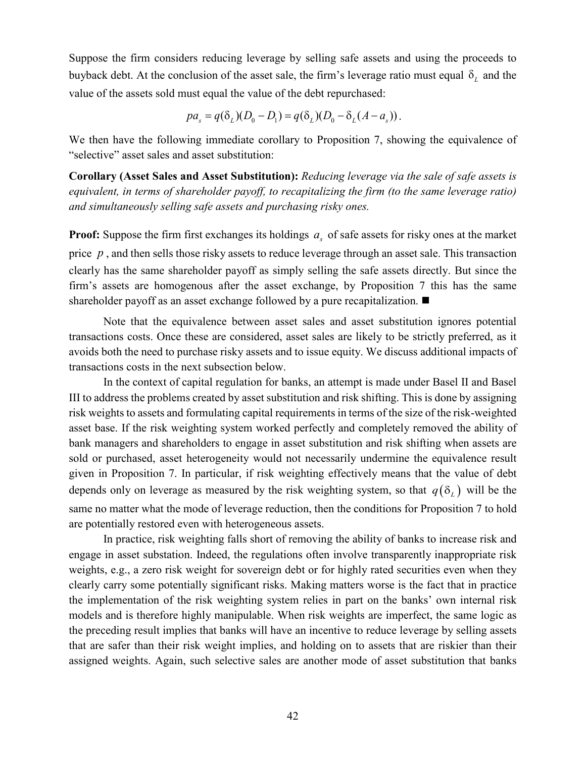Suppose the firm considers reducing leverage by selling safe assets and using the proceeds to buyback debt. At the conclusion of the asset sale, the firm's leverage ratio must equal  $\delta$ , and the value of the assets sold must equal the value of the debt repurchased:

$$
pa_s = q(\delta_L)(D_0 - D_1) = q(\delta_L)(D_0 - \delta_L(A - a_s)).
$$

We then have the following immediate corollary to [Proposition 7,](#page-33-1) showing the equivalence of "selective" asset sales and asset substitution:

**Corollary (Asset Sales and Asset Substitution):** *Reducing leverage via the sale of safe assets is equivalent, in terms of shareholder payoff, to recapitalizing the firm (to the same leverage ratio) and simultaneously selling safe assets and purchasing risky ones.* 

**Proof:** Suppose the firm first exchanges its holdings  $a<sub>s</sub>$  of safe assets for risky ones at the market price *p* , and then sells those risky assets to reduce leverage through an asset sale. This transaction clearly has the same shareholder payoff as simply selling the safe assets directly. But since the firm's assets are homogenous after the asset exchange, by [Proposition 7](#page-33-1) this has the same shareholder payoff as an asset exchange followed by a pure recapitalization.  $\blacksquare$ 

Note that the equivalence between asset sales and asset substitution ignores potential transactions costs. Once these are considered, asset sales are likely to be strictly preferred, as it avoids both the need to purchase risky assets and to issue equity. We discuss additional impacts of transactions costs in the next subsection below.

In the context of capital regulation for banks, an attempt is made under Basel II and Basel III to address the problems created by asset substitution and risk shifting. This is done by assigning risk weights to assets and formulating capital requirements in terms of the size of the risk-weighted asset base. If the risk weighting system worked perfectly and completely removed the ability of bank managers and shareholders to engage in asset substitution and risk shifting when assets are sold or purchased, asset heterogeneity would not necessarily undermine the equivalence result given in [Proposition 7.](#page-33-1) In particular, if risk weighting effectively means that the value of debt depends only on leverage as measured by the risk weighting system, so that  $q(\delta)$  will be the same no matter what the mode of leverage reduction, then the conditions for [Proposition 7](#page-33-1) to hold are potentially restored even with heterogeneous assets.

In practice, risk weighting falls short of removing the ability of banks to increase risk and engage in asset substation. Indeed, the regulations often involve transparently inappropriate risk weights, e.g., a zero risk weight for sovereign debt or for highly rated securities even when they clearly carry some potentially significant risks. Making matters worse is the fact that in practice the implementation of the risk weighting system relies in part on the banks' own internal risk models and is therefore highly manipulable. When risk weights are imperfect, the same logic as the preceding result implies that banks will have an incentive to reduce leverage by selling assets that are safer than their risk weight implies, and holding on to assets that are riskier than their assigned weights. Again, such selective sales are another mode of asset substitution that banks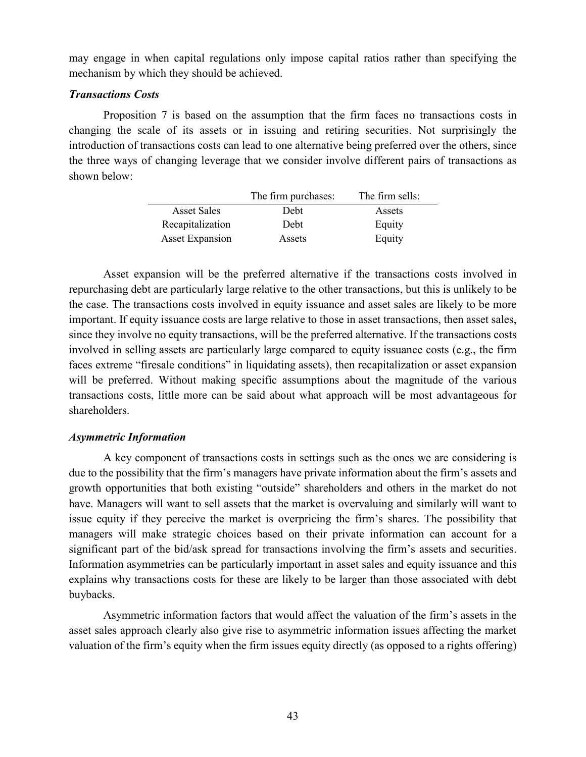may engage in when capital regulations only impose capital ratios rather than specifying the mechanism by which they should be achieved.

### *Transactions Costs*

[Proposition 7](#page-33-1) is based on the assumption that the firm faces no transactions costs in changing the scale of its assets or in issuing and retiring securities. Not surprisingly the introduction of transactions costs can lead to one alternative being preferred over the others, since the three ways of changing leverage that we consider involve different pairs of transactions as shown below:

|                        | The firm purchases: | The firm sells: |
|------------------------|---------------------|-----------------|
| <b>Asset Sales</b>     | Debt                | Assets          |
| Recapitalization       | Debt                | Equity          |
| <b>Asset Expansion</b> | Assets              | Equity          |

Asset expansion will be the preferred alternative if the transactions costs involved in repurchasing debt are particularly large relative to the other transactions, but this is unlikely to be the case. The transactions costs involved in equity issuance and asset sales are likely to be more important. If equity issuance costs are large relative to those in asset transactions, then asset sales, since they involve no equity transactions, will be the preferred alternative. If the transactions costs involved in selling assets are particularly large compared to equity issuance costs (e.g., the firm faces extreme "firesale conditions" in liquidating assets), then recapitalization or asset expansion will be preferred. Without making specific assumptions about the magnitude of the various transactions costs, little more can be said about what approach will be most advantageous for shareholders.

## *Asymmetric Information*

A key component of transactions costs in settings such as the ones we are considering is due to the possibility that the firm's managers have private information about the firm's assets and growth opportunities that both existing "outside" shareholders and others in the market do not have. Managers will want to sell assets that the market is overvaluing and similarly will want to issue equity if they perceive the market is overpricing the firm's shares. The possibility that managers will make strategic choices based on their private information can account for a significant part of the bid/ask spread for transactions involving the firm's assets and securities. Information asymmetries can be particularly important in asset sales and equity issuance and this explains why transactions costs for these are likely to be larger than those associated with debt buybacks.

Asymmetric information factors that would affect the valuation of the firm's assets in the asset sales approach clearly also give rise to asymmetric information issues affecting the market valuation of the firm's equity when the firm issues equity directly (as opposed to a rights offering)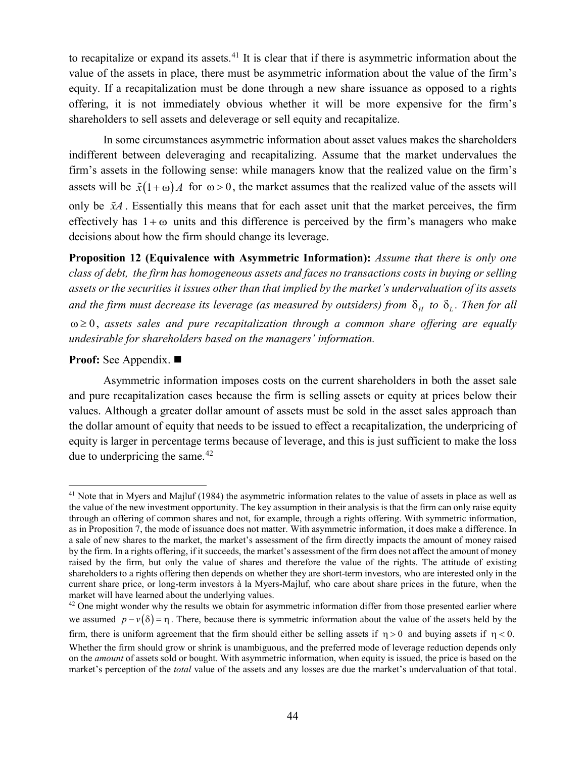to recapitalize or expand its assets.<sup>[41](#page-43-0)</sup> It is clear that if there is asymmetric information about the value of the assets in place, there must be asymmetric information about the value of the firm's equity. If a recapitalization must be done through a new share issuance as opposed to a rights offering, it is not immediately obvious whether it will be more expensive for the firm's shareholders to sell assets and deleverage or sell equity and recapitalize.

In some circumstances asymmetric information about asset values makes the shareholders indifferent between deleveraging and recapitalizing. Assume that the market undervalues the firm's assets in the following sense: while managers know that the realized value on the firm's assets will be  $\tilde{x}(1+\omega)A$  for  $\omega > 0$ , the market assumes that the realized value of the assets will only be  $\tilde{x}A$ . Essentially this means that for each asset unit that the market perceives, the firm effectively has  $1+\omega$  units and this difference is perceived by the firm's managers who make decisions about how the firm should change its leverage.

<span id="page-43-2"></span>**Proposition 12 (Equivalence with Asymmetric Information):** *Assume that there is only one class of debt, the firm has homogeneous assets and faces no transactions costs in buying or selling assets or the securities it issues other than that implied by the market's undervaluation of its assets and the firm must decrease its leverage (as measured by outsiders) from*  $\delta_H$  to  $\delta_L$ . Then for all ω ≥ 0 , *assets sales and pure recapitalization through a common share offering are equally undesirable for shareholders based on the managers' information.*

### **Proof:** See [Appendix.](#page-54-1) ■

Asymmetric information imposes costs on the current shareholders in both the asset sale and pure recapitalization cases because the firm is selling assets or equity at prices below their values. Although a greater dollar amount of assets must be sold in the asset sales approach than the dollar amount of equity that needs to be issued to effect a recapitalization, the underpricing of equity is larger in percentage terms because of leverage, and this is just sufficient to make the loss due to underpricing the same. $42$ 

<span id="page-43-0"></span><sup>&</sup>lt;sup>41</sup> Note that in Myers and Majluf (1984) the asymmetric information relates to the value of assets in place as well as the value of the new investment opportunity. The key assumption in their analysis is that the firm can only raise equity through an offering of common shares and not, for example, through a rights offering. With symmetric information, as in [Proposition 7,](#page-33-1) the mode of issuance does not matter. With asymmetric information, it does make a difference. In a sale of new shares to the market, the market's assessment of the firm directly impacts the amount of money raised by the firm. In a rights offering, if it succeeds, the market's assessment of the firm does not affect the amount of money raised by the firm, but only the value of shares and therefore the value of the rights. The attitude of existing shareholders to a rights offering then depends on whether they are short-term investors, who are interested only in the current share price, or long-term investors à la Myers-Majluf, who care about share prices in the future, when the market will have learned about the underlying values.

<span id="page-43-1"></span> $42$  One might wonder why the results we obtain for asymmetric information differ from those presented earlier where we assumed  $p - v(\delta) = \eta$ . There, because there is symmetric information about the value of the assets held by the firm, there is uniform agreement that the firm should either be selling assets if  $\eta > 0$  and buying assets if  $\eta < 0$ . Whether the firm should grow or shrink is unambiguous, and the preferred mode of leverage reduction depends only on the *amount* of assets sold or bought. With asymmetric information, when equity is issued, the price is based on the market's perception of the *total* value of the assets and any losses are due the market's undervaluation of that total.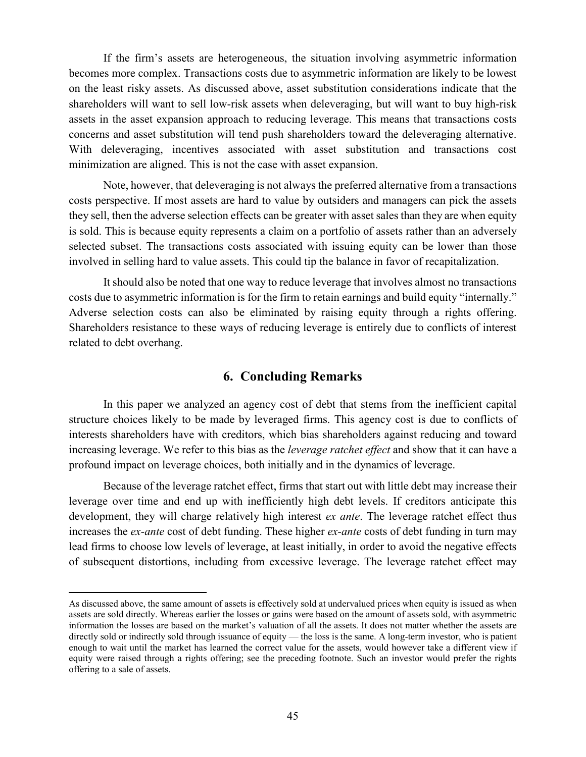If the firm's assets are heterogeneous, the situation involving asymmetric information becomes more complex. Transactions costs due to asymmetric information are likely to be lowest on the least risky assets. As discussed above, asset substitution considerations indicate that the shareholders will want to sell low-risk assets when deleveraging, but will want to buy high-risk assets in the asset expansion approach to reducing leverage. This means that transactions costs concerns and asset substitution will tend push shareholders toward the deleveraging alternative. With deleveraging, incentives associated with asset substitution and transactions cost minimization are aligned. This is not the case with asset expansion.

Note, however, that deleveraging is not always the preferred alternative from a transactions costs perspective. If most assets are hard to value by outsiders and managers can pick the assets they sell, then the adverse selection effects can be greater with asset sales than they are when equity is sold. This is because equity represents a claim on a portfolio of assets rather than an adversely selected subset. The transactions costs associated with issuing equity can be lower than those involved in selling hard to value assets. This could tip the balance in favor of recapitalization.

It should also be noted that one way to reduce leverage that involves almost no transactions costs due to asymmetric information is for the firm to retain earnings and build equity "internally." Adverse selection costs can also be eliminated by raising equity through a rights offering. Shareholders resistance to these ways of reducing leverage is entirely due to conflicts of interest related to debt overhang.

# **6. Concluding Remarks**

<span id="page-44-0"></span>In this paper we analyzed an agency cost of debt that stems from the inefficient capital structure choices likely to be made by leveraged firms. This agency cost is due to conflicts of interests shareholders have with creditors, which bias shareholders against reducing and toward increasing leverage. We refer to this bias as the *leverage ratchet effect* and show that it can have a profound impact on leverage choices, both initially and in the dynamics of leverage.

Because of the leverage ratchet effect, firms that start out with little debt may increase their leverage over time and end up with inefficiently high debt levels. If creditors anticipate this development, they will charge relatively high interest *ex ante*. The leverage ratchet effect thus increases the *ex-ante* cost of debt funding. These higher *ex-ante* costs of debt funding in turn may lead firms to choose low levels of leverage, at least initially, in order to avoid the negative effects of subsequent distortions, including from excessive leverage. The leverage ratchet effect may

 $\overline{a}$ 

As discussed above, the same amount of assets is effectively sold at undervalued prices when equity is issued as when assets are sold directly. Whereas earlier the losses or gains were based on the amount of assets sold, with asymmetric information the losses are based on the market's valuation of all the assets. It does not matter whether the assets are directly sold or indirectly sold through issuance of equity — the loss is the same. A long-term investor, who is patient enough to wait until the market has learned the correct value for the assets, would however take a different view if equity were raised through a rights offering; see the preceding footnote. Such an investor would prefer the rights offering to a sale of assets.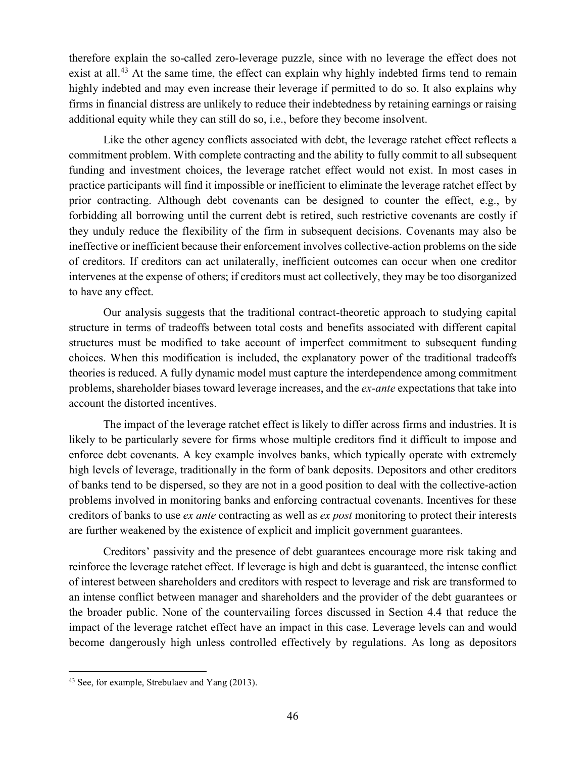therefore explain the so-called zero-leverage puzzle, since with no leverage the effect does not exist at all.<sup>[43](#page-45-0)</sup> At the same time, the effect can explain why highly indebted firms tend to remain highly indebted and may even increase their leverage if permitted to do so. It also explains why firms in financial distress are unlikely to reduce their indebtedness by retaining earnings or raising additional equity while they can still do so, i.e., before they become insolvent.

Like the other agency conflicts associated with debt, the leverage ratchet effect reflects a commitment problem. With complete contracting and the ability to fully commit to all subsequent funding and investment choices, the leverage ratchet effect would not exist. In most cases in practice participants will find it impossible or inefficient to eliminate the leverage ratchet effect by prior contracting. Although debt covenants can be designed to counter the effect, e.g., by forbidding all borrowing until the current debt is retired, such restrictive covenants are costly if they unduly reduce the flexibility of the firm in subsequent decisions. Covenants may also be ineffective or inefficient because their enforcement involves collective-action problems on the side of creditors. If creditors can act unilaterally, inefficient outcomes can occur when one creditor intervenes at the expense of others; if creditors must act collectively, they may be too disorganized to have any effect.

Our analysis suggests that the traditional contract-theoretic approach to studying capital structure in terms of tradeoffs between total costs and benefits associated with different capital structures must be modified to take account of imperfect commitment to subsequent funding choices. When this modification is included, the explanatory power of the traditional tradeoffs theories is reduced. A fully dynamic model must capture the interdependence among commitment problems, shareholder biases toward leverage increases, and the *ex-ante* expectations that take into account the distorted incentives.

The impact of the leverage ratchet effect is likely to differ across firms and industries. It is likely to be particularly severe for firms whose multiple creditors find it difficult to impose and enforce debt covenants. A key example involves banks, which typically operate with extremely high levels of leverage, traditionally in the form of bank deposits. Depositors and other creditors of banks tend to be dispersed, so they are not in a good position to deal with the collective-action problems involved in monitoring banks and enforcing contractual covenants. Incentives for these creditors of banks to use *ex ante* contracting as well as *ex post* monitoring to protect their interests are further weakened by the existence of explicit and implicit government guarantees.

Creditors' passivity and the presence of debt guarantees encourage more risk taking and reinforce the leverage ratchet effect. If leverage is high and debt is guaranteed, the intense conflict of interest between shareholders and creditors with respect to leverage and risk are transformed to an intense conflict between manager and shareholders and the provider of the debt guarantees or the broader public. None of the countervailing forces discussed in Section 4.4 that reduce the impact of the leverage ratchet effect have an impact in this case. Leverage levels can and would become dangerously high unless controlled effectively by regulations. As long as depositors

<span id="page-45-0"></span> <sup>43</sup> See, for example, Strebulaev and Yang (2013).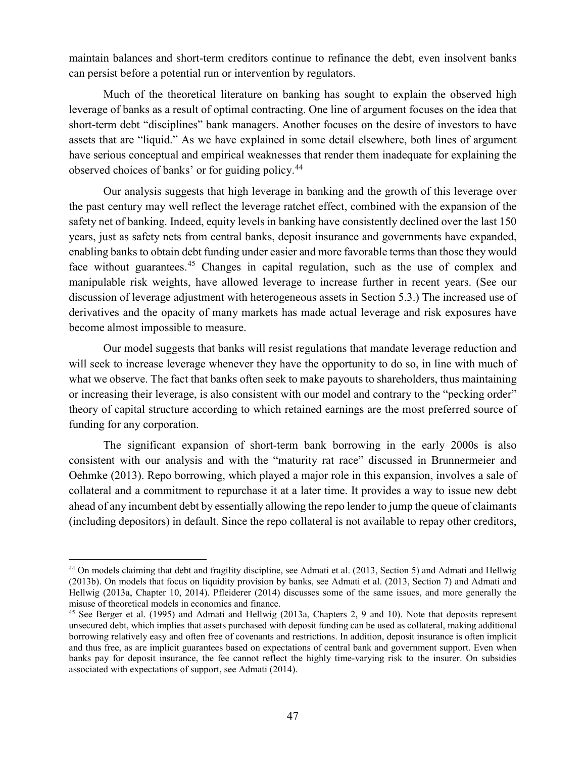maintain balances and short-term creditors continue to refinance the debt, even insolvent banks can persist before a potential run or intervention by regulators.

Much of the theoretical literature on banking has sought to explain the observed high leverage of banks as a result of optimal contracting. One line of argument focuses on the idea that short-term debt "disciplines" bank managers. Another focuses on the desire of investors to have assets that are "liquid." As we have explained in some detail elsewhere, both lines of argument have serious conceptual and empirical weaknesses that render them inadequate for explaining the observed choices of banks' or for guiding policy.[44](#page-46-0)

Our analysis suggests that high leverage in banking and the growth of this leverage over the past century may well reflect the leverage ratchet effect, combined with the expansion of the safety net of banking. Indeed, equity levels in banking have consistently declined over the last 150 years, just as safety nets from central banks, deposit insurance and governments have expanded, enabling banks to obtain debt funding under easier and more favorable terms than those they would face without guarantees.<sup>[45](#page-46-1)</sup> Changes in capital regulation, such as the use of complex and manipulable risk weights, have allowed leverage to increase further in recent years. (See our discussion of leverage adjustment with heterogeneous assets in Section 5.3.) The increased use of derivatives and the opacity of many markets has made actual leverage and risk exposures have become almost impossible to measure.

Our model suggests that banks will resist regulations that mandate leverage reduction and will seek to increase leverage whenever they have the opportunity to do so, in line with much of what we observe. The fact that banks often seek to make payouts to shareholders, thus maintaining or increasing their leverage, is also consistent with our model and contrary to the "pecking order" theory of capital structure according to which retained earnings are the most preferred source of funding for any corporation.

The significant expansion of short-term bank borrowing in the early 2000s is also consistent with our analysis and with the "maturity rat race" discussed in Brunnermeier and Oehmke (2013). Repo borrowing, which played a major role in this expansion, involves a sale of collateral and a commitment to repurchase it at a later time. It provides a way to issue new debt ahead of any incumbent debt by essentially allowing the repo lender to jump the queue of claimants (including depositors) in default. Since the repo collateral is not available to repay other creditors,

<span id="page-46-0"></span> <sup>44</sup> On models claiming that debt and fragility discipline, see Admati et al. (2013, Section 5) and Admati and Hellwig (2013b). On models that focus on liquidity provision by banks, see Admati et al. (2013, Section 7) and Admati and Hellwig (2013a, Chapter 10, 2014). Pfleiderer (2014) discusses some of the same issues, and more generally the misuse of theoretical models in economics and finance.

<span id="page-46-1"></span><sup>45</sup> See Berger et al. (1995) and Admati and Hellwig (2013a, Chapters 2, 9 and 10). Note that deposits represent unsecured debt, which implies that assets purchased with deposit funding can be used as collateral, making additional borrowing relatively easy and often free of covenants and restrictions. In addition, deposit insurance is often implicit and thus free, as are implicit guarantees based on expectations of central bank and government support. Even when banks pay for deposit insurance, the fee cannot reflect the highly time-varying risk to the insurer. On subsidies associated with expectations of support, see Admati (2014).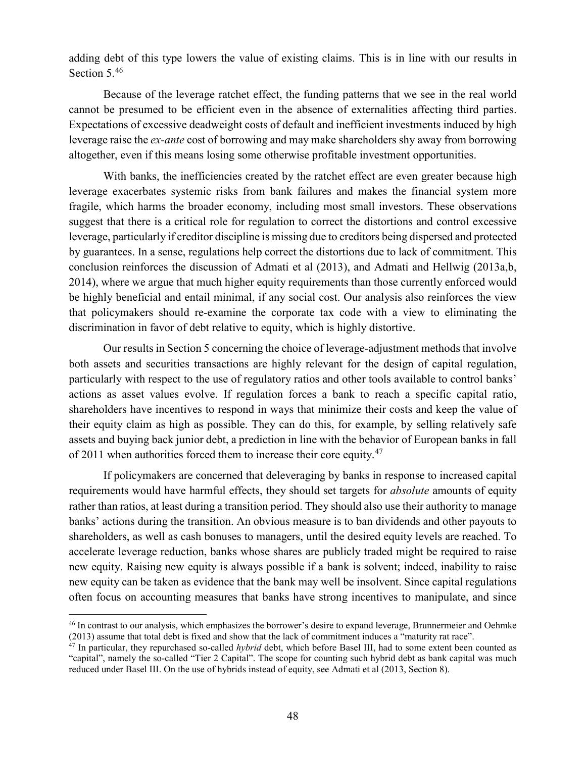adding debt of this type lowers the value of existing claims. This is in line with our results in Section 5.<sup>[46](#page-47-0)</sup>

Because of the leverage ratchet effect, the funding patterns that we see in the real world cannot be presumed to be efficient even in the absence of externalities affecting third parties. Expectations of excessive deadweight costs of default and inefficient investments induced by high leverage raise the *ex-ante* cost of borrowing and may make shareholders shy away from borrowing altogether, even if this means losing some otherwise profitable investment opportunities.

With banks, the inefficiencies created by the ratchet effect are even greater because high leverage exacerbates systemic risks from bank failures and makes the financial system more fragile, which harms the broader economy, including most small investors. These observations suggest that there is a critical role for regulation to correct the distortions and control excessive leverage, particularly if creditor discipline is missing due to creditors being dispersed and protected by guarantees. In a sense, regulations help correct the distortions due to lack of commitment. This conclusion reinforces the discussion of Admati et al (2013), and Admati and Hellwig (2013a,b, 2014), where we argue that much higher equity requirements than those currently enforced would be highly beneficial and entail minimal, if any social cost. Our analysis also reinforces the view that policymakers should re-examine the corporate tax code with a view to eliminating the discrimination in favor of debt relative to equity, which is highly distortive.

Our results in Section 5 concerning the choice of leverage-adjustment methods that involve both assets and securities transactions are highly relevant for the design of capital regulation, particularly with respect to the use of regulatory ratios and other tools available to control banks' actions as asset values evolve. If regulation forces a bank to reach a specific capital ratio, shareholders have incentives to respond in ways that minimize their costs and keep the value of their equity claim as high as possible. They can do this, for example, by selling relatively safe assets and buying back junior debt, a prediction in line with the behavior of European banks in fall of 2011 when authorities forced them to increase their core equity.<sup>[47](#page-47-1)</sup>

If policymakers are concerned that deleveraging by banks in response to increased capital requirements would have harmful effects, they should set targets for *absolute* amounts of equity rather than ratios, at least during a transition period. They should also use their authority to manage banks' actions during the transition. An obvious measure is to ban dividends and other payouts to shareholders, as well as cash bonuses to managers, until the desired equity levels are reached. To accelerate leverage reduction, banks whose shares are publicly traded might be required to raise new equity. Raising new equity is always possible if a bank is solvent; indeed, inability to raise new equity can be taken as evidence that the bank may well be insolvent. Since capital regulations often focus on accounting measures that banks have strong incentives to manipulate, and since

<span id="page-47-0"></span> <sup>46</sup> In contrast to our analysis, which emphasizes the borrower's desire to expand leverage, Brunnermeier and Oehmke (2013) assume that total debt is fixed and show that the lack of commitment induces a "maturity rat race".

<span id="page-47-1"></span><sup>&</sup>lt;sup>47</sup> In particular, they repurchased so-called *hybrid* debt, which before Basel III, had to some extent been counted as "capital", namely the so-called "Tier 2 Capital". The scope for counting such hybrid debt as bank capital was much reduced under Basel III. On the use of hybrids instead of equity, see Admati et al (2013, Section 8).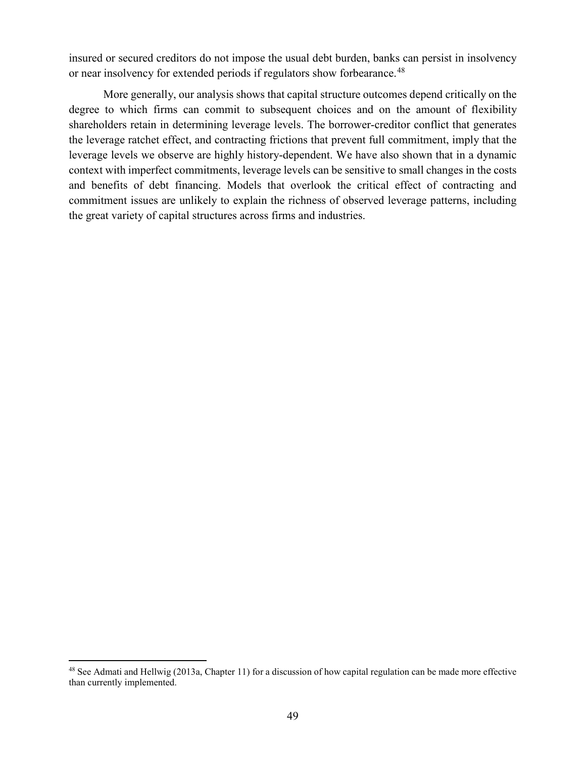insured or secured creditors do not impose the usual debt burden, banks can persist in insolvency or near insolvency for extended periods if regulators show forbearance.<sup>[48](#page-48-0)</sup>

More generally, our analysis shows that capital structure outcomes depend critically on the degree to which firms can commit to subsequent choices and on the amount of flexibility shareholders retain in determining leverage levels. The borrower-creditor conflict that generates the leverage ratchet effect, and contracting frictions that prevent full commitment, imply that the leverage levels we observe are highly history-dependent. We have also shown that in a dynamic context with imperfect commitments, leverage levels can be sensitive to small changes in the costs and benefits of debt financing. Models that overlook the critical effect of contracting and commitment issues are unlikely to explain the richness of observed leverage patterns, including the great variety of capital structures across firms and industries.

<span id="page-48-0"></span><sup>&</sup>lt;sup>48</sup> See Admati and Hellwig (2013a, Chapter 11) for a discussion of how capital regulation can be made more effective than currently implemented.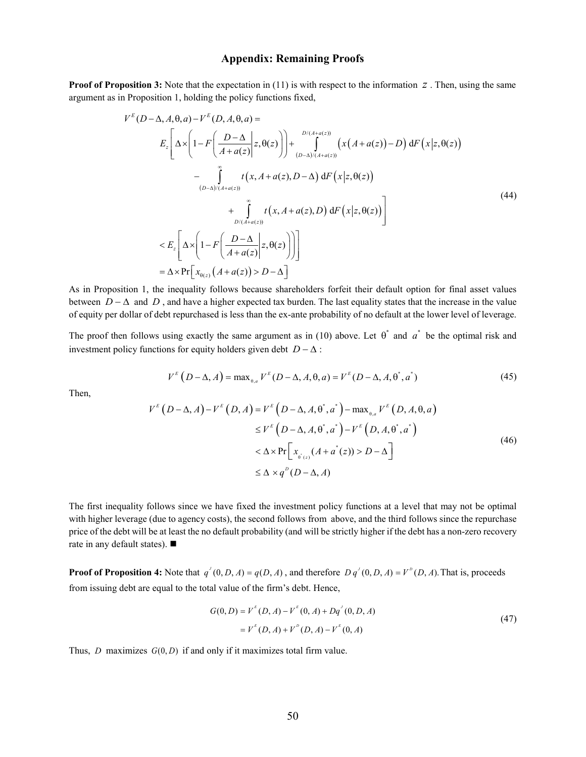#### **Appendix: Remaining Proofs**

<span id="page-49-0"></span>**Proof of [Proposition](#page-14-0) 3:** Note that the expectation in (11) is with respect to the information *z*. Then, using the same argument as in [Proposition 1,](#page-9-1) holding the policy functions fixed,

$$
V^{E}(D-\Delta, A, \theta, a) - V^{E}(D, A, \theta, a) =
$$
\n
$$
E_{z} \left[ \Delta \times \left( 1 - F \left( \frac{D-\Delta}{A+a(z)} \Big| z, \theta(z) \right) \right) + \int_{(D-\Delta)/(A+a(z))}^{D/(A+a(z))} \left( x(A+a(z)) - D \right) dF \left( x \Big| z, \theta(z) \right) \right]
$$
\n
$$
- \int_{(D-\Delta)/(A+a(z))}^{\infty} t(x, A+a(z), D-\Delta) dF \left( x \Big| z, \theta(z) \right)
$$
\n
$$
+ \int_{D/(A+a(z))}^{m} t(x, A+a(z), D) dF \left( x \Big| z, \theta(z) \right) \right]
$$
\n
$$
< E_{z} \left[ \Delta \times \left( 1 - F \left( \frac{D-\Delta}{A+a(z)} \Big| z, \theta(z) \right) \right) \right]
$$
\n
$$
= \Delta \times \Pr \left[ x_{\theta(z)} \left( A + a(z) \right) > D - \Delta \right]
$$
\n(44)

As in [Proposition 1,](#page-9-1) the inequality follows because shareholders forfeit their default option for final asset values between  $D - \Delta$  and  $D$ , and have a higher expected tax burden. The last equality states that the increase in the value of equity per dollar of debt repurchased is less than the ex-ante probability of no default at the lower level of leverage.

The proof then follows using exactly the same argument as in (10) above. Let  $\theta^*$  and  $\alpha^*$  be the optimal risk and investment policy functions for equity holders given debt  $D - \Delta$ :

$$
V^{E}(D - \Delta, A) = \max_{\theta, a} V^{E}(D - \Delta, A, \theta, a) = V^{E}(D - \Delta, A, \theta^{*}, a^{*})
$$
\n(45)

Then,

$$
V^{E}(D-\Delta, A) - V^{E}(D, A) = V^{E}(D-\Delta, A, \theta^{*}, a^{*}) - \max_{\theta, a} V^{E}(D, A, \theta, a)
$$
  
\n
$$
\leq V^{E}(D-\Delta, A, \theta^{*}, a^{*}) - V^{E}(D, A, \theta^{*}, a^{*})
$$
  
\n
$$
< \Delta \times \Pr[x_{\theta^{*}(z)}(A + a^{*}(z)) > D - \Delta]
$$
  
\n
$$
\leq \Delta \times q^{D}(D-\Delta, A)
$$
\n(46)

The first inequality follows since we have fixed the investment policy functions at a level that may not be optimal with higher leverage (due to agency costs), the second follows from above, and the third follows since the repurchase price of the debt will be at least the no default probability (and will be strictly higher if the debt has a non-zero recovery rate in any default states). ■

<span id="page-49-1"></span>**Proof of [Proposition 4:](#page-16-0)** Note that  $q'(0, D, A) = q(D, A)$ , and therefore  $D q'(0, D, A) = V^D(D, A)$ . That is, proceeds from issuing debt are equal to the total value of the firm's debt. Hence,

$$
G(0, D) = V^{E}(D, A) - V^{E}(0, A) + Dq^{J}(0, D, A)
$$
  
=  $V^{E}(D, A) + V^{D}(D, A) - V^{E}(0, A)$  (47)

Thus, *D* maximizes  $G(0, D)$  if and only if it maximizes total firm value.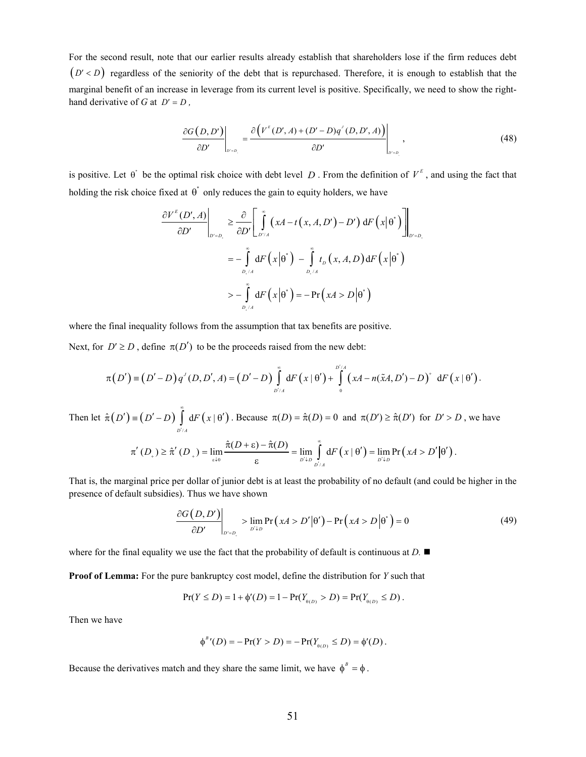For the second result, note that our earlier results already establish that shareholders lose if the firm reduces debt  $(D' < D)$  regardless of the seniority of the debt that is repurchased. Therefore, it is enough to establish that the marginal benefit of an increase in leverage from its current level is positive. Specifically, we need to show the righthand derivative of *G* at  $D' = D$ ,

$$
\left.\frac{\partial G\left(D,D'\right)}{\partial D'}\right|_{D'=D_{\square}}=\frac{\partial \left(V^{E}\left(D',A\right)+(D'-D)q'\left(D,D',A\right)\right)}{\partial D'}\right|_{D'=D_{\square}}\,,\tag{48}
$$

is positive. Let  $\theta^*$  be the optimal risk choice with debt level *D*. From the definition of  $V^E$ , and using the fact that holding the risk choice fixed at  $\theta^*$  only reduces the gain to equity holders, we have

$$
\frac{\partial V^{E}(D', A)}{\partial D'}\Bigg|_{D'=D_{\epsilon}} \geq \frac{\partial}{\partial D'} \Bigg[ \int_{D'/A}^{\infty} (xA - t(x, A, D') - D') dF(x|\theta^{*}) \Bigg]_{D'=D_{\epsilon}}
$$
  

$$
= - \int_{D_{\epsilon}/A}^{\infty} dF(x|\theta^{*}) - \int_{D_{\epsilon}/A}^{\infty} t_{D}(x, A, D) dF(x|\theta^{*})
$$
  

$$
> - \int_{D_{\epsilon}/A}^{\infty} dF(x|\theta^{*}) = - \Pr(xA > D|\theta^{*})
$$

where the final inequality follows from the assumption that tax benefits are positive.

Next, for  $D' \ge D$ , define  $\pi(D')$  to be the proceeds raised from the new debt:

$$
\pi(D') = (D'-D)q'(D,D',A) = (D'-D)\int_{D'/A}^{\infty} dF(x|\theta') + \int_{0}^{D'/A} (xA - n(\tilde{x}A,D') - D)^{+} dF(x|\theta').
$$

Then let  $\hat{\pi}( D') \equiv ( D' - D ) \int dF(x | \theta')$ /  $\hat{\pi}(D') \equiv (D'-D)$  dF  $(x)$ *D A*  $D'$  =  $(D'-D)$  d*F*  $(x$ ∞  $\hat{\pi}(D') = (D' - D) \int_{D'/A} dF(x | \theta')$ . Because  $\pi(D) = \hat{\pi}(D) = 0$  and  $\pi(D') \ge \hat{\pi}(D')$  for  $D' > D$ , we have  $\lim_{\theta \to 0} \frac{n(D + c) - n(D)}{\varepsilon} = \lim_{D' \downarrow D} \int_{D'/A} dF(x | \theta') = \lim_{D' \downarrow D} Pr(xA > D'|\theta')$  $(D_{\perp}) \geq \hat{\pi}'(D_{\perp}) = \lim_{\Delta \to 0} \frac{\hat{\pi}(D + \varepsilon) - \hat{\pi}(D)}{\Delta} = \lim_{\Delta \to 0} \int_{0}^{\infty} dF(x | \theta') = \lim_{\Delta \to 0} P F(x | \theta')$  $D_{+}$ )  $\geq \hat{\pi}'(D_{+}) = \lim_{\varepsilon \downarrow 0} \frac{\hat{\pi}(D + \varepsilon) - \hat{\pi}(D)}{\varepsilon} = \lim_{D' \downarrow D} \int_{D'/A}^{\infty} dF(x | \theta') = \lim_{D' \downarrow D} Pr(xA > D')$ ∞  $\pi'(D_{\epsilon}) \geq \hat{\pi}'(D_{\epsilon}) = \lim_{\epsilon \to 0} \frac{\hat{\pi}(D + \epsilon) - \hat{\pi}(D)}{\hat{\pi}} = \lim_{\epsilon \to 0} \int_{0}^{\infty} dF(x | \theta') = \lim_{\epsilon \to 0} \Pr(xA > D'|\theta')$  $\frac{\partial f}{\partial \epsilon} = \lim_{D' \downarrow D} \int_{D'/A} dF(x|\theta') = \lim_{D' \downarrow D} Pr(xA > D'|\theta').$ 

That is, the marginal price per dollar of junior debt is at least the probability of no default (and could be higher in the presence of default subsidies). Thus we have shown

 $\downarrow_D$   $\frac{1}{D'}$ 

$$
\left. \frac{\partial G\left(D, D'\right)}{\partial D'} \right|_{D'=D_i} > \lim_{D' \downarrow D} \Pr\left(xA > D'\big|\theta'\right) - \Pr\left(xA > D\big|\theta^*\right) = 0 \tag{49}
$$

<span id="page-50-0"></span>where for the final equality we use the fact that the probability of default is continuous at  $D$ .

**Proof of [Lemma:](#page-20-1)** For the pure bankruptcy cost model, define the distribution for *Y* such that

$$
Pr(Y \le D) = 1 + \phi'(D) = 1 - Pr(Y_{\theta(D)} > D) = Pr(Y_{\theta(D)} \le D).
$$

Then we have

$$
\phi^{B'}(D) = -\Pr(Y > D) = -\Pr(Y_{\theta(D)} \le D) = \phi'(D).
$$

Because the derivatives match and they share the same limit, we have  $\phi^B = \phi$ .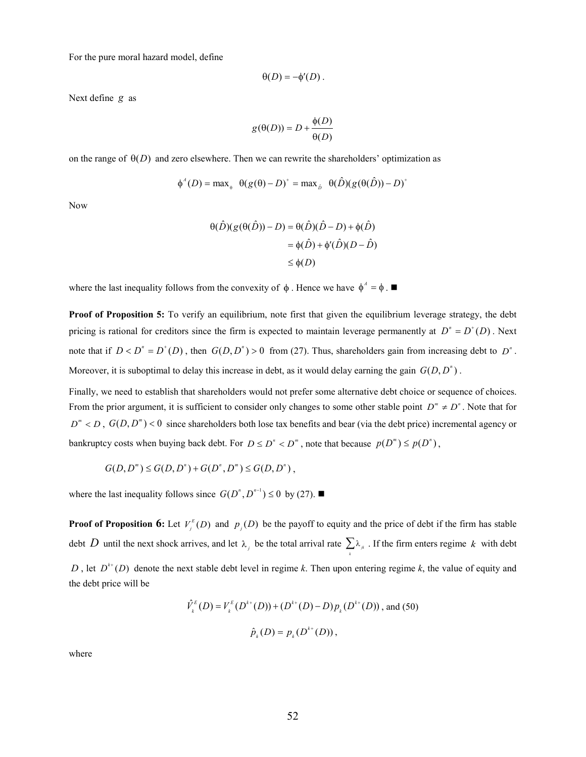For the pure moral hazard model, define

$$
\theta(D) = -\phi'(D).
$$

Next define *g* as

$$
g(\theta(D)) = D + \frac{\phi(D)}{\theta(D)}
$$

on the range of  $\Theta(D)$  and zero elsewhere. Then we can rewrite the shareholders' optimization as

$$
\phi^A(D) = \max_{\theta} \ \theta(g(\theta) - D)^+ = \max_{\hat{D}} \ \theta(\hat{D})(g(\theta(\hat{D})) - D)^+
$$

Now

$$
\begin{aligned} \theta(\hat{D})(g(\theta(\hat{D})) - D) &= \theta(\hat{D})(\hat{D} - D) + \phi(\hat{D}) \\ &= \phi(\hat{D}) + \phi'(\hat{D})(D - \hat{D}) \\ &\le \phi(D) \end{aligned}
$$

where the last inequality follows from the convexity of  $\phi$ . Hence we have  $\phi^A = \phi$ .

<span id="page-51-0"></span>**Proof of [Proposition 5:](#page-23-2)** To verify an equilibrium, note first that given the equilibrium leverage strategy, the debt pricing is rational for creditors since the firm is expected to maintain leverage permanently at  $D^n = D^+(D)$ . Next note that if  $D < D<sup>n</sup> = D<sup>+</sup>(D)$ , then  $G(D, D<sup>n</sup>) > 0$  from (27). Thus, shareholders gain from increasing debt to  $D<sup>n</sup>$ . Moreover, it is suboptimal to delay this increase in debt, as it would delay earning the gain  $G(D, D<sup>n</sup>)$ .

Finally, we need to establish that shareholders would not prefer some alternative debt choice or sequence of choices. From the prior argument, it is sufficient to consider only changes to some other stable point  $D^m \neq D^n$ . Note that for  $D^m < D$ ,  $G(D, D^m) < 0$  since shareholders both lose tax benefits and bear (via the debt price) incremental agency or bankruptcy costs when buying back debt. For  $D \le D'' < D'''$ , note that because  $p(D''') \le p(D'')$ ,

$$
G(D, Dm) \le G(D, Dn) + G(Dn, Dm) \le G(D, Dn),
$$

where the last inequality follows since  $G(D^n, D^{n-1})$  ≤ 0 by (27). ■

<span id="page-51-1"></span>**Proof of [Proposition](#page-25-1) 6:** Let  $V_j^E(D)$  and  $p_j(D)$  be the payoff to equity and the price of debt if the firm has stable debt *D* until the next shock arrives, and let  $\lambda_j$  be the total arrival rate  $\sum \lambda_{jk}$ . If the firm enters regime *k* with debt *k D*, let  $D^{k+1}(D)$  denote the next stable debt level in regime *k*. Then upon entering regime *k*, the value of equity and the debt price will be

$$
\hat{V}_k^E(D) = V_k^E(D^{k+}(D)) + (D^{k+}(D) - D)p_k(D^{k+}(D)), \text{ and (50)}
$$
  

$$
\hat{p}_k(D) = p_k(D^{k+}(D)),
$$

where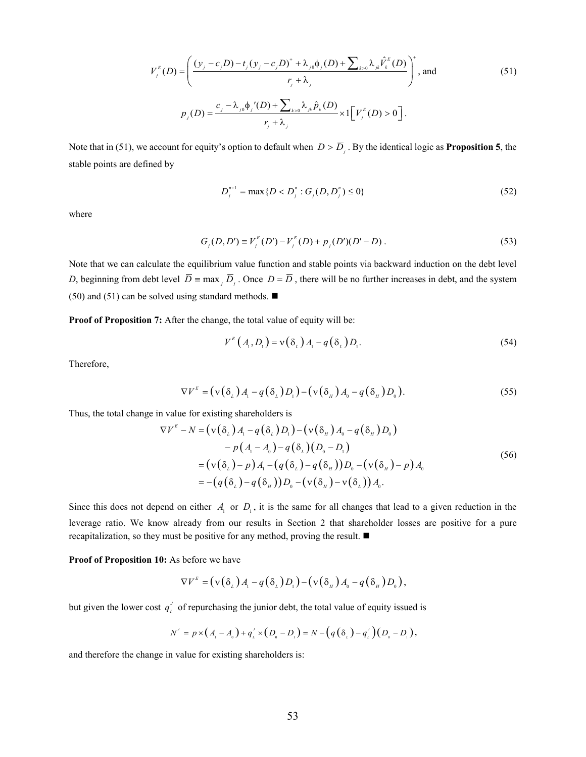$$
V_j^{E}(D) = \left(\frac{(y_j - c_j D) - t_j (y_j - c_j D)^{+} + \lambda_{j0} \phi_j(D) + \sum_{k>0} \lambda_{jk} \hat{V}_k^{E}(D)}{r_j + \lambda_j}\right)^{+}, \text{ and}
$$
\n
$$
P_j(D) = \frac{c_j - \lambda_{j0} \phi_j'(D) + \sum_{k>0} \lambda_{jk} \hat{P}_k(D)}{r_j + \lambda_j} \times 1[V_j^{E}(D) > 0].
$$
\n(51)

Note that in (51), we account for equity's option to default when  $D > \overline{D}_j$ . By the identical logic as **[Proposition 5](#page-23-2)**, the stable points are defined by

$$
D_j^{n+1} = \max\{D < D_j^n : G_j(D, D_j^n) \le 0\} \tag{52}
$$

where

$$
G_j(D, D') = V_j^E(D') - V_j^E(D) + p_j(D')(D' - D) . \tag{53}
$$

Note that we can calculate the equilibrium value function and stable points via backward induction on the debt level *D*, beginning from debt level  $\overline{D}$  = max  $\overline{D}$ ,  $\overline{D}$ , once  $D = \overline{D}$ , there will be no further increases in debt, and the system (50) and (51) can be solved using standard methods.  $\blacksquare$ 

<span id="page-52-0"></span>**Proof of [Proposition 7:](#page-33-1)** After the change, the total value of equity will be:

$$
V^{E}\left(A_{1}, D_{1}\right) = \mathbf{v}\left(\delta_{L}\right)A_{1} - q\left(\delta_{L}\right)D_{1}.\tag{54}
$$

Therefore,

$$
\nabla V^{\mathcal{E}} = \left(\mathbf{v}\left(\delta_{L}\right)A_{1} - q\left(\delta_{L}\right)D_{1}\right) - \left(\mathbf{v}\left(\delta_{H}\right)A_{0} - q\left(\delta_{H}\right)D_{0}\right). \tag{55}
$$

Thus, the total change in value for existing shareholders is

$$
\nabla V^{E} - N = \left( \mathbf{v} \left( \delta_{L} \right) A_{1} - q \left( \delta_{L} \right) D_{1} \right) - \left( \mathbf{v} \left( \delta_{H} \right) A_{0} - q \left( \delta_{H} \right) D_{0} \right) - p \left( A_{1} - A_{0} \right) - q \left( \delta_{L} \right) \left( D_{0} - D_{1} \right) = \left( \mathbf{v} \left( \delta_{L} \right) - p \right) A_{1} - \left( q \left( \delta_{L} \right) - q \left( \delta_{H} \right) \right) D_{0} - \left( \mathbf{v} \left( \delta_{H} \right) - p \right) A_{0} = - \left( q \left( \delta_{L} \right) - q \left( \delta_{H} \right) \right) D_{0} - \left( \mathbf{v} \left( \delta_{L} \right) - \mathbf{v} \left( \delta_{L} \right) \right) A_{0}.
$$
\n(56)

Since this does not depend on either  $A_1$  or  $D_1$ , it is the same for all changes that lead to a given reduction in the leverage ratio. We know already from our results in Section [2](#page-6-0) that shareholder losses are positive for a pure recapitalization, so they must be positive for any method, proving the result.

#### <span id="page-52-1"></span>**Proof of [Proposition 10:](#page-36-0)** As before we have

$$
\nabla V^{\scriptscriptstyle E} = (\nu(\delta_{\scriptscriptstyle L})A_{\scriptscriptstyle \perp} - q(\delta_{\scriptscriptstyle L})D_{\scriptscriptstyle \perp}) - (\nu(\delta_{\scriptscriptstyle H})A_{\scriptscriptstyle 0} - q(\delta_{\scriptscriptstyle H})D_{\scriptscriptstyle 0}),
$$

but given the lower cost  $q'_i$  of repurchasing the junior debt, the total value of equity issued is

$$
N' = p \times (A_{1} - A_{0}) + q'_{L} \times (D_{0} - D_{1}) = N - (q(\delta_{L}) - q'_{L})(D_{0} - D_{1}),
$$

and therefore the change in value for existing shareholders is: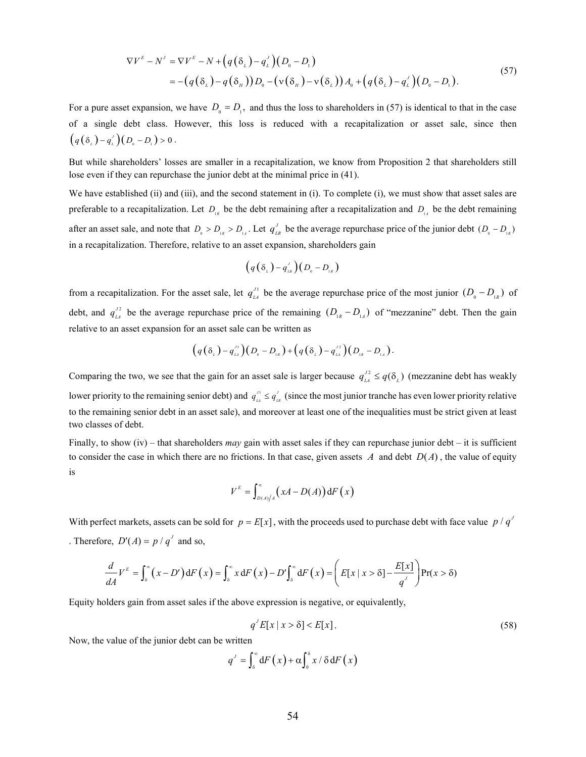$$
\nabla V^{\mathcal{E}} - N^{\mathcal{I}} = \nabla V^{\mathcal{E}} - N + \left( q\left(\delta_{L}\right) - q_{L}^{\mathcal{I}}\right)\left(D_{0} - D_{1}\right)
$$
\n
$$
= -\left(q\left(\delta_{L}\right) - q\left(\delta_{H}\right)\right)D_{0} - \left(\nu\left(\delta_{H}\right) - \nu\left(\delta_{L}\right)\right)A_{0} + \left(q\left(\delta_{L}\right) - q_{L}^{\mathcal{I}}\right)\left(D_{0} - D_{1}\right).
$$
\n(57)

For a pure asset expansion, we have  $D_0 = D_1$ , and thus the loss to shareholders in (57) is identical to that in the case of a single debt class. However, this loss is reduced with a recapitalization or asset sale, since then  $(q(\delta_{\iota})-q_{\iota}^{\prime})\big(D_{\iota}-D_{\iota}\big) > 0$ .

But while shareholders' losses are smaller in a recapitalization, we know from [Proposition 2](#page-11-2) that shareholders still lose even if they can repurchase the junior debt at the minimal price in (41).

We have established (ii) and (iii), and the second statement in (i). To complete (i), we must show that asset sales are preferable to a recapitalization. Let  $D_{1R}$  be the debt remaining after a recapitalization and  $D_{1A}$  be the debt remaining after an asset sale, and note that  $D_0 > D_{1R} > D_{1A}$ . Let  $q_{LR}^J$  be the average repurchase price of the junior debt  $(D_0 - D_{1R})$ in a recapitalization. Therefore, relative to an asset expansion, shareholders gain

$$
(q(\delta_{L})-q^{\prime}_{LR})(D_{0}-D_{LR})
$$

from a recapitalization. For the asset sale, let  $q_L^{\prime 1}$  be the average repurchase price of the most junior  $(D_0 - D_{1R})$  of debt, and  $q_{\mu}^{22}$  be the average repurchase price of the remaining  $(D_{\mu} - D_{\mu})$  of "mezzanine" debt. Then the gain relative to an asset expansion for an asset sale can be written as

$$
(q(\delta_{L})-q_{L}^{n})(D_{0}-D_{1R})+(q(\delta_{L})-q_{L}^{n})(D_{1R}-D_{1A}).
$$

Comparing the two, we see that the gain for an asset sale is larger because  $q_{\perp A}^{J2} \leq q(\delta_L)$  (mezzanine debt has weakly lower priority to the remaining senior debt) and  $q_{\mu}^{J_1} \leq q_{\mu}^{J_2}$  (since the most junior tranche has even lower priority relative to the remaining senior debt in an asset sale), and moreover at least one of the inequalities must be strict given at least two classes of debt.

Finally, to show (iv) – that shareholders *may* gain with asset sales if they can repurchase junior debt – it is sufficient to consider the case in which there are no frictions. In that case, given assets  $A$  and debt  $D(A)$ , the value of equity is

$$
V^{E} = \int_{D(A)/A}^{\infty} (xA - D(A)) dF(x)
$$

With perfect markets, assets can be sold for  $p = E[x]$ , with the proceeds used to purchase debt with face value  $p/q'$ . Therefore,  $D'(A) = p/q^J$  and so,

$$
\frac{d}{dA}V^E = \int_{\delta}^{\infty} (x - D') dF(x) = \int_{\delta}^{\infty} x dF(x) - D' \int_{\delta}^{\infty} dF(x) = \left( E[x \mid x > \delta] - \frac{E[x]}{q'} \right) Pr(x > \delta)
$$

Equity holders gain from asset sales if the above expression is negative, or equivalently,

$$
q^{J}E[x \mid x > \delta] < E[x].\tag{58}
$$

Now, the value of the junior debt can be written

$$
q^{J} = \int_{\delta}^{\infty} dF(x) + \alpha \int_{0}^{\delta} x / \delta dF(x)
$$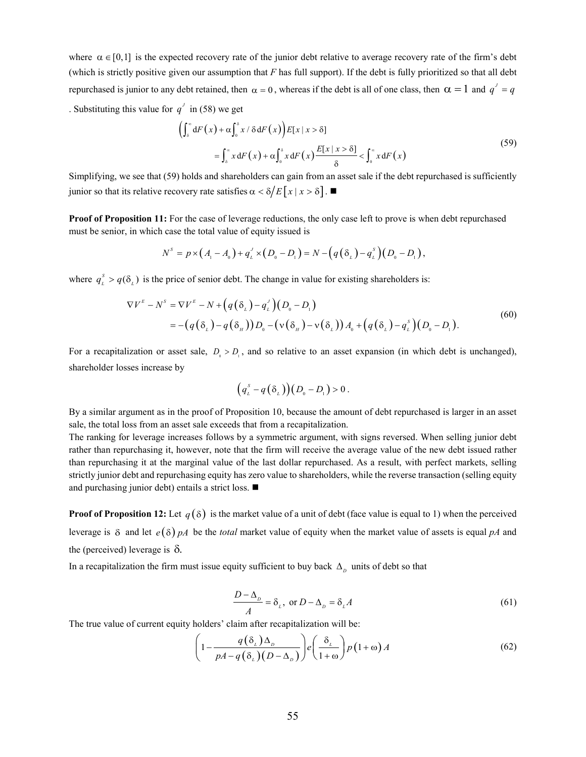where  $\alpha \in [0,1]$  is the expected recovery rate of the junior debt relative to average recovery rate of the firm's debt (which is strictly positive given our assumption that *F* has full support). If the debt is fully prioritized so that all debt repurchased is junior to any debt retained, then  $\alpha = 0$ , whereas if the debt is all of one class, then  $\alpha = 1$  and  $q' = q$ . Substituting this value for  $q^j$  in (58) we get

$$
\left(\int_{\delta}^{\infty} dF(x) + \alpha \int_{0}^{\delta} x / \delta dF(x)\right) E[x | x > \delta]
$$
  
= 
$$
\int_{\delta}^{\infty} x dF(x) + \alpha \int_{0}^{\delta} x dF(x) \frac{E[x | x > \delta]}{\delta} < \int_{0}^{\infty} x dF(x)
$$
 (59)

 $\mathfrak{h}$ 

Simplifying, we see that (59) holds and shareholders can gain from an asset sale if the debt repurchased is sufficiently junior so that its relative recovery rate satisfies  $\alpha < \delta / E[x | x > \delta]$ .

<span id="page-54-0"></span>**Proof of [Proposition 11:](#page-37-1)** For the case of leverage reductions, the only case left to prove is when debt repurchased must be senior, in which case the total value of equity issued is

$$
N^{s} = p \times (A_{1} - A_{0}) + q_{L}^{J} \times (D_{0} - D_{1}) = N - (q(\delta_{L}) - q_{L}^{s})(D_{0} - D_{1}),
$$

where  $q_L^s > q(\delta_L)$  is the price of senior debt. The change in value for existing shareholders is:

$$
\nabla V^{\varepsilon} - N^{s} = \nabla V^{\varepsilon} - N + \left( q(\delta_{L}) - q_{L}^{J} \right) \left( D_{o} - D_{1} \right)
$$
  
= -\left( q(\delta\_{L}) - q(\delta\_{H}) \right) D\_{o} - \left( v(\delta\_{H}) - v(\delta\_{L}) \right) A\_{o} + \left( q(\delta\_{L}) - q\_{L}^{s} \right) \left( D\_{o} - D\_{1} \right). (60)

For a recapitalization or asset sale,  $D_0 > D_1$ , and so relative to an asset expansion (in which debt is unchanged), shareholder losses increase by

$$
(q_{\scriptscriptstyle L}^{\scriptscriptstyle S}-q\big(\delta_{\scriptscriptstyle L}\big)\big)(D_{\scriptscriptstyle 0}-D_{\scriptscriptstyle 1})>0\,.
$$

By a similar argument as in the proof o[f Proposition 10,](#page-36-0) because the amount of debt repurchased is larger in an asset sale, the total loss from an asset sale exceeds that from a recapitalization.

The ranking for leverage increases follows by a symmetric argument, with signs reversed. When selling junior debt rather than repurchasing it, however, note that the firm will receive the average value of the new debt issued rather than repurchasing it at the marginal value of the last dollar repurchased. As a result, with perfect markets, selling strictly junior debt and repurchasing equity has zero value to shareholders, while the reverse transaction (selling equity and purchasing junior debt) entails a strict loss.

<span id="page-54-1"></span>**Proof of [Proposition 12:](#page-43-2)** Let  $q(\delta)$  is the market value of a unit of debt (face value is equal to 1) when the perceived leverage is  $\delta$  and let  $e(\delta)$  pA be the *total* market value of equity when the market value of assets is equal pA and the (perceived) leverage is  $\delta$ .

In a recapitalization the firm must issue equity sufficient to buy back  $\Delta$ <sub>n</sub> units of debt so that

$$
\frac{D - \Delta_D}{A} = \delta_L, \text{ or } D - \Delta_D = \delta_L A
$$
 (61)

The true value of current equity holders' claim after recapitalization will be:

$$
\left(1 - \frac{q(\delta_{\iota})\Delta_{\iota}}{pA - q(\delta_{\iota})(D - \Delta_{\iota})}\right) e\left(\frac{\delta_{\iota}}{1 + \omega}\right) p(1 + \omega) A \tag{62}
$$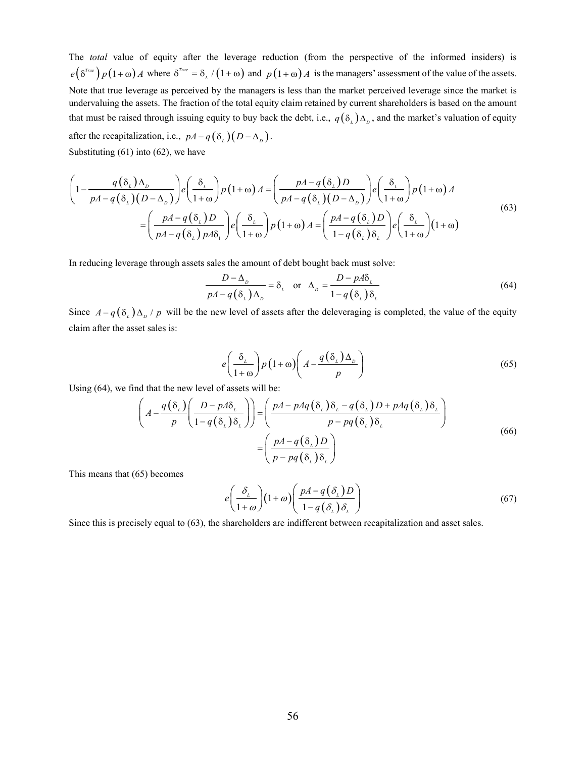The *total* value of equity after the leverage reduction (from the perspective of the informed insiders) is  $e^{(\delta^{True}\pi)} p(1+\omega) A$  where  $\delta^{True} = \delta_L / (1+\omega)$  and  $p(1+\omega) A$  is the managers' assessment of the value of the assets. Note that true leverage as perceived by the managers is less than the market perceived leverage since the market is undervaluing the assets. The fraction of the total equity claim retained by current shareholders is based on the amount that must be raised through issuing equity to buy back the debt, i.e.,  $q(\delta) \Delta_p$ , and the market's valuation of equity after the recapitalization, i.e.,  $pA - q(\delta_L)(D - \Delta_D)$ . Substituting (61) into (62), we have

$$
\left(1 - \frac{q(\delta_{L})\Delta_{D}}{pA - q(\delta_{L})(D - \Delta_{D})}\right) e\left(\frac{\delta_{L}}{1 + \omega}\right) p(1 + \omega) A = \left(\frac{pA - q(\delta_{L})D}{pA - q(\delta_{L})(D - \Delta_{D})}\right) e\left(\frac{\delta_{L}}{1 + \omega}\right) p(1 + \omega) A
$$
\n
$$
= \left(\frac{pA - q(\delta_{L})D}{pA - q(\delta_{L})pA\delta_{L}}\right) e\left(\frac{\delta_{L}}{1 + \omega}\right) p(1 + \omega) A = \left(\frac{pA - q(\delta_{L})D}{1 - q(\delta_{L})\delta_{L}}\right) e\left(\frac{\delta_{L}}{1 + \omega}\right) (1 + \omega)
$$
\n(63)

In reducing leverage through assets sales the amount of debt bought back must solve:

$$
\frac{D - \Delta_{D}}{pA - q(\delta_{L})\Delta_{D}} = \delta_{L} \quad \text{or} \quad \Delta_{D} = \frac{D - pA\delta_{L}}{1 - q(\delta_{L})\delta_{L}}
$$
(64)

Since  $A-q(\delta_\mu)\Delta_\rho$  p will be the new level of assets after the deleveraging is completed, the value of the equity claim after the asset sales is:

$$
e\left(\frac{\delta_{\iota}}{1+\omega}\right)p\left(1+\omega\right)\left(A-\frac{q\left(\delta_{\iota}\right)\Delta_{\rho}}{p}\right) \tag{65}
$$

Using (64), we find that the new level of assets will be:

$$
\left(A - \frac{q(\delta_{\iota})}{p} \left( \frac{D - pA\delta_{\iota}}{1 - q(\delta_{\iota})\delta_{\iota}} \right) \right) = \left( \frac{pA - pAq(\delta_{\iota})\delta_{\iota} - q(\delta_{\iota})D + pAq(\delta_{\iota})\delta_{\iota}}{p - pq(\delta_{\iota})\delta_{\iota}} \right)
$$
\n
$$
= \left( \frac{pA - q(\delta_{\iota})D}{p - pq(\delta_{\iota})\delta_{\iota}} \right)
$$
\n(66)

This means that (65) becomes

$$
e\left(\frac{\delta_{\iota}}{1+\omega}\right)(1+\omega)\left(\frac{pA-q(\delta_{\iota})D}{1-q(\delta_{\iota})\delta_{\iota}}\right)
$$
\n(67)

Since this is precisely equal to (63), the shareholders are indifferent between recapitalization and asset sales.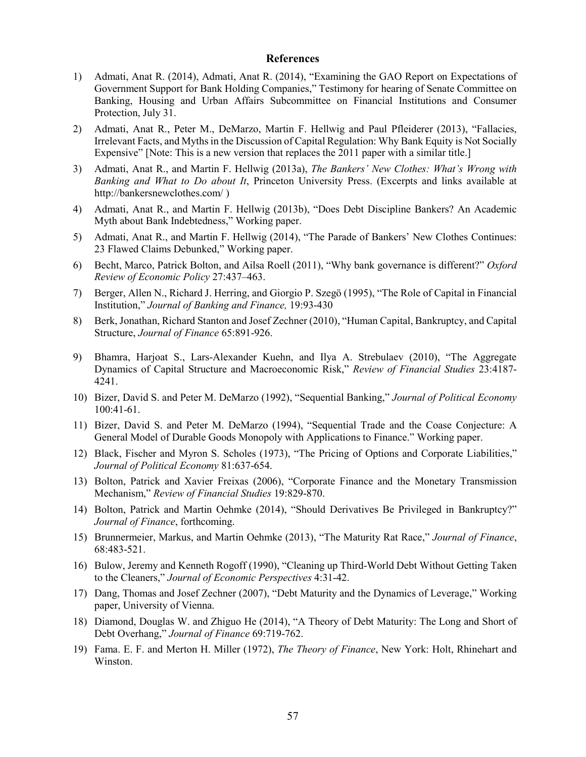#### **References**

- 1) Admati, Anat R. (2014), Admati, Anat R. (2014), "Examining the GAO Report on Expectations of Government Support for Bank Holding Companies," Testimony for hearing of Senate Committee on Banking, Housing and Urban Affairs Subcommittee on Financial Institutions and Consumer Protection, July 31.
- 2) Admati, Anat R., Peter M., DeMarzo, Martin F. Hellwig and Paul Pfleiderer (2013), "Fallacies, Irrelevant Facts, and Myths in the Discussion of Capital Regulation: Why Bank Equity is Not Socially Expensive" [Note: This is a new version that replaces the 2011 paper with a similar title.]
- 3) Admati, Anat R., and Martin F. Hellwig (2013a), *The Bankers' New Clothes: What's Wrong with Banking and What to Do about It*, Princeton University Press. (Excerpts and links available at http://bankersnewclothes.com/ )
- 4) Admati, Anat R., and Martin F. Hellwig (2013b), "Does Debt Discipline Bankers? An Academic Myth about Bank Indebtedness," Working paper.
- 5) Admati, Anat R., and Martin F. Hellwig (2014), "The Parade of Bankers' New Clothes Continues: 23 Flawed Claims Debunked," Working paper.
- 6) Becht, Marco, Patrick Bolton, and Ailsa Roell (2011), "Why bank governance is different?" *Oxford Review of Economic Policy* 27:437–463.
- 7) Berger, Allen N., Richard J. Herring, and Giorgio P. Szegö (1995), "The Role of Capital in Financial Institution," *Journal of Banking and Finance,* 19:93-430
- 8) Berk, Jonathan, Richard Stanton and Josef Zechner (2010), "Human Capital, Bankruptcy, and Capital Structure, *Journal of Finance* 65:891-926.
- 9) Bhamra, Harjoat S., Lars-Alexander Kuehn, and Ilya A. Strebulaev (2010), "The Aggregate Dynamics of Capital Structure and Macroeconomic Risk," *Review of Financial Studies* 23:4187- 4241.
- 10) Bizer, David S. and Peter M. DeMarzo (1992), "Sequential Banking," *Journal of Political Economy*  100:41-61.
- 11) Bizer, David S. and Peter M. DeMarzo (1994), "Sequential Trade and the Coase Conjecture: A General Model of Durable Goods Monopoly with Applications to Finance." Working paper.
- 12) Black, Fischer and Myron S. Scholes (1973), "The Pricing of Options and Corporate Liabilities," *Journal of Political Economy* 81:637-654.
- 13) Bolton, Patrick and Xavier Freixas (2006), "Corporate Finance and the Monetary Transmission Mechanism," *Review of Financial Studies* 19:829-870.
- 14) Bolton, Patrick and Martin Oehmke (2014), "Should Derivatives Be Privileged in Bankruptcy?" *Journal of Finance*, forthcoming.
- 15) Brunnermeier, Markus, and Martin Oehmke (2013), "The Maturity Rat Race," *Journal of Finance*, 68:483-521.
- 16) Bulow, Jeremy and Kenneth Rogoff (1990), "Cleaning up Third-World Debt Without Getting Taken to the Cleaners," *Journal of Economic Perspectives* 4:31-42.
- 17) Dang, Thomas and Josef Zechner (2007), "Debt Maturity and the Dynamics of Leverage," Working paper, University of Vienna.
- 18) Diamond, Douglas W. and Zhiguo He (2014), "A Theory of Debt Maturity: The Long and Short of Debt Overhang," *Journal of Finance* 69:719-762.
- 19) Fama. E. F. and Merton H. Miller (1972), *The Theory of Finance*, New York: Holt, Rhinehart and Winston.